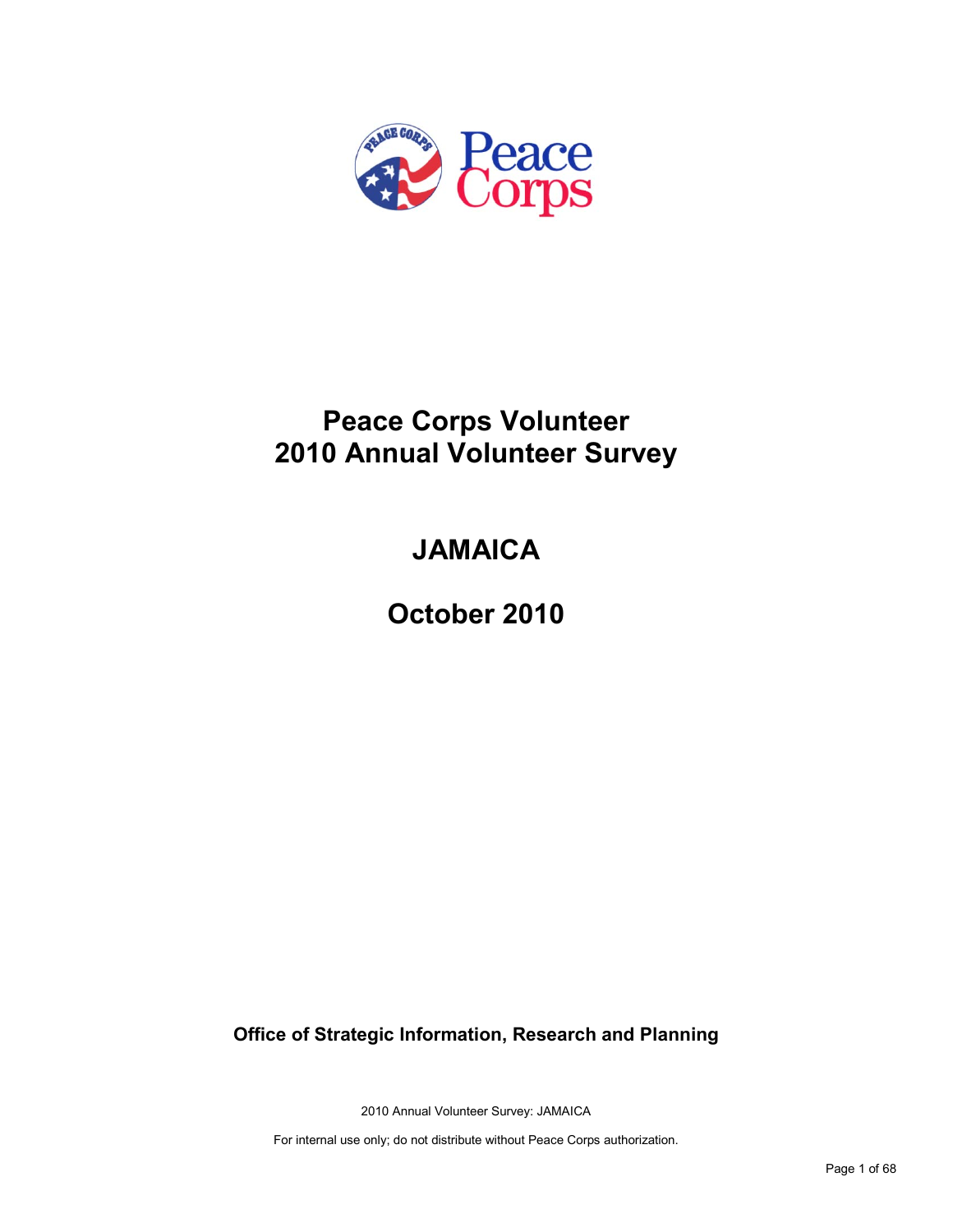

# **Peace Corps Volunteer 2010 Annual Volunteer Survey**

# **JAMAICA**

**October 2010**

**Office of Strategic Information, Research and Planning**

2010 Annual Volunteer Survey: JAMAICA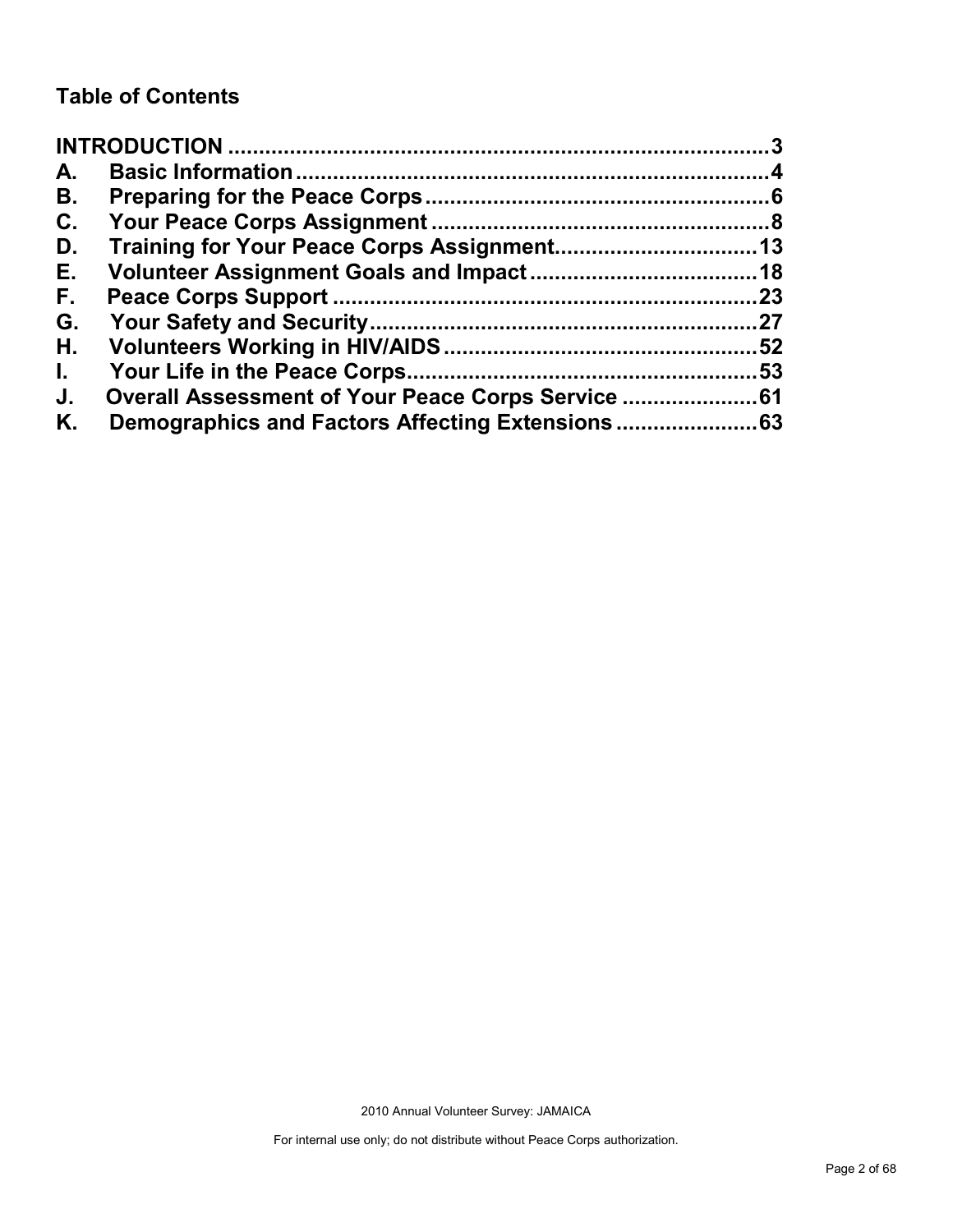# **Table of Contents**

| A.           |                                                |    |
|--------------|------------------------------------------------|----|
| В.           |                                                |    |
| C.           |                                                |    |
| D.           |                                                |    |
| Е.           |                                                |    |
| F.           |                                                | 23 |
| G.           |                                                |    |
| Н.           |                                                |    |
| $\mathbf{L}$ |                                                |    |
| J.           | Overall Assessment of Your Peace Corps Service |    |
| Κ.           |                                                |    |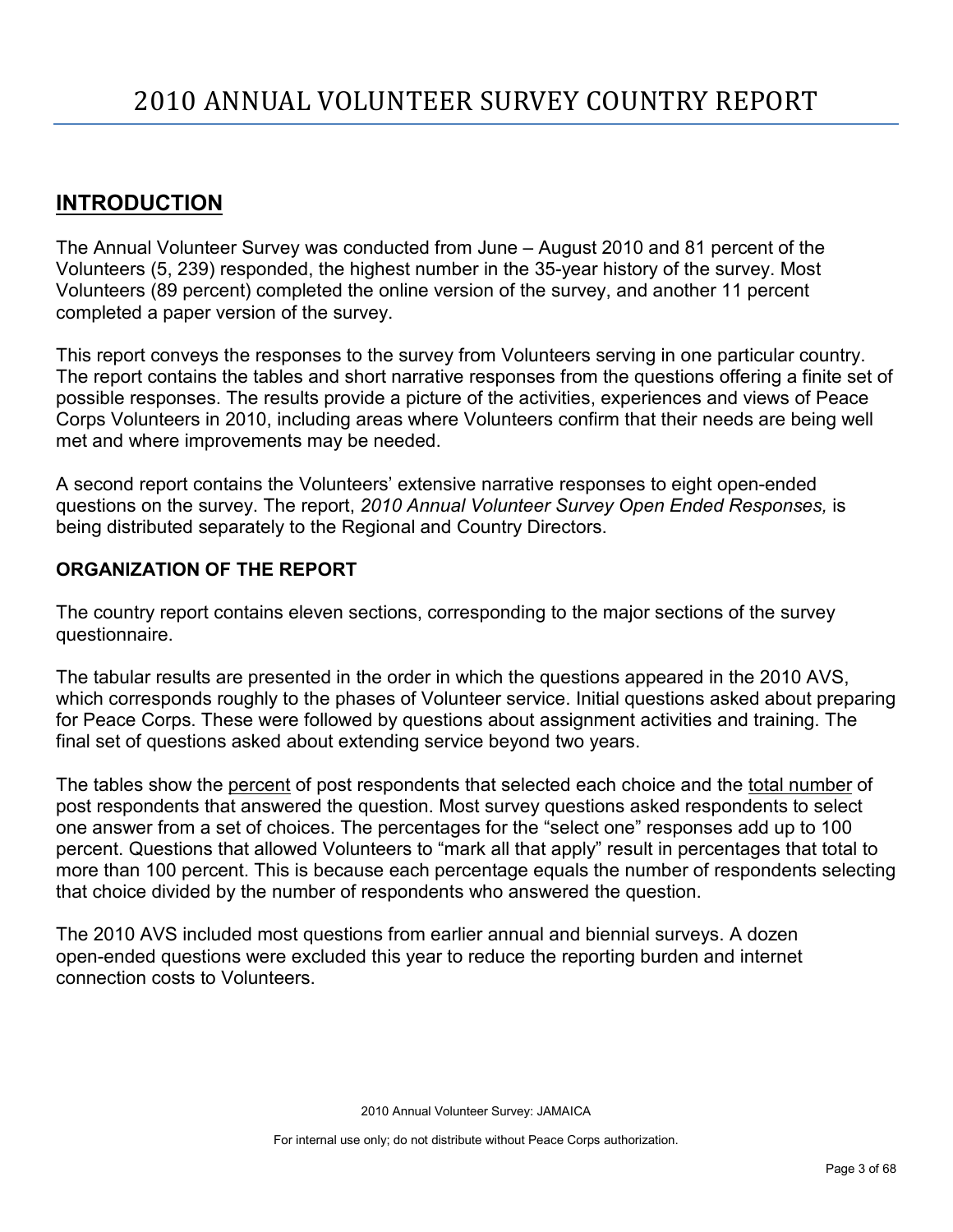# <span id="page-2-0"></span>**INTRODUCTION**

The Annual Volunteer Survey was conducted from June – August 2010 and 81 percent of the Volunteers (5, 239) responded, the highest number in the 35-year history of the survey. Most Volunteers (89 percent) completed the online version of the survey, and another 11 percent completed a paper version of the survey.

This report conveys the responses to the survey from Volunteers serving in one particular country. The report contains the tables and short narrative responses from the questions offering a finite set of possible responses. The results provide a picture of the activities, experiences and views of Peace Corps Volunteers in 2010, including areas where Volunteers confirm that their needs are being well met and where improvements may be needed.

A second report contains the Volunteers' extensive narrative responses to eight open-ended questions on the survey. The report, *2010 Annual Volunteer Survey Open Ended Responses,* is being distributed separately to the Regional and Country Directors.

## **ORGANIZATION OF THE REPORT**

The country report contains eleven sections, corresponding to the major sections of the survey questionnaire.

The tabular results are presented in the order in which the questions appeared in the 2010 AVS, which corresponds roughly to the phases of Volunteer service. Initial questions asked about preparing for Peace Corps. These were followed by questions about assignment activities and training. The final set of questions asked about extending service beyond two years.

The tables show the percent of post respondents that selected each choice and the total number of post respondents that answered the question. Most survey questions asked respondents to select one answer from a set of choices. The percentages for the "select one" responses add up to 100 percent. Questions that allowed Volunteers to "mark all that apply" result in percentages that total to more than 100 percent. This is because each percentage equals the number of respondents selecting that choice divided by the number of respondents who answered the question.

The 2010 AVS included most questions from earlier annual and biennial surveys. A dozen open-ended questions were excluded this year to reduce the reporting burden and internet connection costs to Volunteers.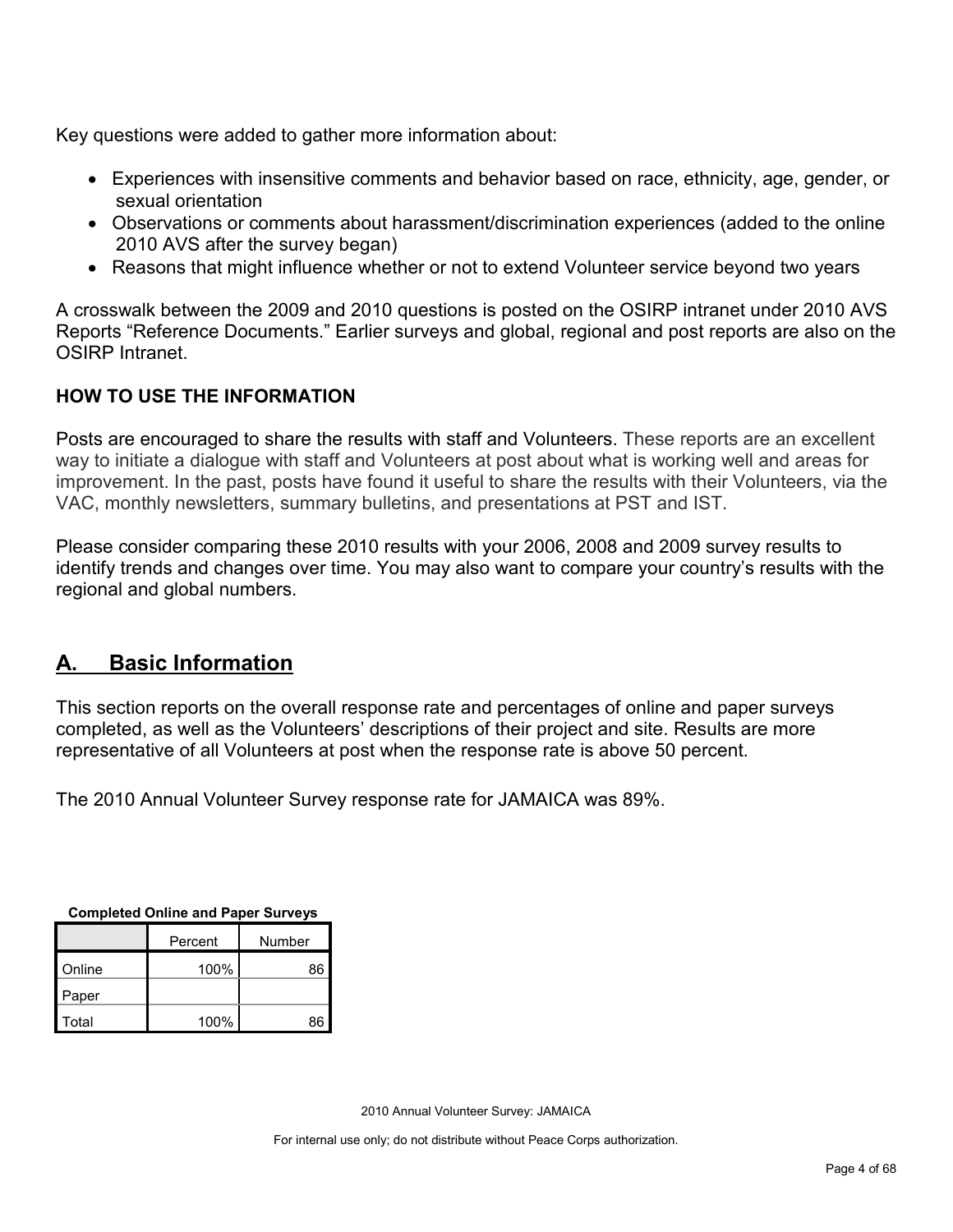Key questions were added to gather more information about:

- Experiences with insensitive comments and behavior based on race, ethnicity, age, gender, or sexual orientation
- Observations or comments about harassment/discrimination experiences (added to the online 2010 AVS after the survey began)
- Reasons that might influence whether or not to extend Volunteer service beyond two years

A crosswalk between the 2009 and 2010 questions is posted on the OSIRP intranet under 2010 AVS Reports "Reference Documents." Earlier surveys and global, regional and post reports are also on the OSIRP Intranet.

## **HOW TO USE THE INFORMATION**

Posts are encouraged to share the results with staff and Volunteers. These reports are an excellent way to initiate a dialogue with staff and Volunteers at post about what is working well and areas for improvement. In the past, posts have found it useful to share the results with their Volunteers, via the VAC, monthly newsletters, summary bulletins, and presentations at PST and IST.

Please consider comparing these 2010 results with your 2006, 2008 and 2009 survey results to identify trends and changes over time. You may also want to compare your country's results with the regional and global numbers.

# <span id="page-3-0"></span>**A. Basic Information**

This section reports on the overall response rate and percentages of online and paper surveys completed, as well as the Volunteers' descriptions of their project and site. Results are more representative of all Volunteers at post when the response rate is above 50 percent.

The 2010 Annual Volunteer Survey response rate for JAMAICA was 89%.

| <b>Completed Online and Paper Surveys</b> |  |  |
|-------------------------------------------|--|--|
|                                           |  |  |

|        | Percent | Number |
|--------|---------|--------|
| Online | 100%    | 86     |
| Paper  |         |        |
| Total  | 100%    | 86     |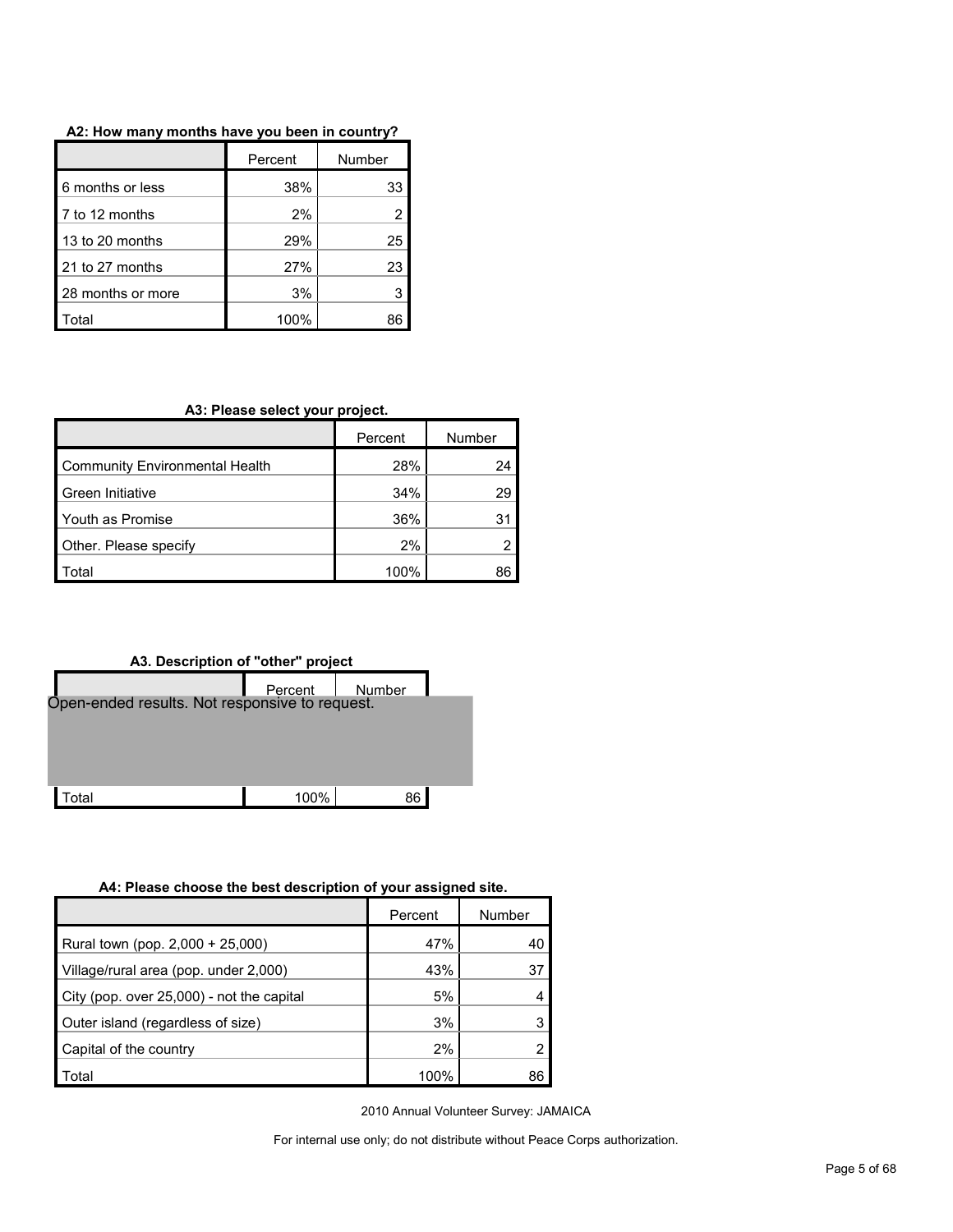|                   | Percent | Number |
|-------------------|---------|--------|
| 6 months or less  | 38%     | 33     |
| 7 to 12 months    | 2%      |        |
| 13 to 20 months   | 29%     | 25     |
| 21 to 27 months   | 27%     | 23     |
| 28 months or more | 3%      |        |
| otal              | 100%    |        |

**A3: Please select your project.**

|                                | Percent | Number |
|--------------------------------|---------|--------|
| Community Environmental Health | 28%     | 24     |
| <b>Green Initiative</b>        | 34%     | 29     |
| Youth as Promise               | 36%     | 31     |
| Other. Please specify          | 2%      |        |
| 'otal                          | 100%    | 86     |



#### **A4: Please choose the best description of your assigned site.**

|                                           | Percent | Number |
|-------------------------------------------|---------|--------|
| Rural town (pop. 2,000 + 25,000)          | 47%     | 40     |
| Village/rural area (pop. under 2,000)     | 43%     | 37     |
| City (pop. over 25,000) - not the capital | 5%      | Δ      |
| Outer island (regardless of size)         | 3%      |        |
| Capital of the country                    | 2%      |        |
| Total                                     | 100%    | 86     |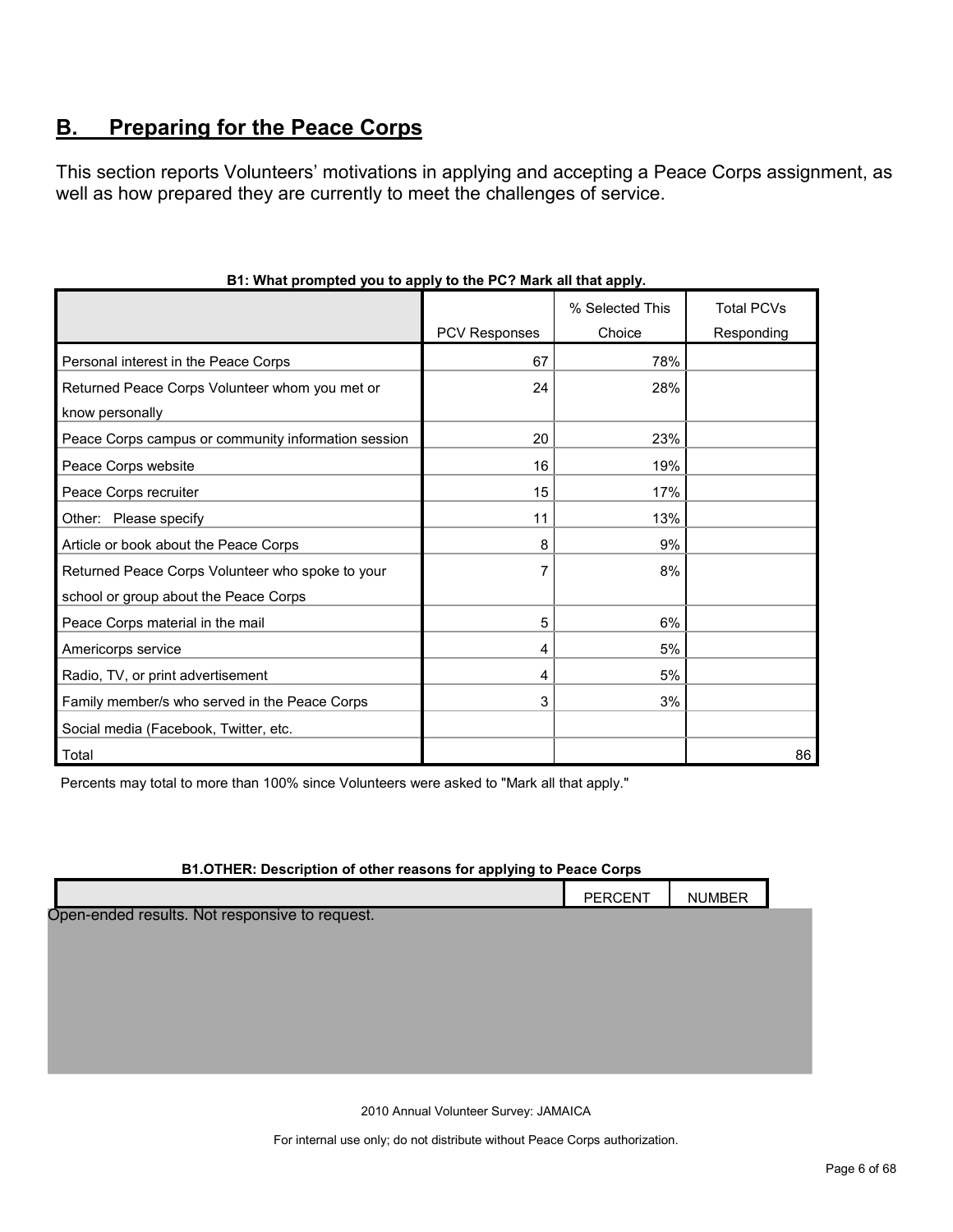# <span id="page-5-0"></span>**B. Preparing for the Peace Corps**

This section reports Volunteers' motivations in applying and accepting a Peace Corps assignment, as well as how prepared they are currently to meet the challenges of service.

|                                                     |               | % Selected This | <b>Total PCVs</b> |
|-----------------------------------------------------|---------------|-----------------|-------------------|
|                                                     | PCV Responses | Choice          | Responding        |
| Personal interest in the Peace Corps                | 67            | 78%             |                   |
| Returned Peace Corps Volunteer whom you met or      | 24            | 28%             |                   |
| know personally                                     |               |                 |                   |
| Peace Corps campus or community information session | 20            | 23%             |                   |
| Peace Corps website                                 | 16            | 19%             |                   |
| Peace Corps recruiter                               | 15            | 17%             |                   |
| Other: Please specify                               | 11            | 13%             |                   |
| Article or book about the Peace Corps               | 8             | 9%              |                   |
| Returned Peace Corps Volunteer who spoke to your    |               | 8%              |                   |
| school or group about the Peace Corps               |               |                 |                   |
| Peace Corps material in the mail                    | 5             | 6%              |                   |
| Americorps service                                  | 4             | 5%              |                   |
| Radio, TV, or print advertisement                   | 4             | 5%              |                   |
| Family member/s who served in the Peace Corps       | 3             | 3%              |                   |
| Social media (Facebook, Twitter, etc.               |               |                 |                   |
| Total                                               |               |                 | 86                |

## **B1: What prompted you to apply to the PC? Mark all that apply.**

Percents may total to more than 100% since Volunteers were asked to "Mark all that apply."

#### **B1.OTHER: Description of other reasons for applying to Peace Corps**

|                                                | PERCENT | <b>NUMBER</b> |  |
|------------------------------------------------|---------|---------------|--|
| Open-ended results. Not responsive to request. |         |               |  |
|                                                |         |               |  |
|                                                |         |               |  |
|                                                |         |               |  |
|                                                |         |               |  |
|                                                |         |               |  |

2010 Annual Volunteer Survey: JAMAICA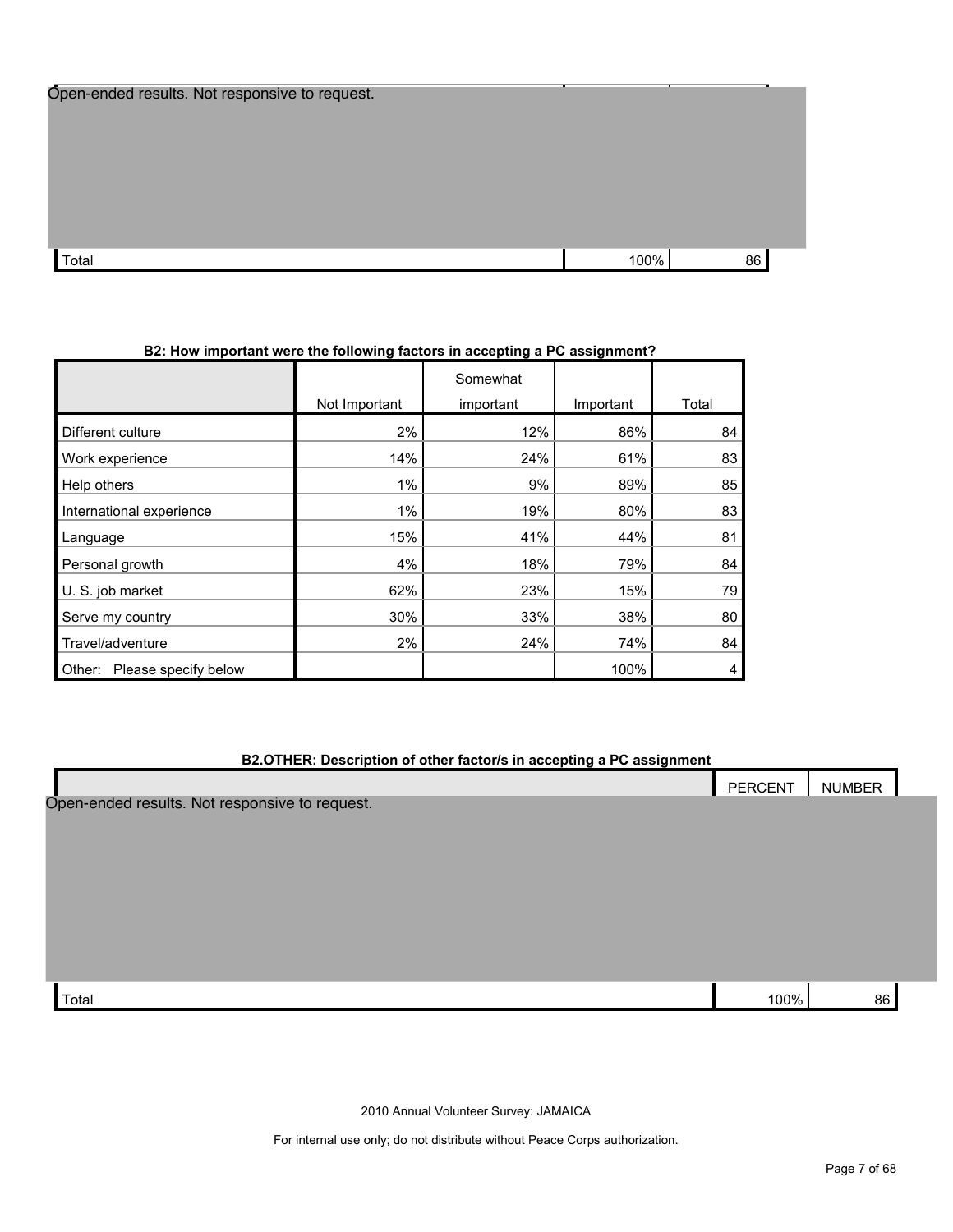| Open-ended results. Not responsive to request. |      |    |  |
|------------------------------------------------|------|----|--|
|                                                |      |    |  |
|                                                |      |    |  |
|                                                |      |    |  |
|                                                |      |    |  |
|                                                |      |    |  |
|                                                |      |    |  |
|                                                |      |    |  |
| Total                                          | 100% | 86 |  |

## **B2: How important were the following factors in accepting a PC assignment?**

|                                |               | Somewhat  |           |       |
|--------------------------------|---------------|-----------|-----------|-------|
|                                | Not Important | important | Important | Total |
| Different culture              | 2%            | 12%       | 86%       | 84    |
| Work experience                | 14%           | 24%       | 61%       | 83    |
| Help others                    | $1\%$         | 9%        | 89%       | 85    |
| International experience       | $1\%$         | 19%       | 80%       | 83    |
| Language                       | 15%           | 41%       | 44%       | 81    |
| Personal growth                | 4%            | 18%       | 79%       | 84    |
| U. S. job market               | 62%           | 23%       | 15%       | 79    |
| Serve my country               | 30%           | 33%       | 38%       | 80    |
| Travel/adventure               | 2%            | 24%       | 74%       | 84    |
| Please specify below<br>Other: |               |           | 100%      | 4     |

## **B2.OTHER: Description of other factor/s in accepting a PC assignment**

|                                                | PERCENT | NUMBER |
|------------------------------------------------|---------|--------|
| Open-ended results. Not responsive to request. |         |        |
|                                                |         |        |
|                                                |         |        |
|                                                |         |        |
|                                                |         |        |
|                                                |         |        |
|                                                |         |        |
| Total                                          | 100%    | 86     |

2010 Annual Volunteer Survey: JAMAICA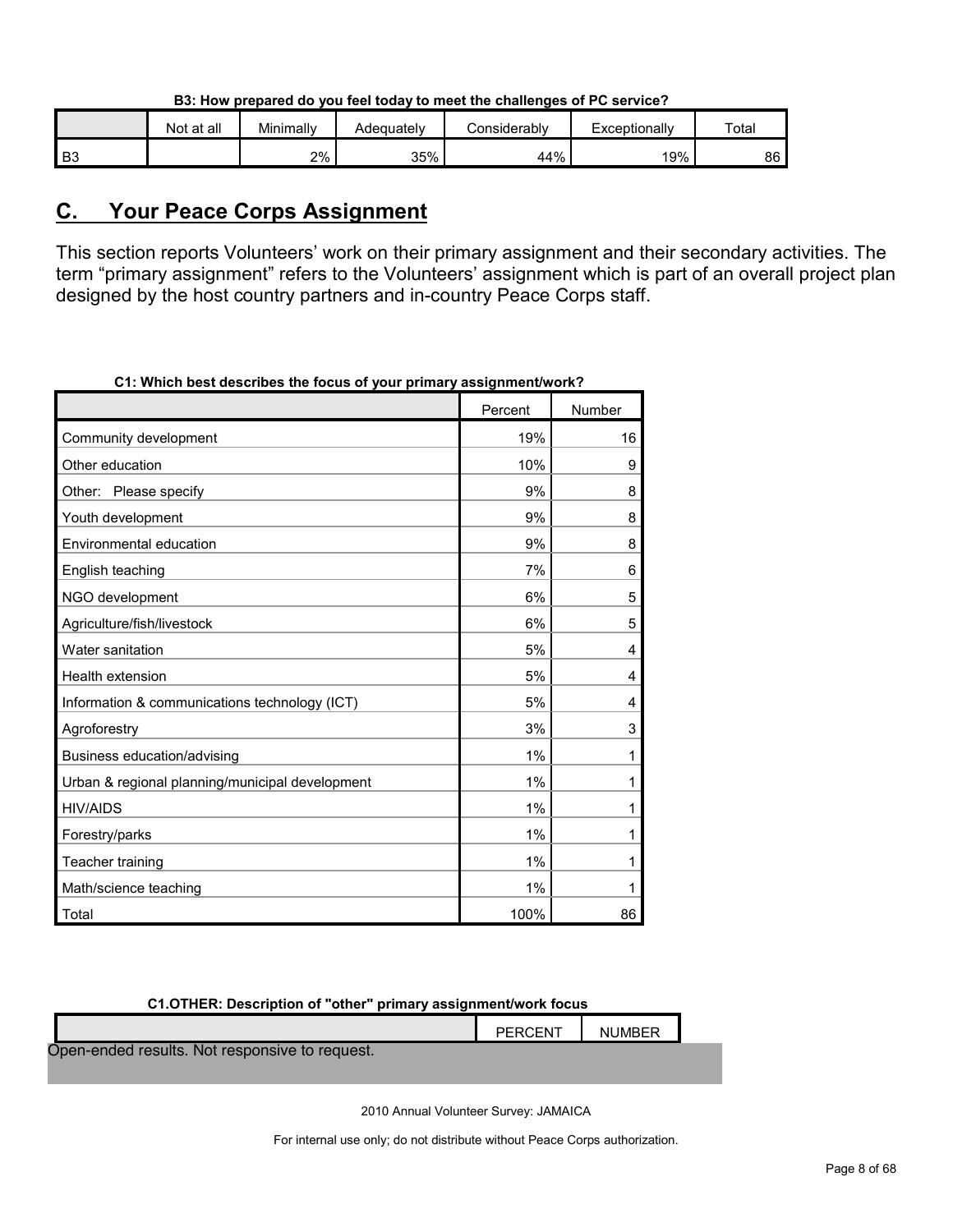|  | B3: How prepared do you feel today to meet the challenges of PC service? |
|--|--------------------------------------------------------------------------|
|  |                                                                          |

|    | Not at all | Minimally | Adequatelv | <i>C</i> onsiderabl∨ | Exceptionally | Totai |
|----|------------|-----------|------------|----------------------|---------------|-------|
| B3 |            | 2%        | 35%        | 44%                  | 19%           | 86    |

# <span id="page-7-0"></span>**C. Your Peace Corps Assignment**

This section reports Volunteers' work on their primary assignment and their secondary activities. The term "primary assignment" refers to the Volunteers' assignment which is part of an overall project plan designed by the host country partners and in-country Peace Corps staff.

| 21. WHICH DESTRESCHDES THE TOCUS OF YOUR DITHUR Y QSSIGNMENT WORK: |         |        |
|--------------------------------------------------------------------|---------|--------|
|                                                                    | Percent | Number |
| Community development                                              | 19%     | 16     |
| Other education                                                    | 10%     | 9      |
| Other: Please specify                                              | 9%      | 8      |
| Youth development                                                  | 9%      | 8      |
| Environmental education                                            | 9%      | 8      |
| English teaching                                                   | 7%      | 6      |
| NGO development                                                    | 6%      | 5      |
| Agriculture/fish/livestock                                         | 6%      | 5      |
| Water sanitation                                                   | 5%      | 4      |
| Health extension                                                   | 5%      | 4      |
| Information & communications technology (ICT)                      | 5%      | 4      |
| Agroforestry                                                       | 3%      | 3      |
| Business education/advising                                        | 1%      | 1      |
| Urban & regional planning/municipal development                    | 1%      | 1      |
| <b>HIV/AIDS</b>                                                    | 1%      | 1      |
| Forestry/parks                                                     | 1%      | 1      |
| Teacher training                                                   | 1%      | 1      |
| Math/science teaching                                              | 1%      | 1      |
| Total                                                              | 100%    | 86     |

**C1: Which best describes the focus of your primary assignment/work?**

| C1.OTHER: Description of "other" primary assignment/work focus |  |  |  |  |  |  |  |
|----------------------------------------------------------------|--|--|--|--|--|--|--|
| PERCENT<br><b>NUMBER</b>                                       |  |  |  |  |  |  |  |
| Open-ended results. Not responsive to request.                 |  |  |  |  |  |  |  |
|                                                                |  |  |  |  |  |  |  |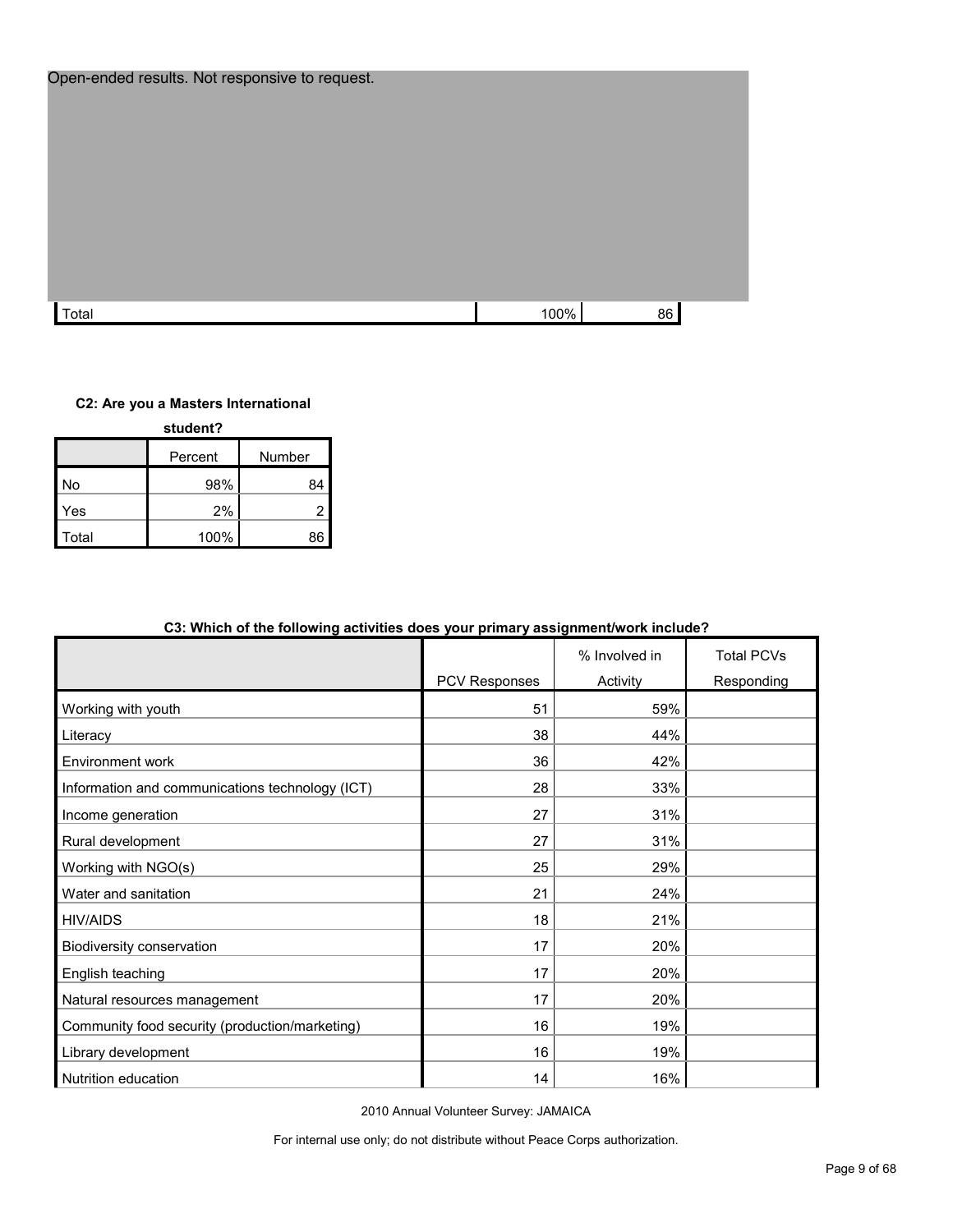| Open-ended results. Not responsive to request. |      |    |  |
|------------------------------------------------|------|----|--|
| Total                                          | 100% | 86 |  |

#### **C2: Are you a Masters International**

| student? |         |        |  |  |  |
|----------|---------|--------|--|--|--|
|          | Percent | Number |  |  |  |
| No       | 98%     | 84     |  |  |  |
| Yes      | 2%      | 2      |  |  |  |
| Total    | 100%    | 86     |  |  |  |

|                                                 | PCV Responses | % Involved in<br>Activity | <b>Total PCVs</b><br>Responding |
|-------------------------------------------------|---------------|---------------------------|---------------------------------|
| Working with youth                              | 51            | 59%                       |                                 |
| Literacy                                        | 38            | 44%                       |                                 |
| Environment work                                | 36            | 42%                       |                                 |
| Information and communications technology (ICT) | 28            | 33%                       |                                 |
| Income generation                               | 27            | 31%                       |                                 |
| Rural development                               | 27            | 31%                       |                                 |
| Working with NGO(s)                             | 25            | 29%                       |                                 |
| Water and sanitation                            | 21            | 24%                       |                                 |
| <b>HIV/AIDS</b>                                 | 18            | 21%                       |                                 |
| Biodiversity conservation                       | 17            | 20%                       |                                 |
| English teaching                                | 17            | 20%                       |                                 |
| Natural resources management                    | 17            | 20%                       |                                 |
| Community food security (production/marketing)  | 16            | 19%                       |                                 |
| Library development                             | 16            | 19%                       |                                 |
| Nutrition education                             | 14            | 16%                       |                                 |

## **C3: Which of the following activities does your primary assignment/work include?**

2010 Annual Volunteer Survey: JAMAICA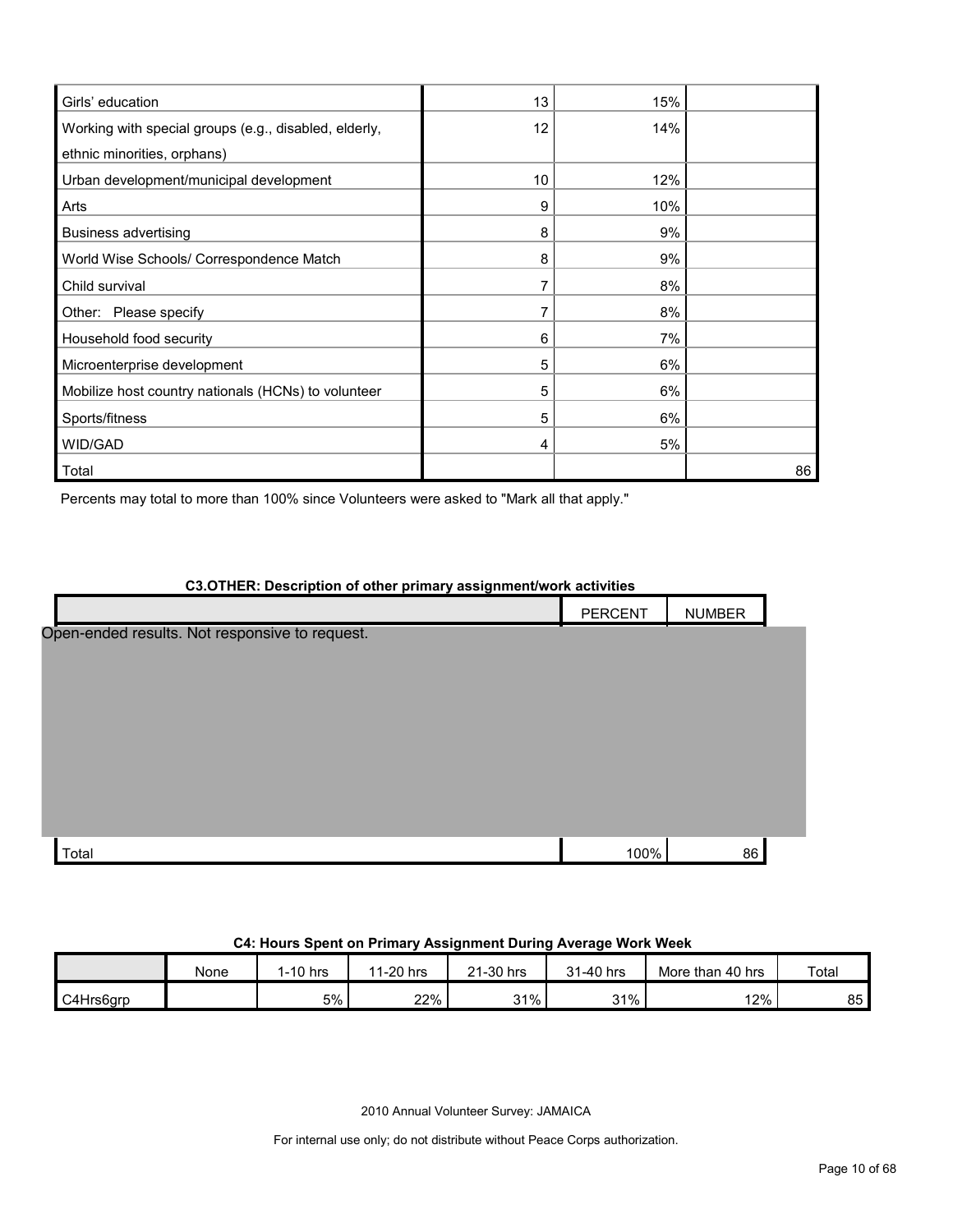| Girls' education                                      | 13 | 15% |    |
|-------------------------------------------------------|----|-----|----|
| Working with special groups (e.g., disabled, elderly, | 12 | 14% |    |
| ethnic minorities, orphans)                           |    |     |    |
| Urban development/municipal development               | 10 | 12% |    |
| Arts                                                  | 9  | 10% |    |
| <b>Business advertising</b>                           | 8  | 9%  |    |
| World Wise Schools/ Correspondence Match              | 8  | 9%  |    |
| Child survival                                        |    | 8%  |    |
| Other: Please specify                                 |    | 8%  |    |
| Household food security                               | 6  | 7%  |    |
| Microenterprise development                           | 5  | 6%  |    |
| Mobilize host country nationals (HCNs) to volunteer   | 5  | 6%  |    |
| Sports/fitness                                        | 5  | 6%  |    |
| WID/GAD                                               | 4  | 5%  |    |
| Total                                                 |    |     | 86 |

Percents may total to more than 100% since Volunteers were asked to "Mark all that apply."

# **C3.OTHER: Description of other primary assignment/work activities** PERCENT | NUMBER Total 100% 86  $\,$  100% 86  $\,$  100% 86  $\,$  100% 86  $\,$  100% 86  $\,$  100% 86  $\,$  100% 86  $\,$  100% 86  $\,$  100% 86  $\,$  100% 86  $\,$  100% 86  $\,$  100% 86  $\,$  100% 86  $\,$  100% 86  $\,$  100% 86  $\,$  100% 86  $\,$  100  $\,$ Open-ended results. Not responsive to request.

#### **C4: Hours Spent on Primary Assignment During Average Work Week**

|           | None | $1-10$ hrs | 1-20 hrs<br>44 | 21-30 hrs | 31-40 hrs | More than 40 hrs | Total |
|-----------|------|------------|----------------|-----------|-----------|------------------|-------|
| C4Hrs6arp |      | 5%         | 22%            | 31%       | 31%       | 12%              | 85    |

2010 Annual Volunteer Survey: JAMAICA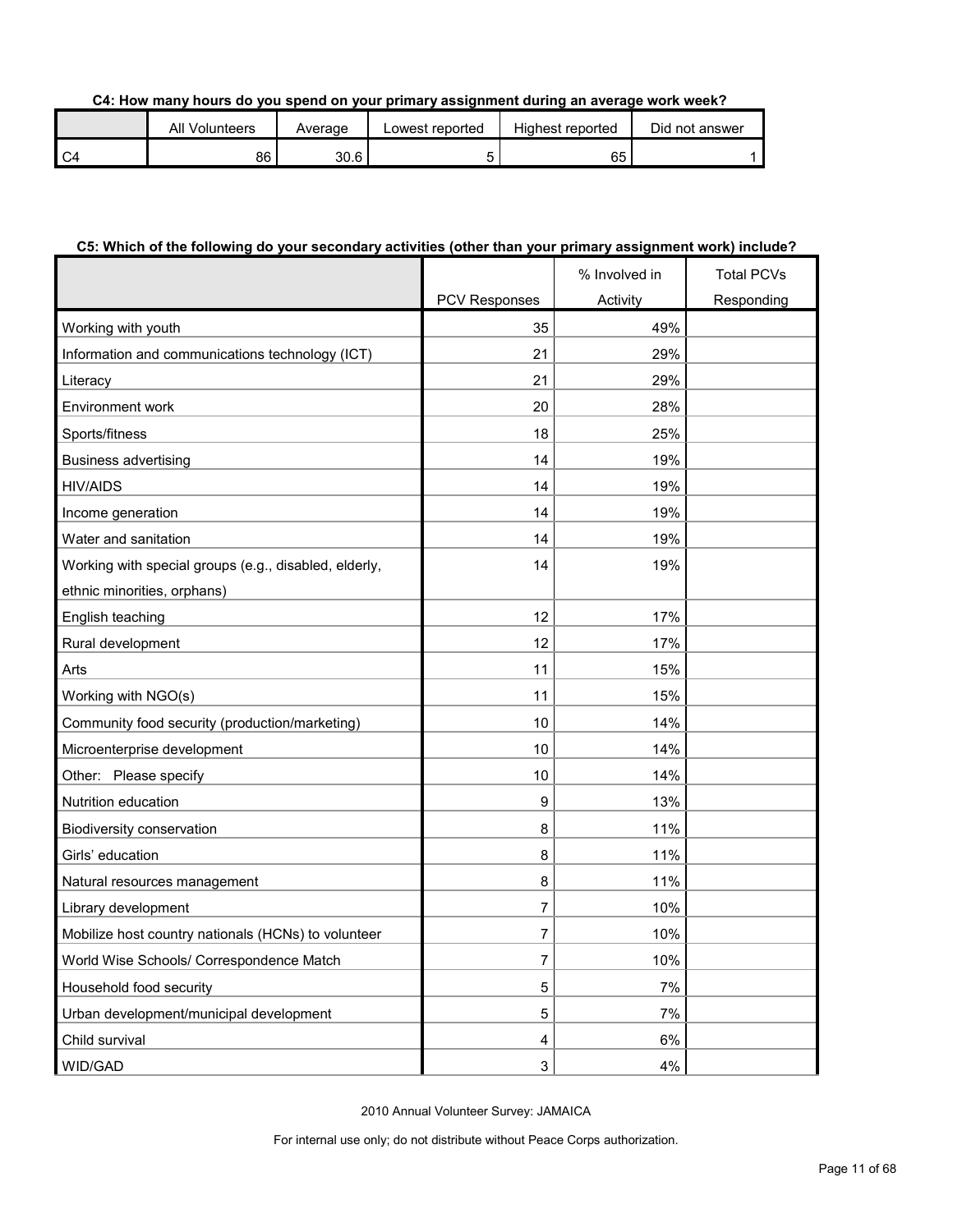#### **C4: How many hours do you spend on your primary assignment during an average work week?**

| All Volunteers | Average | Lowest reported | Highest reported | Did not answer |
|----------------|---------|-----------------|------------------|----------------|
| 86             | 30.6    |                 | 65               |                |

#### **C5: Which of the following do your secondary activities (other than your primary assignment work) include?**

|                                                       |                         | % Involved in | <b>Total PCVs</b> |
|-------------------------------------------------------|-------------------------|---------------|-------------------|
|                                                       | <b>PCV Responses</b>    | Activity      | Responding        |
| Working with youth                                    | 35                      | 49%           |                   |
| Information and communications technology (ICT)       | 21                      | 29%           |                   |
| Literacy                                              | 21                      | 29%           |                   |
| Environment work                                      | 20                      | 28%           |                   |
| Sports/fitness                                        | 18                      | 25%           |                   |
| <b>Business advertising</b>                           | 14                      | 19%           |                   |
| <b>HIV/AIDS</b>                                       | 14                      | 19%           |                   |
| Income generation                                     | 14                      | 19%           |                   |
| Water and sanitation                                  | 14                      | 19%           |                   |
| Working with special groups (e.g., disabled, elderly, | 14                      | 19%           |                   |
| ethnic minorities, orphans)                           |                         |               |                   |
| English teaching                                      | 12                      | 17%           |                   |
| Rural development                                     | 12                      | 17%           |                   |
| Arts                                                  | 11                      | 15%           |                   |
| Working with NGO(s)                                   | 11                      | 15%           |                   |
| Community food security (production/marketing)        | 10                      | 14%           |                   |
| Microenterprise development                           | 10                      | 14%           |                   |
| Other: Please specify                                 | 10                      | 14%           |                   |
| Nutrition education                                   | 9                       | 13%           |                   |
| Biodiversity conservation                             | 8                       | 11%           |                   |
| Girls' education                                      | 8                       | 11%           |                   |
| Natural resources management                          | 8                       | 11%           |                   |
| Library development                                   | 7                       | 10%           |                   |
| Mobilize host country nationals (HCNs) to volunteer   | 7                       | 10%           |                   |
| World Wise Schools/ Correspondence Match              | $\overline{7}$          | 10%           |                   |
| Household food security                               | 5                       | 7%            |                   |
| Urban development/municipal development               | 5                       | 7%            |                   |
| Child survival                                        | $\overline{\mathbf{4}}$ | 6%            |                   |
| WID/GAD                                               | 3                       | 4%            |                   |

2010 Annual Volunteer Survey: JAMAICA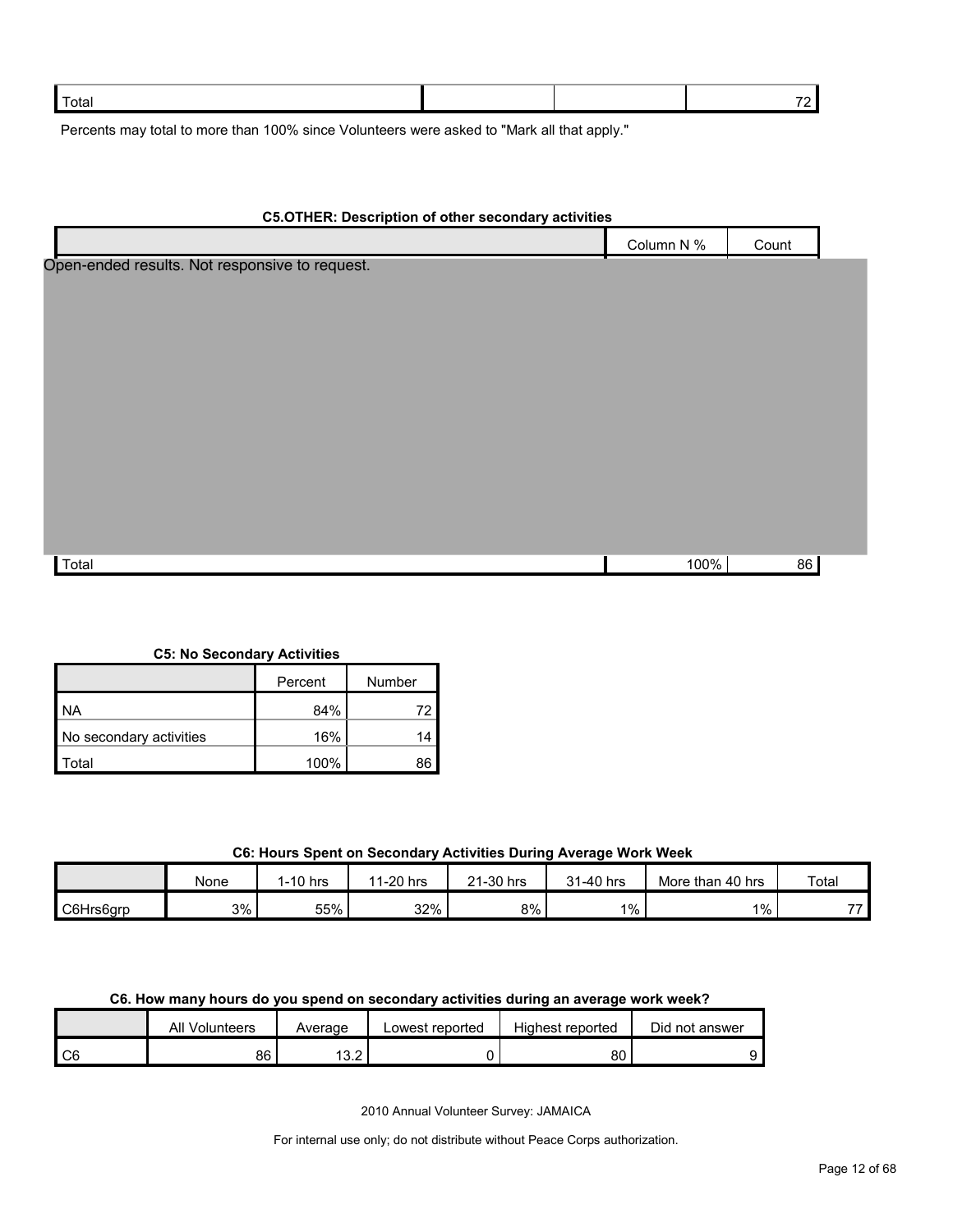| Total |  |  |
|-------|--|--|
|       |  |  |

Percents may total to more than 100% since Volunteers were asked to "Mark all that apply."

| <b>C5.OTHER: Description of other secondary activities</b> |            |       |  |
|------------------------------------------------------------|------------|-------|--|
|                                                            | Column N % | Count |  |
| Open-ended results. Not responsive to request.             |            |       |  |
|                                                            |            |       |  |
|                                                            |            |       |  |
|                                                            |            |       |  |
|                                                            |            |       |  |
|                                                            |            |       |  |
|                                                            |            |       |  |
|                                                            |            |       |  |
|                                                            |            |       |  |
|                                                            |            |       |  |
|                                                            |            |       |  |
| Total                                                      | 100%       | 86    |  |
|                                                            |            |       |  |

**C5: No Secondary Activities**

|                         | Percent | Number |
|-------------------------|---------|--------|
| <b>NA</b>               | 84%     |        |
| No secondary activities | 16%     |        |
| Total                   | 100%    | 86     |

## **C6: Hours Spent on Secondary Activities During Average Work Week**

|           | None | I-10 hrs | 1-20 hrs<br>44 | 21-30 hrs<br>$^{\circ}$ | 1-40 hrs<br>0.4 | More than 40 hrs | Total                       |
|-----------|------|----------|----------------|-------------------------|-----------------|------------------|-----------------------------|
| C6Hrs6arp | 3%   | 55%      | 32%            | 8%                      | $1\%$           | $1\%$            | $\rightarrow$ $\rightarrow$ |

## **C6. How many hours do you spend on secondary activities during an average work week?**

|                | ΑIΙ<br>Volunteers | Average     | ∟owest reported | Highest reported | Did not answer |
|----------------|-------------------|-------------|-----------------|------------------|----------------|
| C <sub>6</sub> | 86                | 1201<br>ے.ت |                 | 80               |                |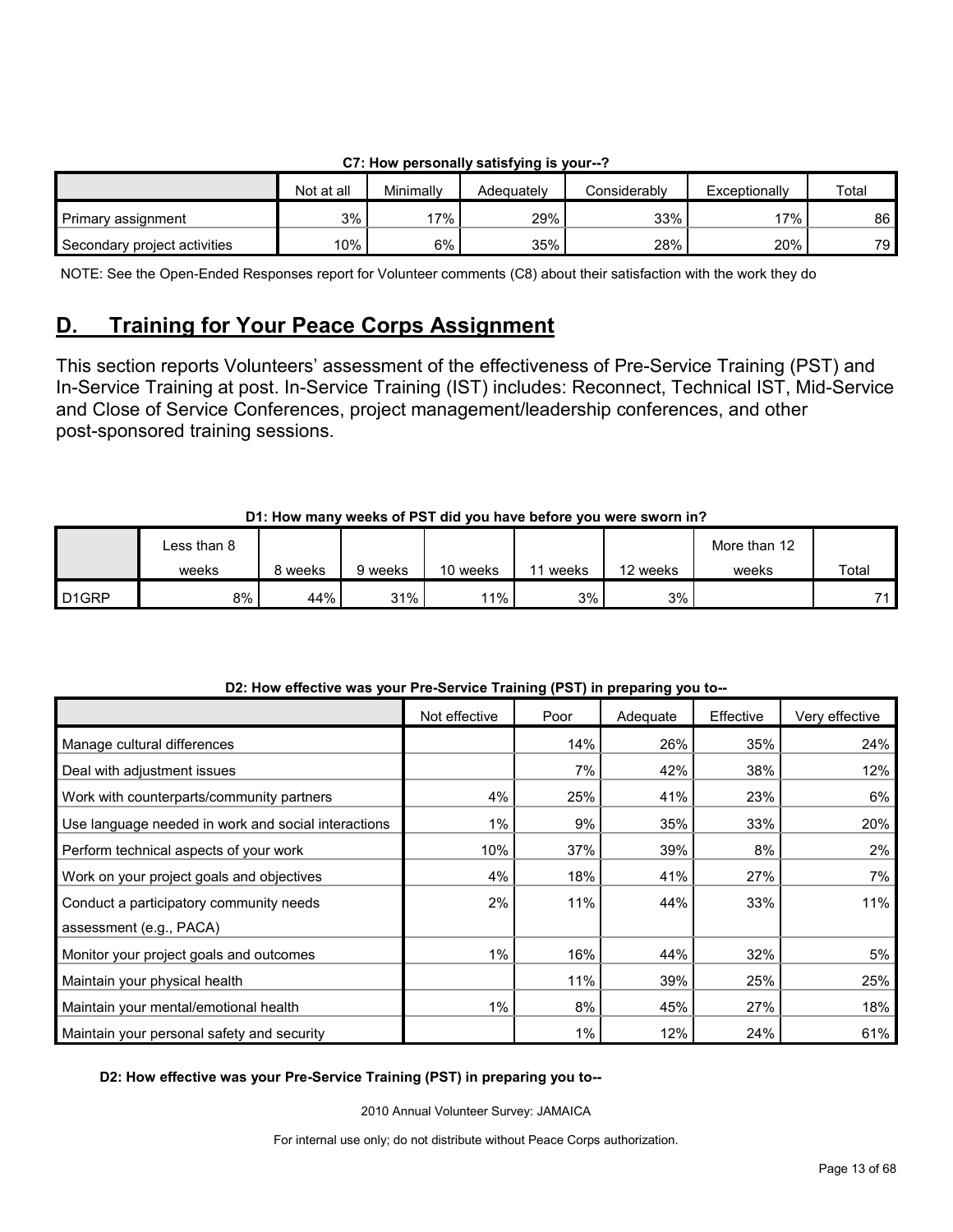|                              |            |           | $\sim$ . Then between that $\gamma$ satisfying is your $\sim$ |              |               |       |
|------------------------------|------------|-----------|---------------------------------------------------------------|--------------|---------------|-------|
|                              | Not at all | Minimally | Adeauatelv                                                    | Considerably | Exceptionally | Total |
| Primary assignment           | 3%         | 17%       | 29%                                                           | 33%          | $17\%$        | 86    |
| Secondary project activities | '0%        | 6%        | 35%                                                           | 28%          | 20%           | 79    |

## **C7: How personally satisfying is your--?**

NOTE: See the Open-Ended Responses report for Volunteer comments (C8) about their satisfaction with the work they do

# <span id="page-12-0"></span>**D. Training for Your Peace Corps Assignment**

This section reports Volunteers' assessment of the effectiveness of Pre-Service Training (PST) and In-Service Training at post. In-Service Training (IST) includes: Reconnect, Technical IST, Mid-Service and Close of Service Conferences, project management/leadership conferences, and other post-sponsored training sessions.

## **D1: How many weeks of PST did you have before you were sworn in?**

|                    | ∟ess than 8 |       |         |          |       |          | More than 12 |       |
|--------------------|-------------|-------|---------|----------|-------|----------|--------------|-------|
|                    | weeks       | weeks | 9 weeks | 10 weeks | weeks | 12 weeks | weeks        | Total |
| D <sub>1</sub> GRP | 8%          | 44%   | 31%     | 11%      | 3%    | 3%       |              | 74    |

| DZ. HOW GHGCUVG WAS YOUI I TG-OGIVICG TIAHHIIY (I OT) III PIGPAHIIY YOU tO-- | Not effective | Poor | Adequate | Effective | Very effective |
|------------------------------------------------------------------------------|---------------|------|----------|-----------|----------------|
| Manage cultural differences                                                  |               | 14%  | 26%      | 35%       | 24%            |
| Deal with adjustment issues                                                  |               | 7%   | 42%      | 38%       | 12%            |
| Work with counterparts/community partners                                    | 4%            | 25%  | 41%      | 23%       | 6%             |
| Use language needed in work and social interactions                          | $1\%$         | 9%   | 35%      | 33%       | 20%            |
| Perform technical aspects of your work                                       | 10%           | 37%  | 39%      | 8%        | 2%             |
| Work on your project goals and objectives                                    | 4%            | 18%  | 41%      | 27%       | 7%             |
| Conduct a participatory community needs                                      | 2%            | 11%  | 44%      | 33%       | 11%            |
| assessment (e.g., PACA)                                                      |               |      |          |           |                |
| Monitor your project goals and outcomes                                      | 1%            | 16%  | 44%      | 32%       | 5%             |
| Maintain your physical health                                                |               | 11%  | 39%      | 25%       | 25%            |
| Maintain your mental/emotional health                                        | $1\%$         | 8%   | 45%      | 27%       | 18%            |
| Maintain your personal safety and security                                   |               | 1%   | 12%      | 24%       | 61%            |

## D<sub>2</sub>: How effective was your Pre-Service Training (PST) in preparing you to

#### **D2: How effective was your Pre-Service Training (PST) in preparing you to--**

2010 Annual Volunteer Survey: JAMAICA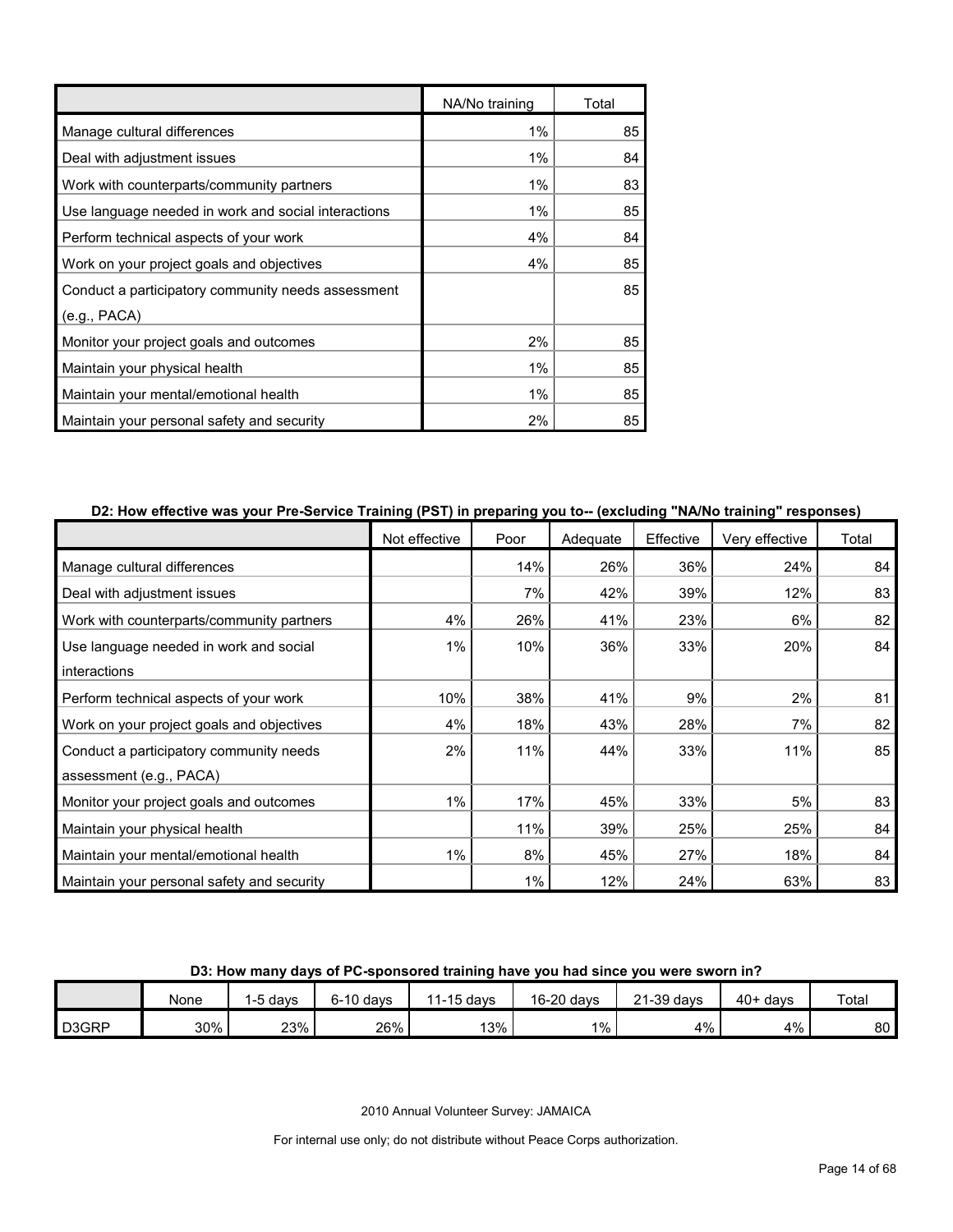|                                                     | NA/No training | Total |
|-----------------------------------------------------|----------------|-------|
| Manage cultural differences                         | 1%             | 85    |
| Deal with adjustment issues                         | $1\%$          | 84    |
| Work with counterparts/community partners           | 1%             | 83    |
| Use language needed in work and social interactions | 1%             | 85    |
| Perform technical aspects of your work              | 4%             | 84    |
| Work on your project goals and objectives           | 4%             | 85    |
| Conduct a participatory community needs assessment  |                | 85    |
| (e.g., PACA)                                        |                |       |
| Monitor your project goals and outcomes             | 2%             | 85    |
| Maintain your physical health                       | 1%             | 85    |
| Maintain your mental/emotional health               | 1%             | 85    |
| Maintain your personal safety and security          | 2%             | 85    |

## **D2: How effective was your Pre-Service Training (PST) in preparing you to-- (excluding "NA/No training" responses)**

|                                            | Not effective | Poor | Adequate | Effective | Very effective | Total |
|--------------------------------------------|---------------|------|----------|-----------|----------------|-------|
| Manage cultural differences                |               | 14%  | 26%      | 36%       | 24%            | 84    |
| Deal with adjustment issues                |               | 7%   | 42%      | 39%       | 12%            | 83    |
| Work with counterparts/community partners  | 4%            | 26%  | 41%      | 23%       | 6%             | 82    |
| Use language needed in work and social     | 1%            | 10%  | 36%      | 33%       | 20%            | 84    |
| interactions                               |               |      |          |           |                |       |
| Perform technical aspects of your work     | 10%           | 38%  | 41%      | 9%        | 2%             | 81    |
| Work on your project goals and objectives  | 4%            | 18%  | 43%      | 28%       | 7%             | 82    |
| Conduct a participatory community needs    | 2%            | 11%  | 44%      | 33%       | 11%            | 85    |
| assessment (e.g., PACA)                    |               |      |          |           |                |       |
| Monitor your project goals and outcomes    | 1%            | 17%  | 45%      | 33%       | 5%             | 83    |
| Maintain your physical health              |               | 11%  | 39%      | 25%       | 25%            | 84    |
| Maintain your mental/emotional health      | 1%            | 8%   | 45%      | 27%       | 18%            | 84    |
| Maintain your personal safety and security |               | 1%   | 12%      | 24%       | 63%            | 83    |

## **D3: How many days of PC-sponsored training have you had since you were sworn in?**

|                    | None | davs | $6-10$ davs | 11-15 days | 16-20 days | $21-39$ days | $40+$ davs | Total |
|--------------------|------|------|-------------|------------|------------|--------------|------------|-------|
| D <sub>3</sub> GRP | 30%  | 23%  | 26%         | 13%        | 1%         | 4%           | $4\%$      | 80    |

2010 Annual Volunteer Survey: JAMAICA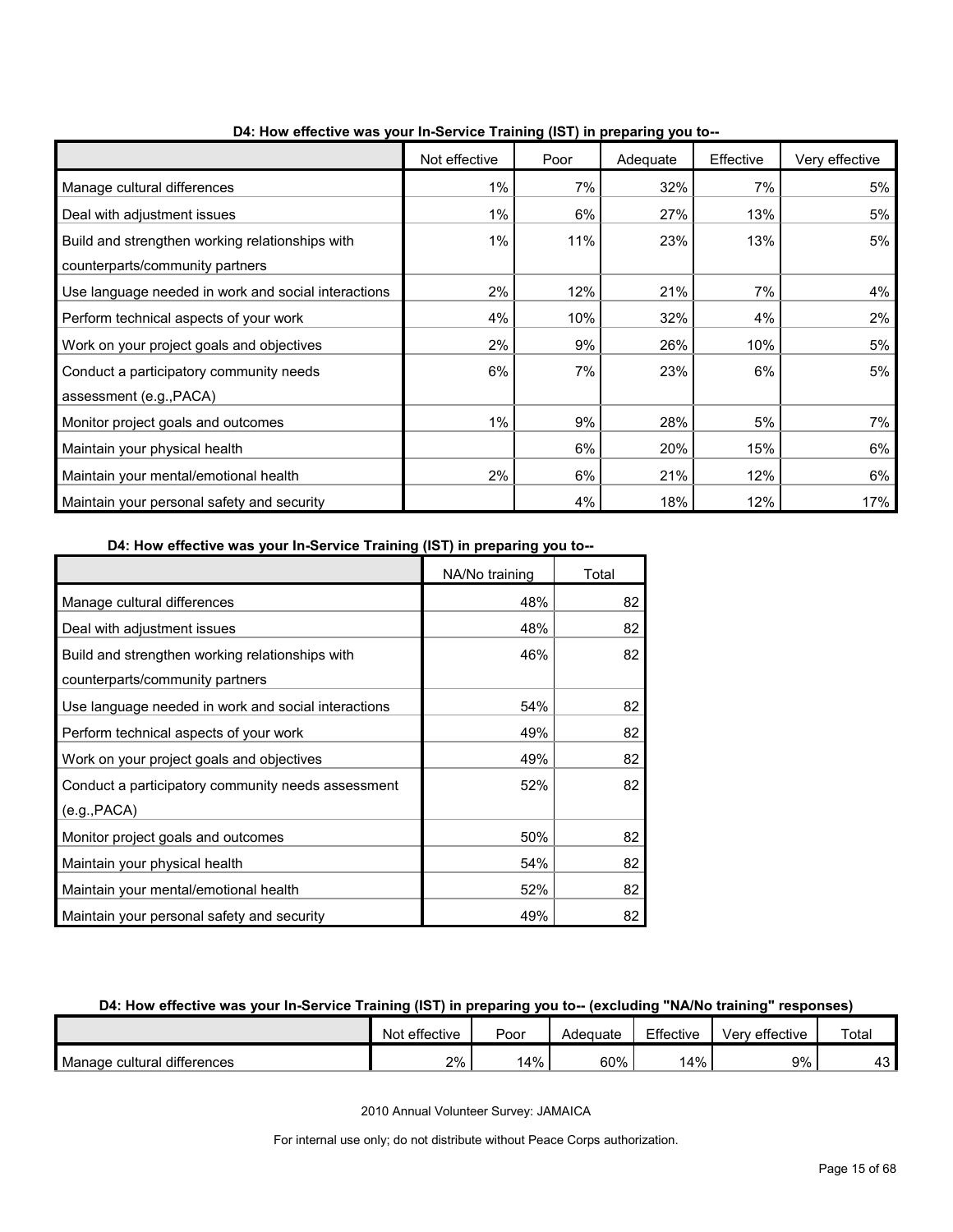|                                                                                    | Not effective | Poor | Adequate | Effective | Very effective |
|------------------------------------------------------------------------------------|---------------|------|----------|-----------|----------------|
| Manage cultural differences                                                        | 1%            | 7%   | 32%      | 7%        | 5%             |
| Deal with adjustment issues                                                        | 1%            | 6%   | 27%      | 13%       | 5%             |
| Build and strengthen working relationships with<br>counterparts/community partners | $1\%$         | 11%  | 23%      | 13%       | 5%             |
| Use language needed in work and social interactions                                | 2%            | 12%  | 21%      | 7%        | 4%             |
| Perform technical aspects of your work                                             | 4%            | 10%  | 32%      | 4%        | 2%             |
| Work on your project goals and objectives                                          | 2%            | 9%   | 26%      | 10%       | 5%             |
| Conduct a participatory community needs<br>assessment (e.g., PACA)                 | 6%            | 7%   | 23%      | 6%        | 5%             |
| Monitor project goals and outcomes                                                 | $1\%$         | 9%   | 28%      | 5%        | 7%             |
| Maintain your physical health                                                      |               | 6%   | 20%      | 15%       | 6%             |
| Maintain your mental/emotional health                                              | 2%            | 6%   | 21%      | 12%       | 6%             |
| Maintain your personal safety and security                                         |               | 4%   | 18%      | 12%       | 17%            |

**D4: How effective was your In-Service Training (IST) in preparing you to--**

**D4: How effective was your In-Service Training (IST) in preparing you to--**

|                                                     | NA/No training | Total |
|-----------------------------------------------------|----------------|-------|
| Manage cultural differences                         | 48%            | 82    |
| Deal with adjustment issues                         | 48%            | 82    |
| Build and strengthen working relationships with     | 46%            | 82    |
| counterparts/community partners                     |                |       |
| Use language needed in work and social interactions | 54%            | 82    |
| Perform technical aspects of your work              | 49%            | 82    |
| Work on your project goals and objectives           | 49%            | 82    |
| Conduct a participatory community needs assessment  | 52%            | 82    |
| (e.g., PACA)                                        |                |       |
| Monitor project goals and outcomes                  | 50%            | 82    |
| Maintain your physical health                       | 54%            | 82    |
| Maintain your mental/emotional health               | 52%            | 82    |
| Maintain your personal safety and security          | 49%            | 82    |

## **D4: How effective was your In-Service Training (IST) in preparing you to-- (excluding "NA/No training" responses)**

|                             | Not effective | Poor | Adequate | Effective | ' effective<br>/erv | Total   |
|-----------------------------|---------------|------|----------|-----------|---------------------|---------|
| Manage cultural differences | 2%            | 14%  | 60%      | 14%       | 9%                  | ៱<br>⊤∪ |

2010 Annual Volunteer Survey: JAMAICA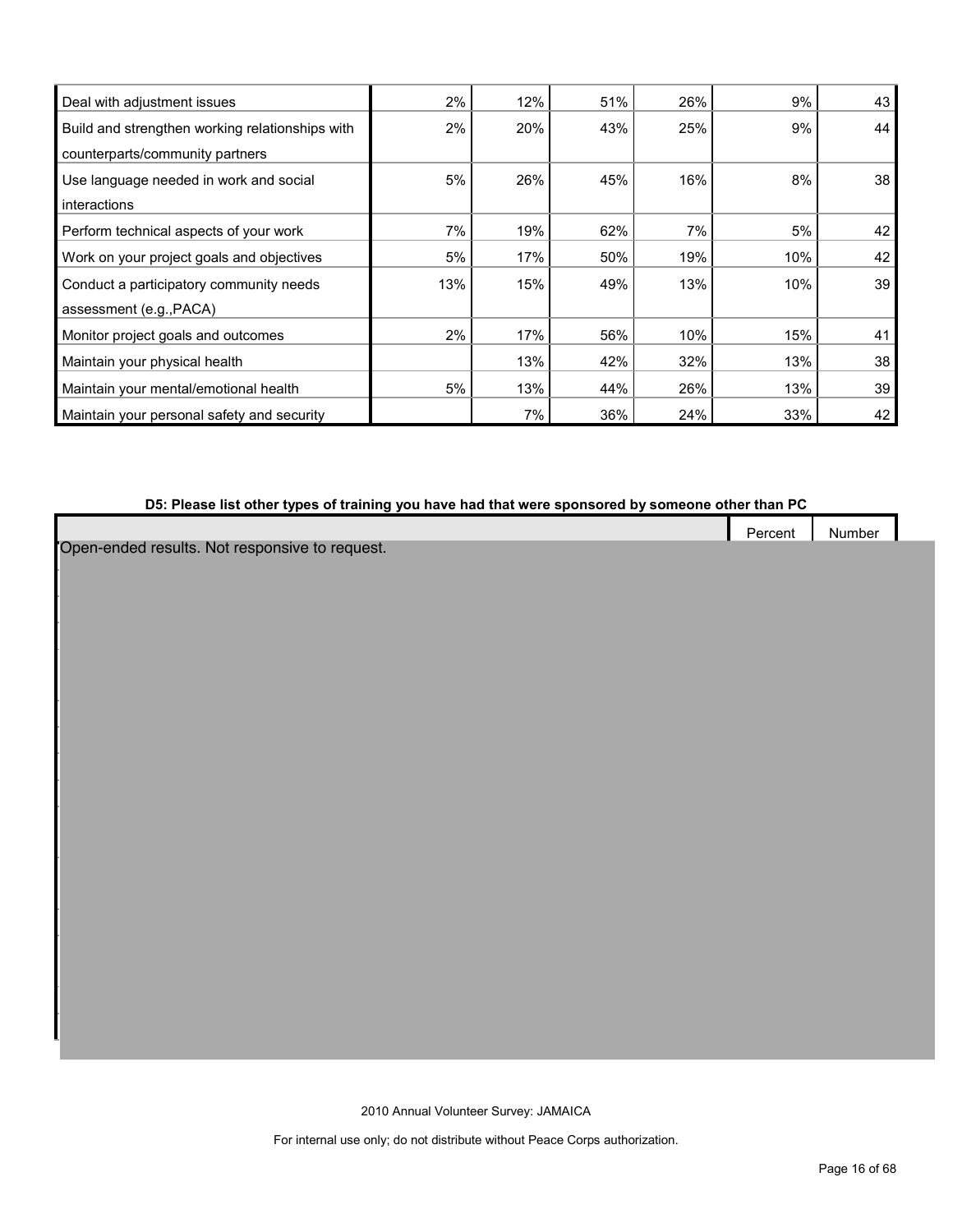| Deal with adjustment issues                     | 2%  | 12% | 51% | 26% | 9%  | 43 |
|-------------------------------------------------|-----|-----|-----|-----|-----|----|
| Build and strengthen working relationships with | 2%  | 20% | 43% | 25% | 9%  | 44 |
| counterparts/community partners                 |     |     |     |     |     |    |
| Use language needed in work and social          | 5%  | 26% | 45% | 16% | 8%  | 38 |
| interactions                                    |     |     |     |     |     |    |
| Perform technical aspects of your work          | 7%  | 19% | 62% | 7%  | 5%  | 42 |
| Work on your project goals and objectives       | 5%  | 17% | 50% | 19% | 10% | 42 |
| Conduct a participatory community needs         | 13% | 15% | 49% | 13% | 10% | 39 |
| assessment (e.g., PACA)                         |     |     |     |     |     |    |
| Monitor project goals and outcomes              | 2%  | 17% | 56% | 10% | 15% | 41 |
| Maintain your physical health                   |     | 13% | 42% | 32% | 13% | 38 |
| Maintain your mental/emotional health           | 5%  | 13% | 44% | 26% | 13% | 39 |
| Maintain your personal safety and security      |     | 7%  | 36% | 24% | 33% | 42 |

# **D5: Please list other types of training you have had that were sponsored by someone other than PC**

Percent Number

Open-ended results. Not responsive to request.

2010 Annual Volunteer Survey: JAMAICA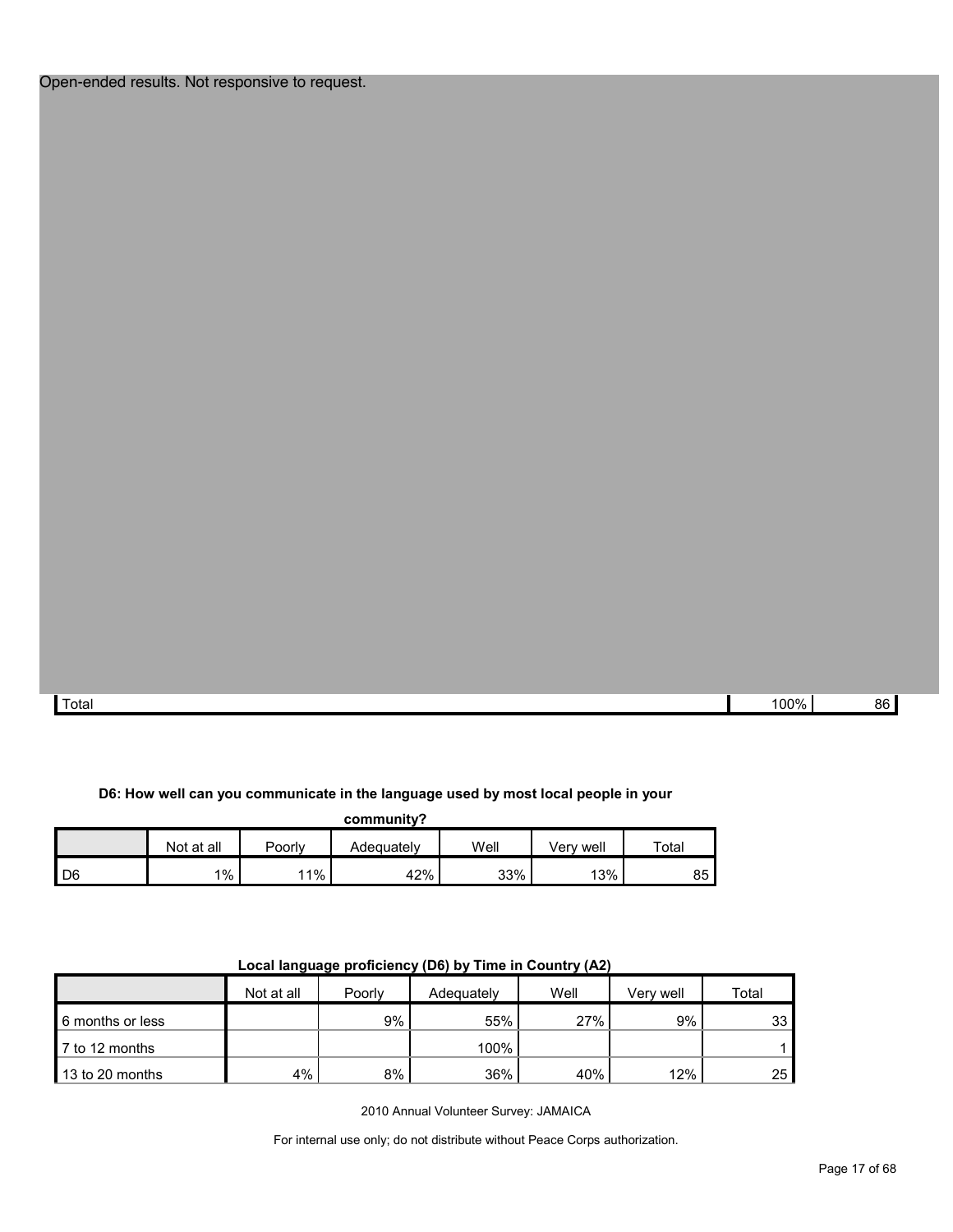Total 100% 86

## **D6: How well can you communicate in the language used by most local people in your**

**community?**

|    | Not at all | Poorly | Adequatelv | Well | Verv well | $\tau$ otal |
|----|------------|--------|------------|------|-----------|-------------|
| D6 | 1%         | 11%    | 42%        | 33%  | 13%       | 85          |

| .                |            |        |            |      |           |       |  |
|------------------|------------|--------|------------|------|-----------|-------|--|
|                  | Not at all | Poorly | Adequately | Well | Verv well | Total |  |
| 6 months or less |            | 9%     | 55%        | 27%  | 9%        | 33    |  |
| 7 to 12 months   |            |        | 100%       |      |           |       |  |
| 13 to 20 months  | 4%         | 8%     | 36%        | 40%  | 12%       | 25    |  |

## **Local language proficiency (D6) by Time in Country (A2)**

2010 Annual Volunteer Survey: JAMAICA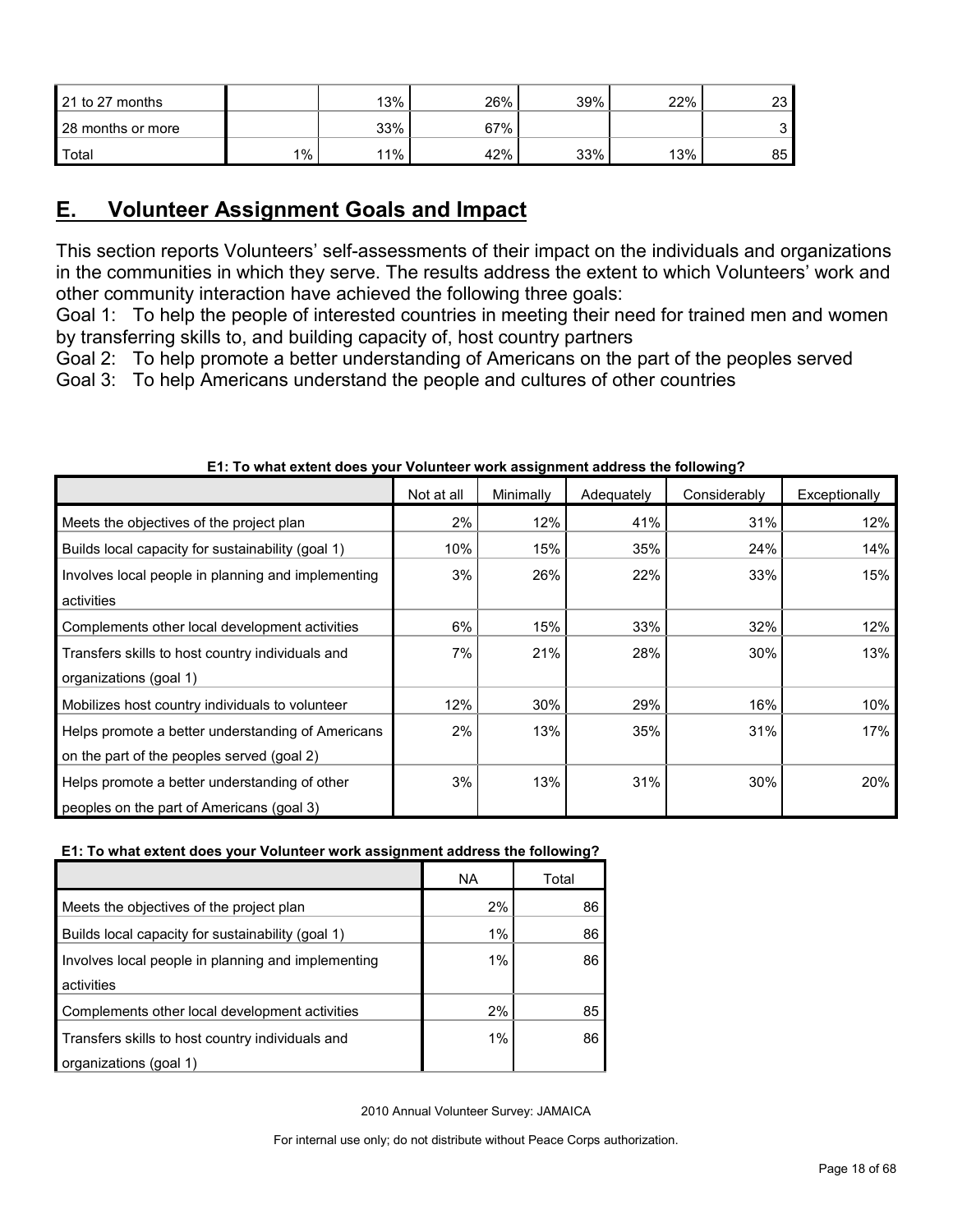| 21 to 27 months   |       | 13% | 26% | 39% | 22% | 23 |
|-------------------|-------|-----|-----|-----|-----|----|
| 28 months or more |       | 33% | 67% |     |     | ີ  |
| Total             | $1\%$ | 11% | 42% | 33% | 13% | 85 |

# <span id="page-17-0"></span>**E. Volunteer Assignment Goals and Impact**

This section reports Volunteers' self-assessments of their impact on the individuals and organizations in the communities in which they serve. The results address the extent to which Volunteers' work and other community interaction have achieved the following three goals:

Goal 1: To help the people of interested countries in meeting their need for trained men and women by transferring skills to, and building capacity of, host country partners

Goal 2: To help promote a better understanding of Americans on the part of the peoples served

Goal 3: To help Americans understand the people and cultures of other countries

|                                                    | Not at all | Minimally | Adequately | Considerably | Exceptionally |
|----------------------------------------------------|------------|-----------|------------|--------------|---------------|
| Meets the objectives of the project plan           | 2%         | 12%       | 41%        | 31%          | 12%           |
| Builds local capacity for sustainability (goal 1)  | 10%        | 15%       | 35%        | 24%          | 14%           |
| Involves local people in planning and implementing | 3%         | 26%       | 22%        | 33%          | 15%           |
| activities                                         |            |           |            |              |               |
| Complements other local development activities     | 6%         | 15%       | 33%        | 32%          | 12%           |
| Transfers skills to host country individuals and   | 7%         | 21%       | 28%        | 30%          | 13%           |
| organizations (goal 1)                             |            |           |            |              |               |
| Mobilizes host country individuals to volunteer    | 12%        | 30%       | 29%        | 16%          | 10%           |
| Helps promote a better understanding of Americans  | 2%         | 13%       | 35%        | 31%          | 17%           |
| on the part of the peoples served (goal 2)         |            |           |            |              |               |
| Helps promote a better understanding of other      | 3%         | 13%       | 31%        | 30%          | 20%           |
| peoples on the part of Americans (goal 3)          |            |           |            |              |               |

## **E1: To what extent does your Volunteer work assignment address the following?**

## **E1: To what extent does your Volunteer work assignment address the following?**

|                                                    | <b>NA</b> | Total |
|----------------------------------------------------|-----------|-------|
| Meets the objectives of the project plan           | 2%        | 86    |
| Builds local capacity for sustainability (goal 1)  | 1%        | 86    |
| Involves local people in planning and implementing | 1%        | 86    |
| activities                                         |           |       |
| Complements other local development activities     | 2%        | 85    |
| Transfers skills to host country individuals and   | 1%        | 86    |
| organizations (goal 1)                             |           |       |

2010 Annual Volunteer Survey: JAMAICA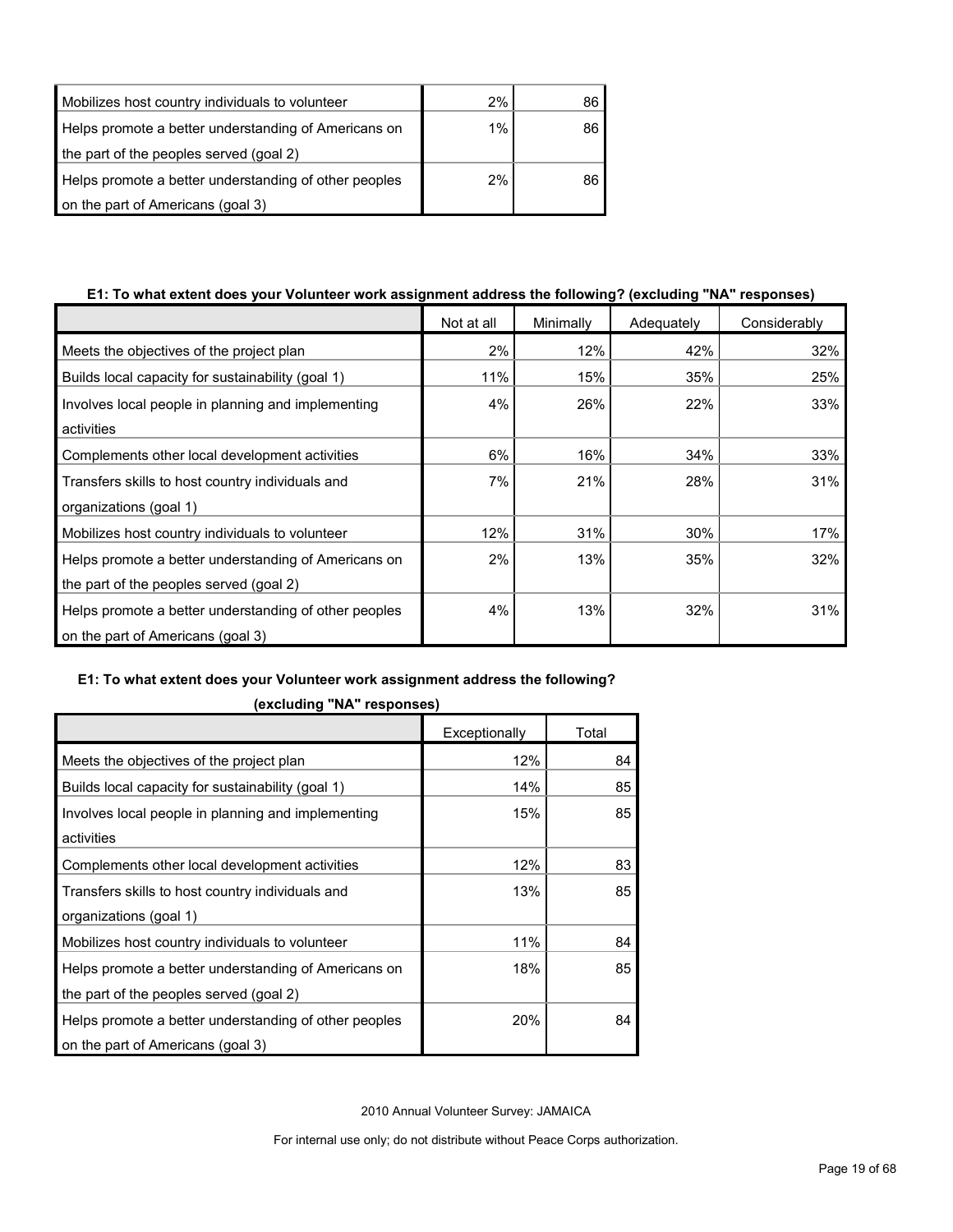| Mobilizes host country individuals to volunteer       | 2%    | 86 |
|-------------------------------------------------------|-------|----|
| Helps promote a better understanding of Americans on  | $1\%$ | 86 |
| the part of the peoples served (goal 2)               |       |    |
| Helps promote a better understanding of other peoples | 2%    | 86 |
| on the part of Americans (goal 3)                     |       |    |

## **E1: To what extent does your Volunteer work assignment address the following? (excluding "NA" responses)**

|                                                       | Not at all | Minimally | Adequately | Considerably |
|-------------------------------------------------------|------------|-----------|------------|--------------|
| Meets the objectives of the project plan              | 2%         | 12%       | 42%        | 32%          |
| Builds local capacity for sustainability (goal 1)     | 11%        | 15%       | 35%        | 25%          |
| Involves local people in planning and implementing    | 4%         | 26%       | 22%        | 33%          |
| activities                                            |            |           |            |              |
| Complements other local development activities        | 6%         | 16%       | 34%        | 33%          |
| Transfers skills to host country individuals and      | 7%         | 21%       | 28%        | 31%          |
| organizations (goal 1)                                |            |           |            |              |
| Mobilizes host country individuals to volunteer       | 12%        | 31%       | 30%        | 17%          |
| Helps promote a better understanding of Americans on  | 2%         | 13%       | 35%        | 32%          |
| the part of the peoples served (goal 2)               |            |           |            |              |
| Helps promote a better understanding of other peoples | 4%         | 13%       | 32%        | 31%          |
| on the part of Americans (goal 3)                     |            |           |            |              |

## **E1: To what extent does your Volunteer work assignment address the following?**

|                                                       | Exceptionally | Total |
|-------------------------------------------------------|---------------|-------|
| Meets the objectives of the project plan              | 12%           | 84    |
| Builds local capacity for sustainability (goal 1)     | 14%           | 85    |
| Involves local people in planning and implementing    | 15%           | 85    |
| activities                                            |               |       |
| Complements other local development activities        | 12%           | 83    |
| Transfers skills to host country individuals and      | 13%           | 85    |
| organizations (goal 1)                                |               |       |
| Mobilizes host country individuals to volunteer       | 11%           | 84    |
| Helps promote a better understanding of Americans on  | 18%           | 85    |
| the part of the peoples served (goal 2)               |               |       |
| Helps promote a better understanding of other peoples | 20%           | 84    |
| on the part of Americans (goal 3)                     |               |       |

**(excluding "NA" responses)**

2010 Annual Volunteer Survey: JAMAICA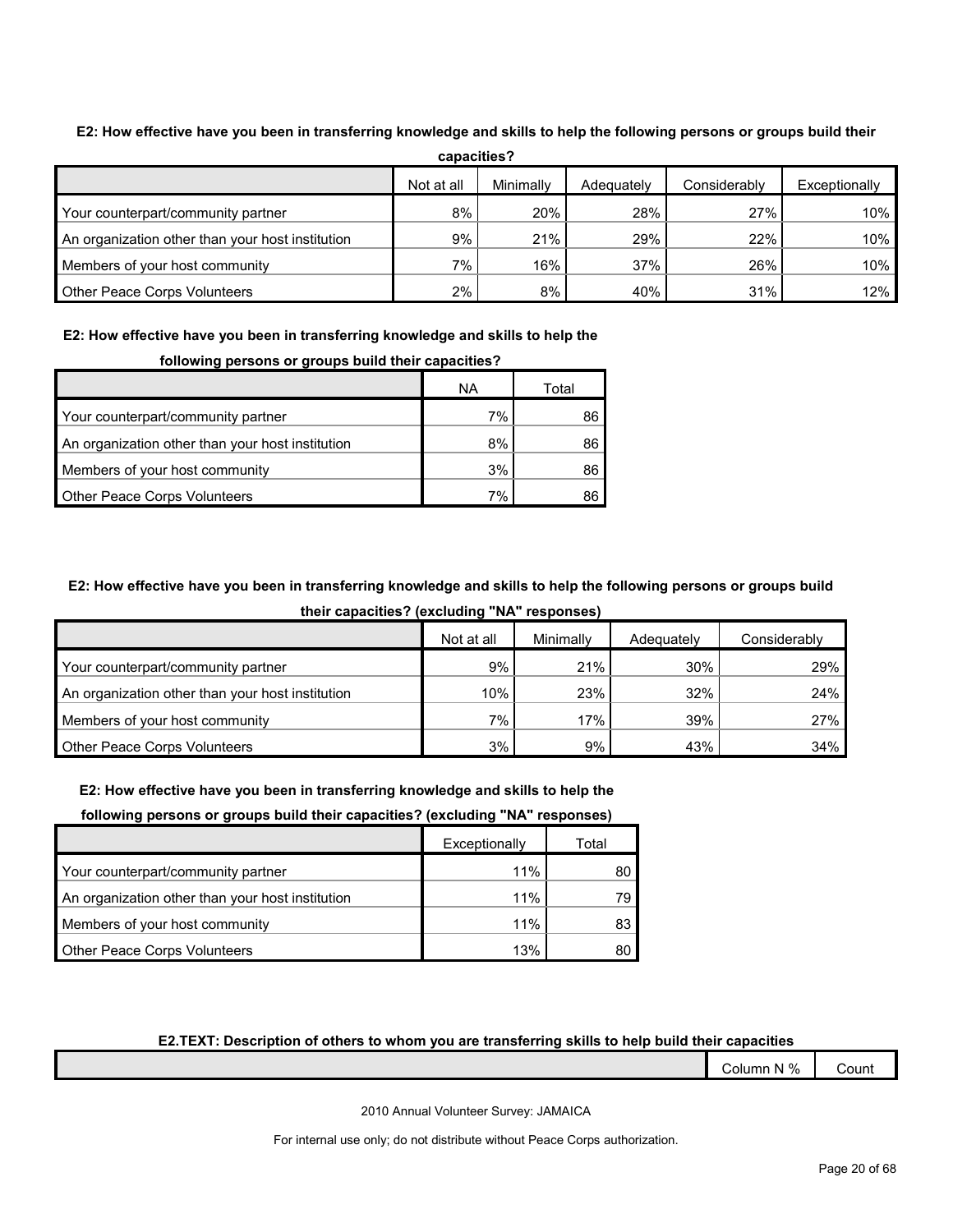| capacities?                                      |            |           |            |              |               |  |  |
|--------------------------------------------------|------------|-----------|------------|--------------|---------------|--|--|
|                                                  | Not at all | Minimally | Adequately | Considerably | Exceptionally |  |  |
| Your counterpart/community partner               | 8%         | 20%       | 28%        | 27%          | 10%           |  |  |
| An organization other than your host institution | 9%         | 21%       | 29%        | 22%          | 10%           |  |  |
| Members of your host community                   | 7%         | 16%       | 37%        | 26%          | 10%           |  |  |
| <b>Other Peace Corps Volunteers</b>              | 2%         | 8%        | 40%        | 31%          | 12%           |  |  |

## **E2: How effective have you been in transferring knowledge and skills to help the following persons or groups build their**

## **E2: How effective have you been in transferring knowledge and skills to help the**

| <u>reneming persone or groups wand mon-oupdomiser</u> |    |       |  |  |
|-------------------------------------------------------|----|-------|--|--|
|                                                       | ΝA | Total |  |  |
| Your counterpart/community partner                    | 7% | 86    |  |  |
| An organization other than your host institution      | 8% | 86    |  |  |
| Members of your host community                        | 3% | 86    |  |  |
| <b>Other Peace Corps Volunteers</b>                   | 7% | 86    |  |  |

#### **following persons or groups build their capacities?**

## **E2: How effective have you been in transferring knowledge and skills to help the following persons or groups build**

**their capacities? (excluding "NA" responses)**

|                                                  | Not at all | Minimally | Adequately | Considerably |
|--------------------------------------------------|------------|-----------|------------|--------------|
| Your counterpart/community partner               | 9%         | 21%       | 30%        | 29%          |
| An organization other than your host institution | 10%        | 23%       | 32%        | 24%          |
| Members of your host community                   | $7\%$      | 17%       | 39%        | 27%          |
| <b>Other Peace Corps Volunteers</b>              | 3%         | 9%        | 43%        | 34%          |

#### **E2: How effective have you been in transferring knowledge and skills to help the**

#### **following persons or groups build their capacities? (excluding "NA" responses)**

|                                                  | Exceptionally | Total |
|--------------------------------------------------|---------------|-------|
| Your counterpart/community partner               | 11%           | 80    |
| An organization other than your host institution | 11%           | 79    |
| Members of your host community                   | 11%           | 83    |
| <b>Other Peace Corps Volunteers</b>              | 13%           |       |

## **E2.TEXT: Description of others to whom you are transferring skills to help build their capacities**

| Column N % | Count |
|------------|-------|
|------------|-------|

2010 Annual Volunteer Survey: JAMAICA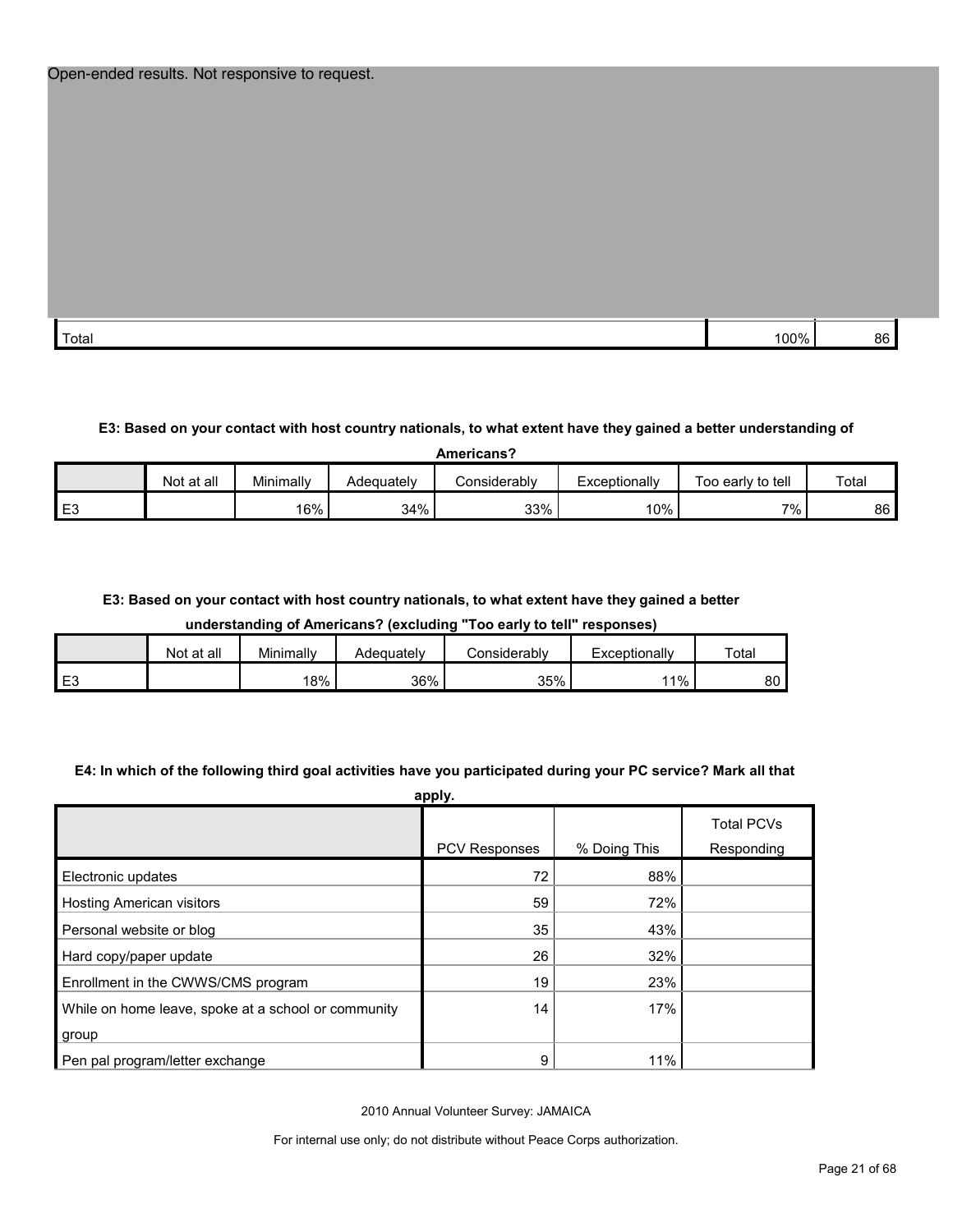| Total | `nn% | 86 |
|-------|------|----|

## **E3: Based on your contact with host country nationals, to what extent have they gained a better understanding of**

| Americans?     |            |           |            |              |               |                   |       |  |
|----------------|------------|-----------|------------|--------------|---------------|-------------------|-------|--|
|                | Not at all | Minimally | Adequately | Considerablv | Exceptionally | Too early to tell | Total |  |
| E <sub>3</sub> |            | 16%       | 34%        | 33%          | $10\%$        | $7\%$ .           | 86    |  |

#### **E3: Based on your contact with host country nationals, to what extent have they gained a better**

**understanding of Americans? (excluding "Too early to tell" responses)**

|                | Not at all | Minimally | Adequatelv | onsiderablyٽ | Exceptionally | Total         |
|----------------|------------|-----------|------------|--------------|---------------|---------------|
| E <sub>3</sub> |            | 18%       | 36%        | 35%          | $^{\circ}$ 1% | $\circ$<br>οU |

#### **E4: In which of the following third goal activities have you participated during your PC service? Mark all that**

| apply.                                              |               |              |                   |  |  |  |
|-----------------------------------------------------|---------------|--------------|-------------------|--|--|--|
|                                                     |               |              | <b>Total PCVs</b> |  |  |  |
|                                                     | PCV Responses | % Doing This | Responding        |  |  |  |
| Electronic updates                                  | 72            | 88%          |                   |  |  |  |
| <b>Hosting American visitors</b>                    | 59            | 72%          |                   |  |  |  |
| Personal website or blog                            | 35            | 43%          |                   |  |  |  |
| Hard copy/paper update                              | 26            | 32%          |                   |  |  |  |
| Enrollment in the CWWS/CMS program                  | 19            | 23%          |                   |  |  |  |
| While on home leave, spoke at a school or community | 14            | 17%          |                   |  |  |  |
| group                                               |               |              |                   |  |  |  |
| Pen pal program/letter exchange                     | 9             | 11%          |                   |  |  |  |

2010 Annual Volunteer Survey: JAMAICA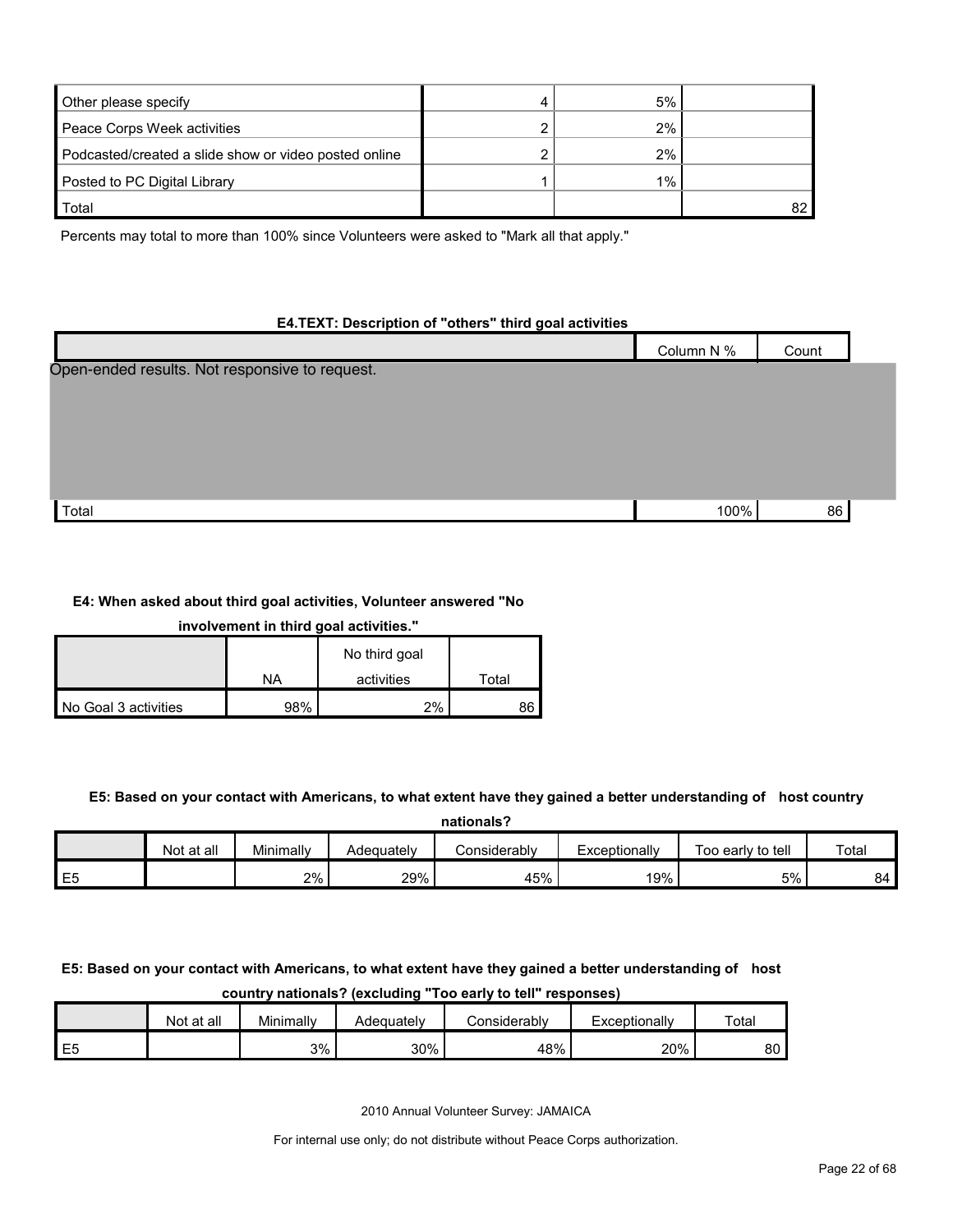| Other please specify                                  |   | 5%    |    |
|-------------------------------------------------------|---|-------|----|
| Peace Corps Week activities                           | າ | 2%    |    |
| Podcasted/created a slide show or video posted online | ົ | 2%    |    |
| Posted to PC Digital Library                          |   | $1\%$ |    |
| Total                                                 |   |       | 82 |

Percents may total to more than 100% since Volunteers were asked to "Mark all that apply."

## **E4.TEXT: Description of "others" third goal activities**

|                                                | Column N % | Count |  |
|------------------------------------------------|------------|-------|--|
| Open-ended results. Not responsive to request. |            |       |  |
|                                                |            |       |  |
|                                                |            |       |  |
|                                                |            |       |  |
|                                                |            |       |  |
| Total                                          | 100%       | 86    |  |

#### **E4: When asked about third goal activities, Volunteer answered "No**

| involvement in third goal activities." |  |  |
|----------------------------------------|--|--|
|                                        |  |  |

|                      |     | No third goal |       |
|----------------------|-----|---------------|-------|
|                      | NA  | activities    | Total |
| No Goal 3 activities | 98% | 2%            |       |

#### **E5: Based on your contact with Americans, to what extent have they gained a better understanding of host country**

|    | nationals? |           |            |              |               |                   |       |  |  |  |
|----|------------|-----------|------------|--------------|---------------|-------------------|-------|--|--|--|
|    | Not at all | Minimally | Adequately | Considerably | Exceptionally | Too early to tell | Total |  |  |  |
| E5 |            | 2%        | 29%        | 45%          | 19%           | 5%                | 84    |  |  |  |

## **E5: Based on your contact with Americans, to what extent have they gained a better understanding of host country nationals? (excluding "Too early to tell" responses)**

|           | Not at all | Minimally | Adequately | Considerably | Exceptionallv | Total |
|-----------|------------|-----------|------------|--------------|---------------|-------|
| . EF<br>└ |            | 3%        | 30%        | 48%          | 20%           | 80    |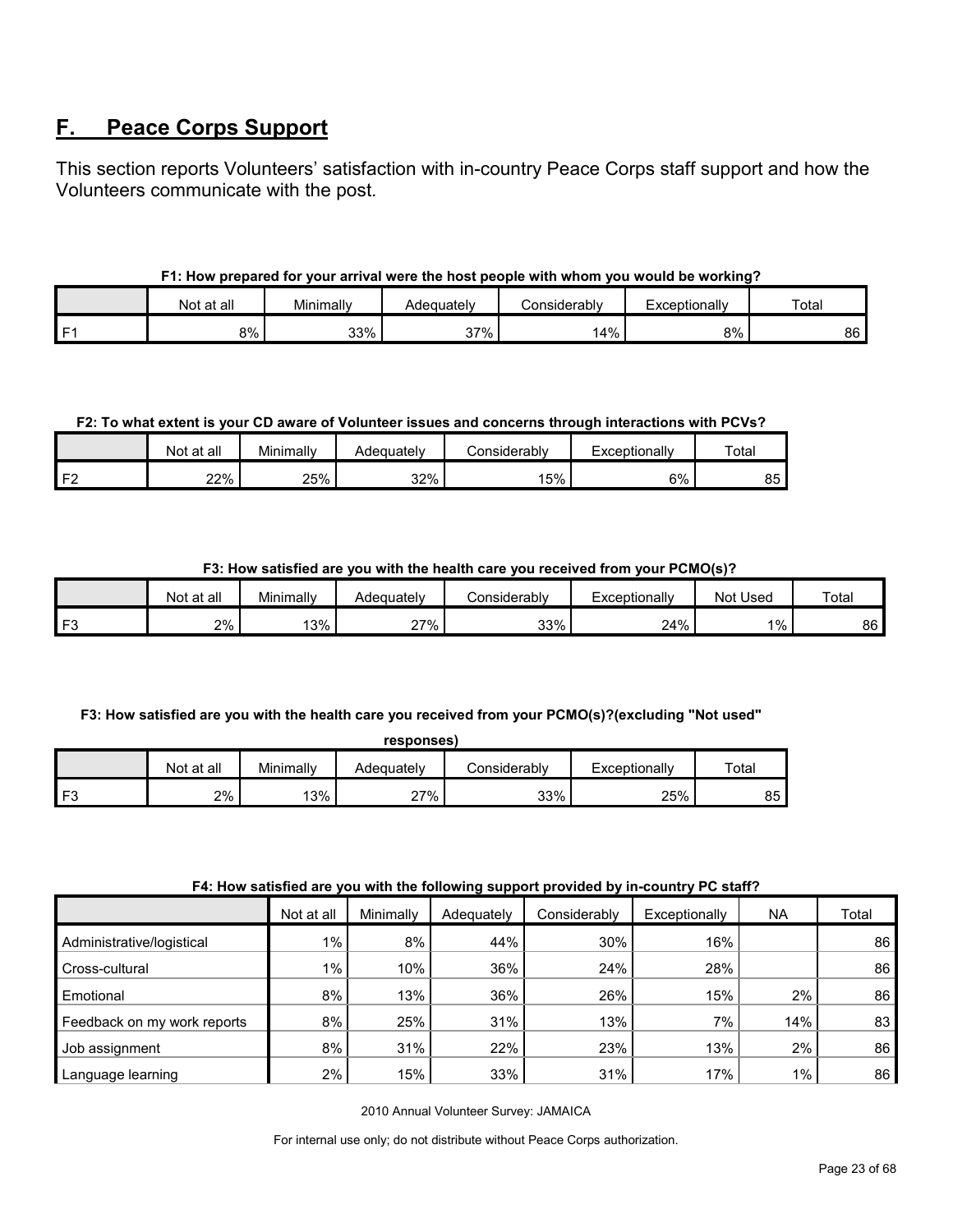# <span id="page-22-0"></span>**F. Peace Corps Support**

This section reports Volunteers' satisfaction with in-country Peace Corps staff support and how the Volunteers communicate with the post.

## **F1: How prepared for your arrival were the host people with whom you would be working?**

|      | Not at all | Minimally | Adequatelv       | Considerably | Exceptionally | Total |
|------|------------|-----------|------------------|--------------|---------------|-------|
| l F1 | 8%         | 33%       | 37%<br>، ب<br>70 | 14%          | 8%            | 86    |

## **F2: To what extent is your CD aware of Volunteer issues and concerns through interactions with PCVs?**

|      | Not at all | Minimally | Adeɑuatelv | ≿onsiderablv | Exceptionallv | $\tau$ otai |
|------|------------|-----------|------------|--------------|---------------|-------------|
| I F^ | 22%        | 25%       | 32%        | 15%          | 6%            | 85          |

## **F3: How satisfied are you with the health care you received from your PCMO(s)?**

| Not at all | Minimally | Adequatelv          | ا onsiderabl∨ | Exceptionally | Used<br>Not | Total |
|------------|-----------|---------------------|---------------|---------------|-------------|-------|
| 2%         | 3%        | $27\%$<br><u> 4</u> | 33%           | 24%           | $1\%$       | 86    |

## **F3: How satisfied are you with the health care you received from your PCMO(s)?(excluding "Not used"**

|          |            |           | responses) |                |               |       |
|----------|------------|-----------|------------|----------------|---------------|-------|
|          | Not at all | Minimally | Adequately | ا Considerablv | Exceptionally | Total |
| F٩<br>ن. | 2%         | 13%       | 27%        | 33%            | 25%           | 85    |

#### **F4: How satisfied are you with the following support provided by in-country PC staff?**

|                             | Not at all | Minimally | Adequately | Considerably | Exceptionally | <b>NA</b> | Total |
|-----------------------------|------------|-----------|------------|--------------|---------------|-----------|-------|
| Administrative/logistical   | $1\%$      | 8%        | 44%        | 30%          | 16%           |           | 86    |
| Cross-cultural              | $1\%$      | 10%       | 36%        | 24%          | 28%           |           | 86    |
| Emotional                   | 8%         | 13%       | 36%        | 26%          | 15%           | 2%        | 86    |
| Feedback on my work reports | 8%         | 25%       | 31%        | 13%          | 7%            | 14%       | 83    |
| Job assignment              | 8%         | 31%       | 22%        | 23%          | 13%           | 2%        | 86    |
| Language learning           | 2%         | 15%       | 33%        | 31%          | 17%           | $1\%$     | 86    |

2010 Annual Volunteer Survey: JAMAICA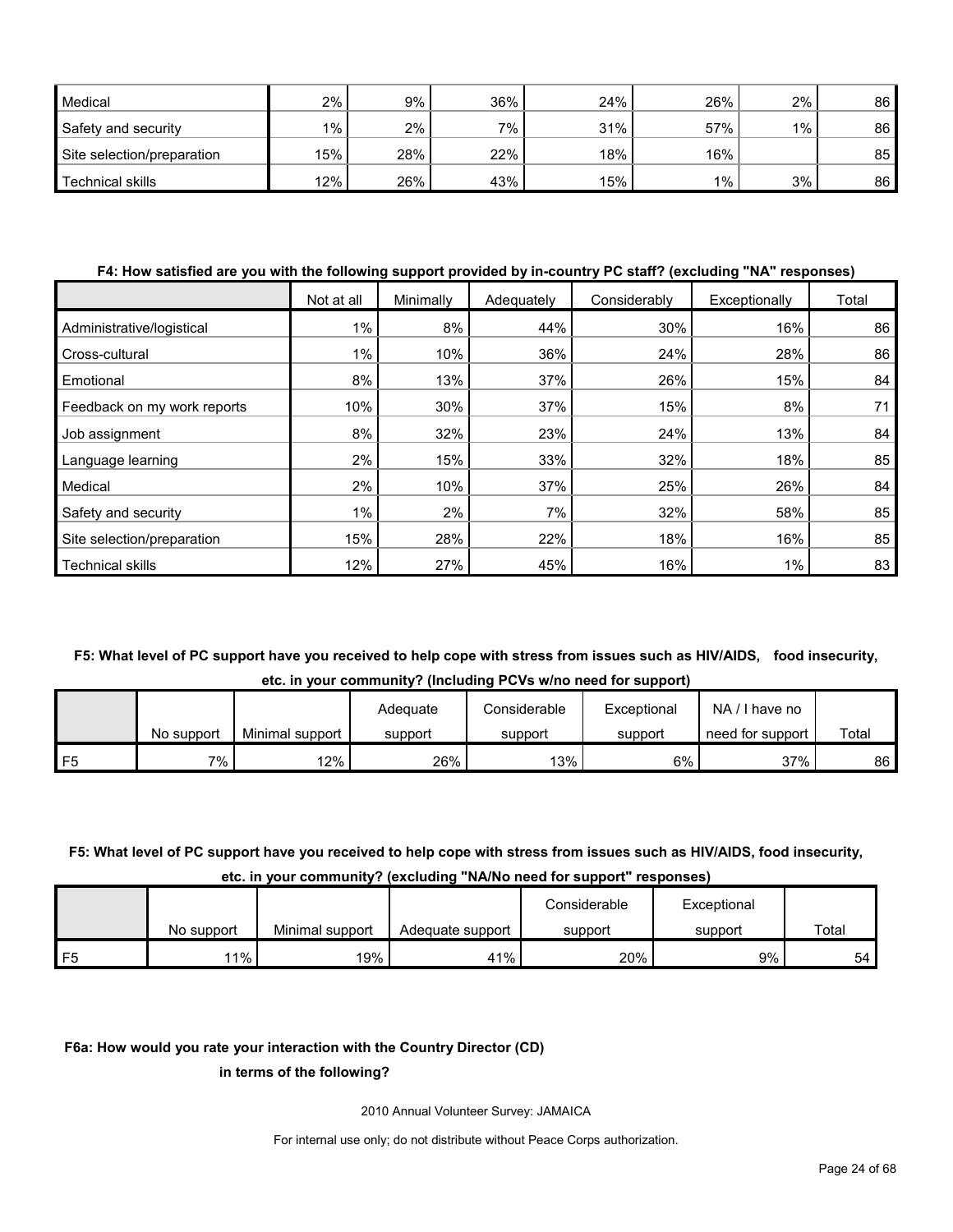| Medical                    | $2\%$ | 9%  | 36% | 24% | 26% | 2%      | 86 |
|----------------------------|-------|-----|-----|-----|-----|---------|----|
| Safety and security        | $1\%$ | 2%  | 7%  | 31% | 57% | $1\%$ . | 86 |
| Site selection/preparation | 15%   | 28% | 22% | 18% | 16% |         | 85 |
| Technical skills           | 12%   | 26% | 43% | 15% | 1%  | 3%      | 86 |

#### **F4: How satisfied are you with the following support provided by in-country PC staff? (excluding "NA" responses)**

|                             | Not at all | Minimally | Adequately | Considerably | Exceptionally | Total |
|-----------------------------|------------|-----------|------------|--------------|---------------|-------|
| Administrative/logistical   | $1\%$      | 8%        | 44%        | 30%          | 16%           | 86    |
| Cross-cultural              | $1\%$      | 10%       | 36%        | 24%          | 28%           | 86    |
| Emotional                   | 8%         | 13%       | 37%        | 26%          | 15%           | 84    |
| Feedback on my work reports | 10%        | 30%       | 37%        | 15%          | 8%            | 71    |
| Job assignment              | 8%         | 32%       | 23%        | 24%          | 13%           | 84    |
| Language learning           | 2%         | 15%       | 33%        | 32%          | 18%           | 85    |
| Medical                     | 2%         | 10%       | 37%        | 25%          | 26%           | 84    |
| Safety and security         | $1\%$      | 2%        | 7%         | 32%          | 58%           | 85    |
| Site selection/preparation  | 15%        | 28%       | 22%        | 18%          | 16%           | 85    |
| <b>Technical skills</b>     | 12%        | 27%       | 45%        | 16%          | $1\%$         | 83    |

## **F5: What level of PC support have you received to help cope with stress from issues such as HIV/AIDS, food insecurity, etc. in your community? (Including PCVs w/no need for support)**

|    |            |                 | Adeguate | Considerable | Exceptional | NA.<br>I have no |       |
|----|------------|-----------------|----------|--------------|-------------|------------------|-------|
|    | No support | Minimal support | support  | support      | support     | need for support | Total |
| F5 | 7%         | 12%             | 26%      | 13%          | 6%          | 37%              | 86    |

## **F5: What level of PC support have you received to help cope with stress from issues such as HIV/AIDS, food insecurity, etc. in your community? (excluding "NA/No need for support" responses)**

|      |            |                 |                  | Considerable | Exceptional |       |
|------|------------|-----------------|------------------|--------------|-------------|-------|
|      | No support | Minimal support | Adequate support | support      | support     | Total |
| l F5 | $1\%$      | 19%             | 41%              | 20%          | 9%          | 54    |

#### **F6a: How would you rate your interaction with the Country Director (CD)**

#### **in terms of the following?**

2010 Annual Volunteer Survey: JAMAICA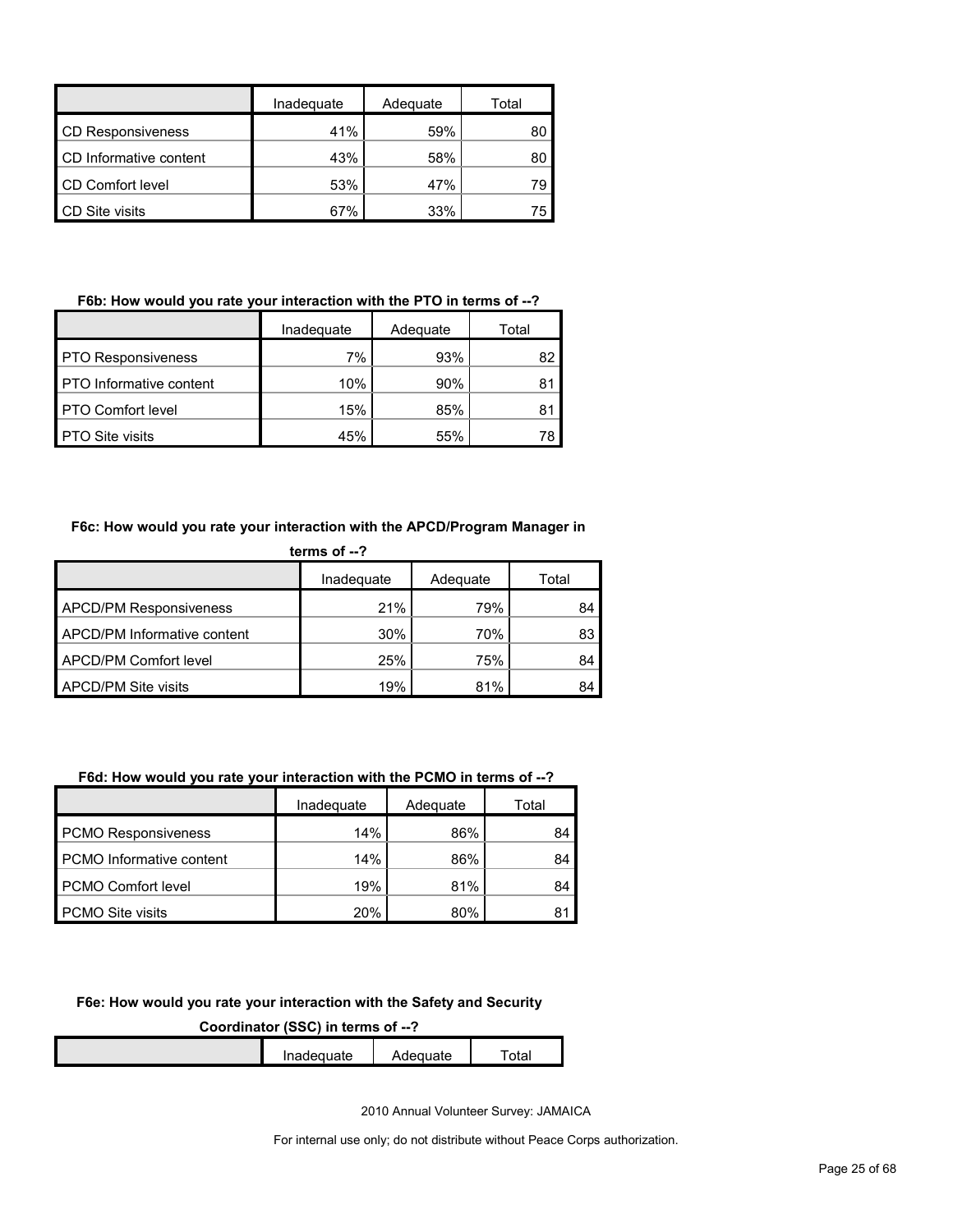|                          | Inadequate | Adequate | Total |
|--------------------------|------------|----------|-------|
| <b>CD Responsiveness</b> | 41%        | 59%      | 80    |
| CD Informative content   | 43%        | 58%      | 80    |
| CD Comfort level         | 53%        | 47%      | 79    |
| <b>CD Site visits</b>    | 67%        | 33%      | 75    |

## **F6b: How would you rate your interaction with the PTO in terms of --?**

|                                | Inadequate<br>Adequate |     | Total |  |
|--------------------------------|------------------------|-----|-------|--|
| <b>PTO Responsiveness</b>      | 7%                     | 93% | 82    |  |
| <b>PTO</b> Informative content | 10%                    | 90% | 81    |  |
| <b>PTO Comfort level</b>       | 15%                    | 85% | 81    |  |
| <b>PTO Site visits</b>         | 45%                    | 55% |       |  |

## **F6c: How would you rate your interaction with the APCD/Program Manager in**

| terms of $-2$                 |            |          |       |  |
|-------------------------------|------------|----------|-------|--|
|                               | Inadequate | Adequate | Total |  |
| <b>APCD/PM Responsiveness</b> | 21%        | 79%      | 84    |  |
| APCD/PM Informative content   | 30%        | 70%      | 83    |  |
| APCD/PM Comfort level         | 25%        | 75%      | 84    |  |
| <b>APCD/PM Site visits</b>    | 19%        | 81%      | 84    |  |

## **F6d: How would you rate your interaction with the PCMO in terms of --?**

|                            | Inadeguate | Adequate | Total |  |
|----------------------------|------------|----------|-------|--|
| <b>PCMO Responsiveness</b> | 14%        | 86%      | 84    |  |
| PCMO Informative content   | 14%        | 86%      | 84    |  |
| PCMO Comfort level         | 19%        | 81%      | 84    |  |
| <b>PCMO Site visits</b>    | 20%        | 80%      | 81    |  |

#### **F6e: How would you rate your interaction with the Safety and Security**

**Coordinator (SSC) in terms of --?**

| Inadeguate | dequate | าtai |
|------------|---------|------|
|            |         |      |

2010 Annual Volunteer Survey: JAMAICA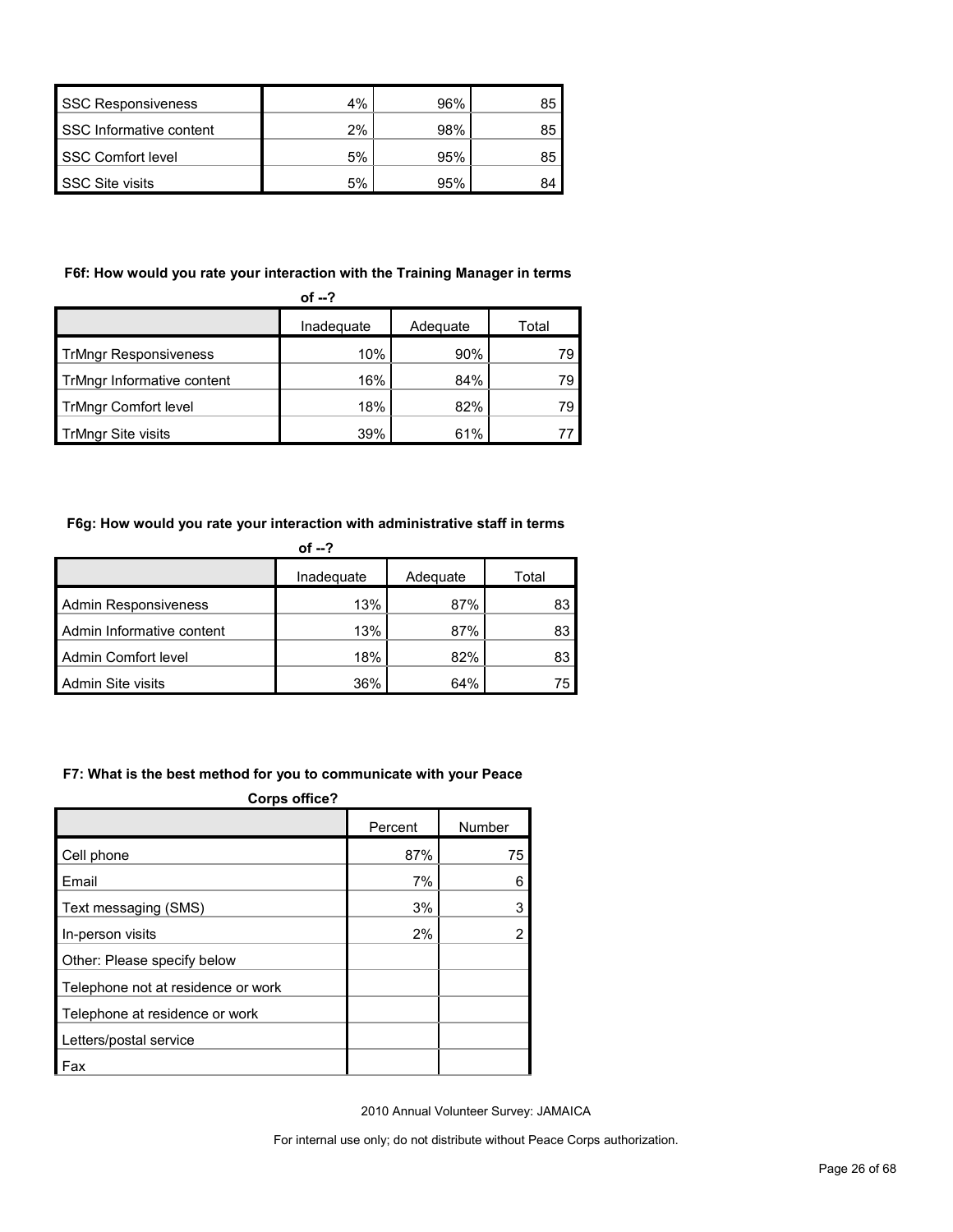| <b>SSC Responsiveness</b> | 4% | 96% | 85 |
|---------------------------|----|-----|----|
| SSC Informative content   | 2% | 98% | 85 |
| <b>SSC Comfort level</b>  | 5% | 95% | 85 |
| <b>SSC Site visits</b>    | 5% | 95% | 84 |

## **F6f: How would you rate your interaction with the Training Manager in terms**

| of $-2$                      |            |          |       |  |
|------------------------------|------------|----------|-------|--|
|                              | Inadequate | Adequate | Total |  |
| <b>TrMngr Responsiveness</b> | 10%        | 90%      | 79    |  |
| TrMngr Informative content   | 16%        | 84%      | 79    |  |
| <b>TrMngr Comfort level</b>  | 18%        | 82%      | 79    |  |
| TrMngr Site visits           | 39%        | 61%      |       |  |

## **F6g: How would you rate your interaction with administrative staff in terms**

|                             | of $-2$    |          |       |
|-----------------------------|------------|----------|-------|
|                             | Inadequate | Adequate | Total |
| <b>Admin Responsiveness</b> | 13%        | 87%      | 83    |
| Admin Informative content   | 13%        | 87%      | 83    |
| Admin Comfort level         | 18%        | 82%      | 83    |
| Admin Site visits           | 36%        | 64%      | 75    |

#### **F7: What is the best method for you to communicate with your Peace**

| <b>Corps office?</b>               |         |        |  |  |
|------------------------------------|---------|--------|--|--|
|                                    | Percent | Number |  |  |
| Cell phone                         | 87%     | 75     |  |  |
| Email                              | 7%      | 6      |  |  |
| Text messaging (SMS)               | 3%      | 3      |  |  |
| In-person visits                   | 2%      | 2      |  |  |
| Other: Please specify below        |         |        |  |  |
| Telephone not at residence or work |         |        |  |  |
| Telephone at residence or work     |         |        |  |  |
| Letters/postal service             |         |        |  |  |
| Fax                                |         |        |  |  |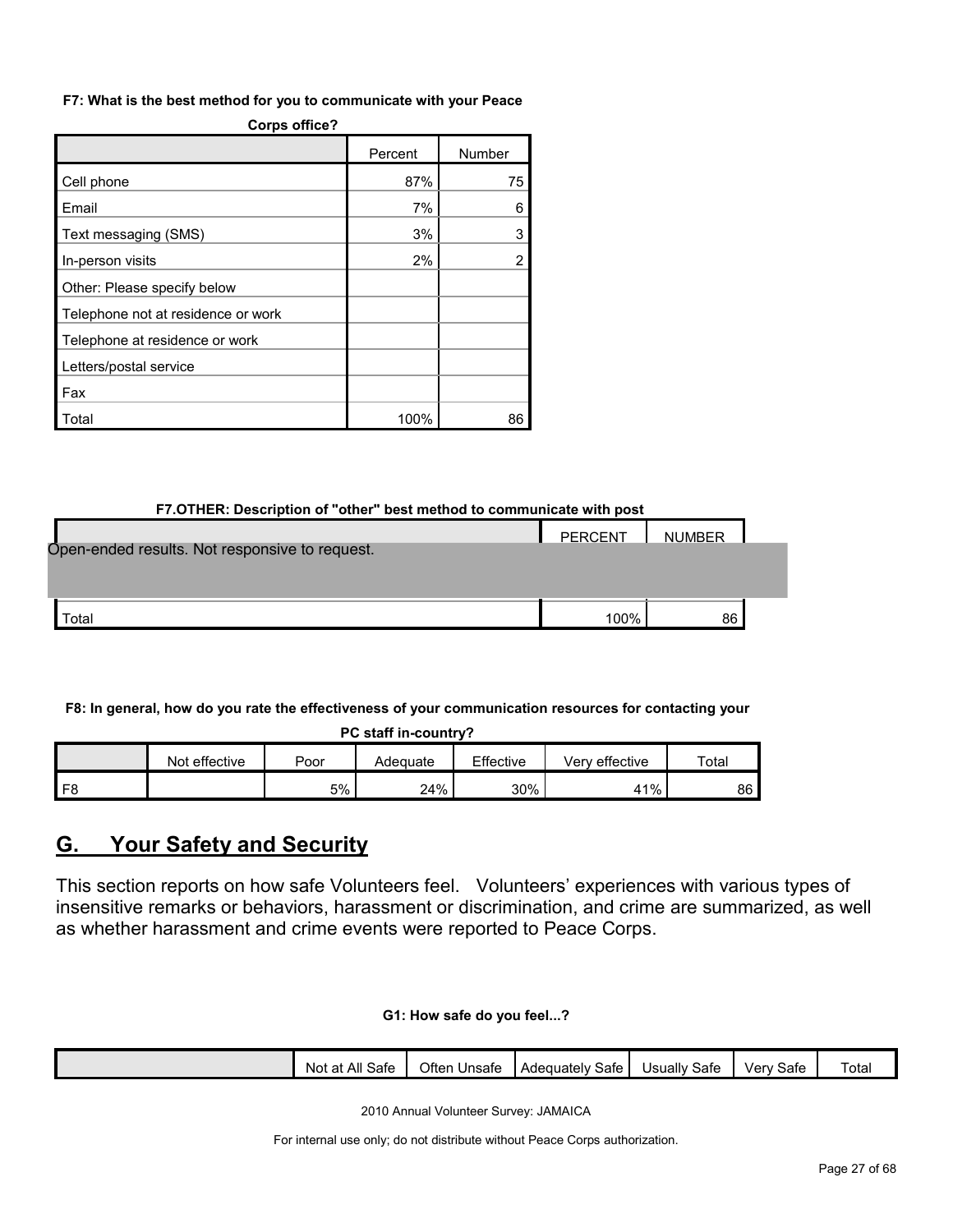#### **F7: What is the best method for you to communicate with your Peace**

| Corps office?                      |         |        |  |  |  |
|------------------------------------|---------|--------|--|--|--|
|                                    | Percent | Number |  |  |  |
| Cell phone                         | 87%     | 75     |  |  |  |
| Email                              | 7%      | 6      |  |  |  |
| Text messaging (SMS)               | 3%      | 3      |  |  |  |
| In-person visits                   | 2%      | 2      |  |  |  |
| Other: Please specify below        |         |        |  |  |  |
| Telephone not at residence or work |         |        |  |  |  |
| Telephone at residence or work     |         |        |  |  |  |
| Letters/postal service             |         |        |  |  |  |
| Fax                                |         |        |  |  |  |
| Total                              | 100%    | 86     |  |  |  |

## **Corps office?**

#### **F7.OTHER: Description of "other" best method to communicate with post**

|                                                | PERCENT | <b>NUMBER</b> |  |
|------------------------------------------------|---------|---------------|--|
| Open-ended results. Not responsive to request. |         |               |  |
|                                                |         |               |  |
|                                                |         |               |  |
| Total                                          | 100%    | 86            |  |

## **F8: In general, how do you rate the effectiveness of your communication resources for contacting your**

|  |  | PC staff in-country? |
|--|--|----------------------|
|--|--|----------------------|

|                | Not effective | Poor | Adequate | Effective | effective<br>Verv | Total |
|----------------|---------------|------|----------|-----------|-------------------|-------|
| F <sub>8</sub> |               | 5%   | 24%      | 30%       | 41%               | 86 l  |

# <span id="page-26-0"></span>**G. Your Safety and Security**

This section reports on how safe Volunteers feel. Volunteers' experiences with various types of insensitive remarks or behaviors, harassment or discrimination, and crime are summarized, as well as whether harassment and crime events were reported to Peace Corps.

#### **G1: How safe do you feel...?**

|  |  | All<br>Sate<br>Not<br>n+<br>đι | Often<br>Unsate | Adequately<br>Sate | $\sim$<br>Safe<br>Jsuallv | $\overline{\phantom{a}}$<br>Sate<br>√er∖ | $\overline{\phantom{0}}$<br>⊺otal |
|--|--|--------------------------------|-----------------|--------------------|---------------------------|------------------------------------------|-----------------------------------|
|--|--|--------------------------------|-----------------|--------------------|---------------------------|------------------------------------------|-----------------------------------|

2010 Annual Volunteer Survey: JAMAICA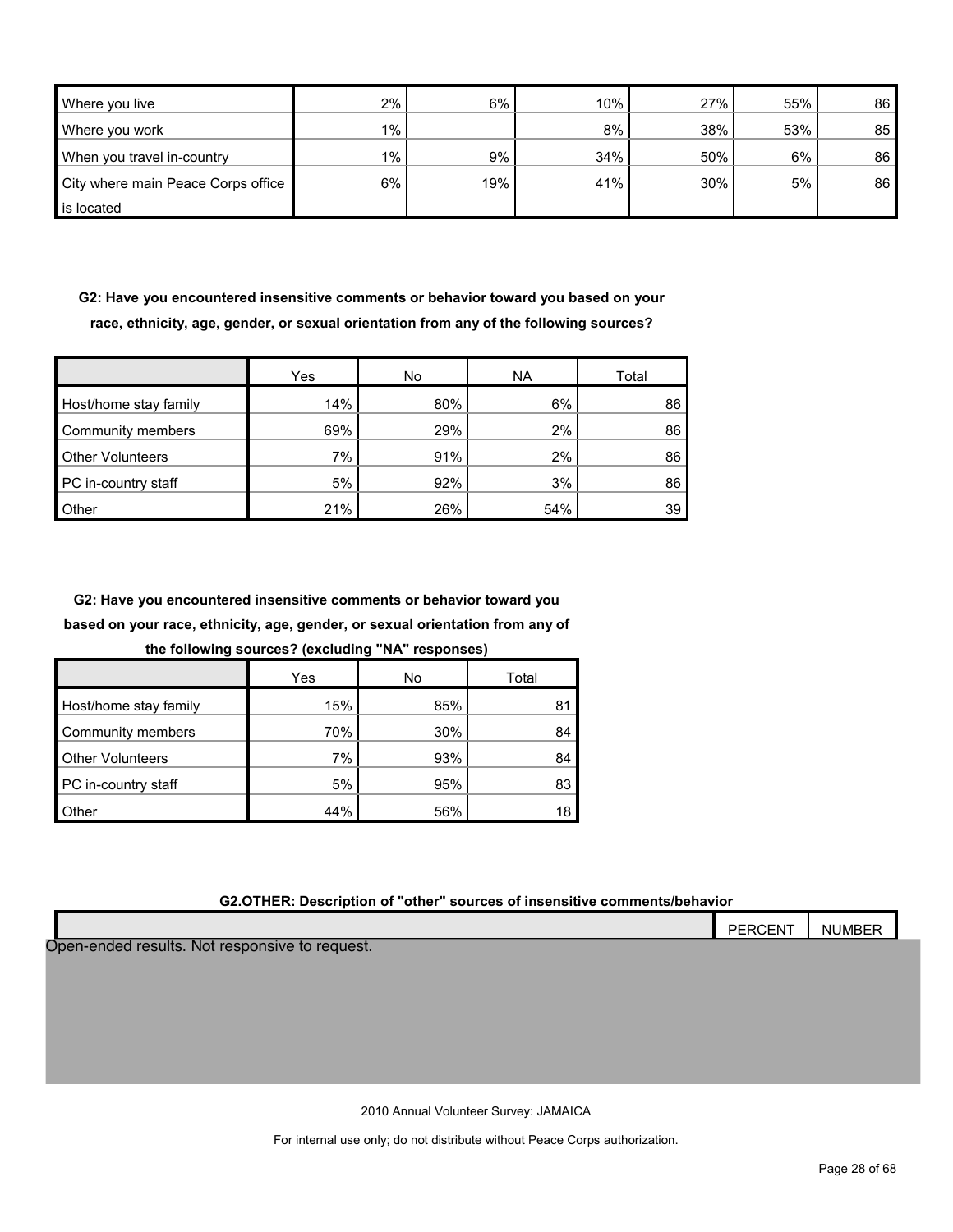| Where you live                     | 2%    | 6%  | 10% | 27% | 55% | 86 |
|------------------------------------|-------|-----|-----|-----|-----|----|
| Where you work                     | $1\%$ |     | 8%  | 38% | 53% | 85 |
| When you travel in-country         | 1%    | 9%  | 34% | 50% | 6%  | 86 |
| City where main Peace Corps office | 6%    | 19% | 41% | 30% | 5%  | 86 |
| is located                         |       |     |     |     |     |    |

**G2: Have you encountered insensitive comments or behavior toward you based on your race, ethnicity, age, gender, or sexual orientation from any of the following sources?**

|                         | Yes | No  | <b>NA</b> | Total |
|-------------------------|-----|-----|-----------|-------|
| Host/home stay family   | 14% | 80% | 6%        | 86    |
| Community members       | 69% | 29% | 2%        | 86    |
| <b>Other Volunteers</b> | 7%  | 91% | 2%        | 86    |
| PC in-country staff     | 5%  | 92% | 3%        | 86    |
| Other                   | 21% | 26% | 54%       | 39    |

**G2: Have you encountered insensitive comments or behavior toward you based on your race, ethnicity, age, gender, or sexual orientation from any of** 

**the following sources? (excluding "NA" responses)**

|                         | Yes | No  | Total |
|-------------------------|-----|-----|-------|
| Host/home stay family   | 15% | 85% | 81    |
| Community members       | 70% | 30% | 84    |
| <b>Other Volunteers</b> | 7%  | 93% | 84    |
| PC in-country staff     | 5%  | 95% | 83    |
| Other                   | 44% | 56% |       |

#### **G2.OTHER: Description of "other" sources of insensitive comments/behavior**

|                                                | <b>PERCENT</b> | <b>NUMBER</b> |  |
|------------------------------------------------|----------------|---------------|--|
| Open-ended results. Not responsive to request. |                |               |  |
|                                                |                |               |  |
|                                                |                |               |  |
|                                                |                |               |  |
|                                                |                |               |  |
|                                                |                |               |  |
|                                                |                |               |  |

2010 Annual Volunteer Survey: JAMAICA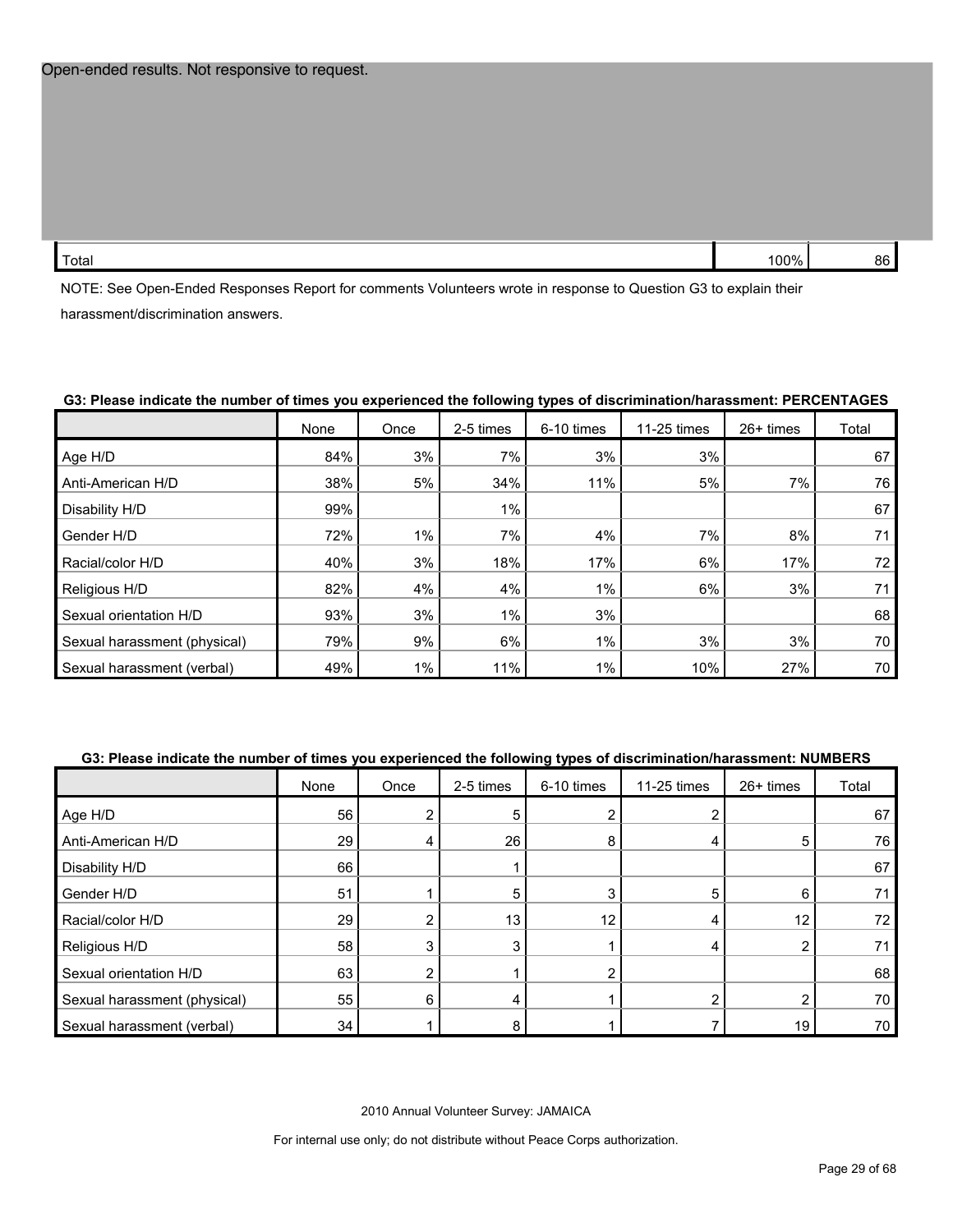| Total | 100% | 86 |
|-------|------|----|
|       |      |    |

NOTE: See Open-Ended Responses Report for comments Volunteers wrote in response to Question G3 to explain their harassment/discrimination answers.

#### **G3: Please indicate the number of times you experienced the following types of discrimination/harassment: PERCENTAGES**

|                              | None | Once  | 2-5 times | 6-10 times | 11-25 times | 26+ times | Total |
|------------------------------|------|-------|-----------|------------|-------------|-----------|-------|
| Age H/D                      | 84%  | 3%    | 7%        | 3%         | 3%          |           | 67    |
| Anti-American H/D            | 38%  | 5%    | 34%       | 11%        | 5%          | 7%        | 76    |
| Disability H/D               | 99%  |       | 1%        |            |             |           | 67    |
| Gender H/D                   | 72%  | $1\%$ | 7%        | 4%         | 7%          | 8%        | 71    |
| Racial/color H/D             | 40%  | 3%    | 18%       | 17%        | 6%          | 17%       | 72    |
| Religious H/D                | 82%  | 4%    | 4%        | 1%         | 6%          | 3%        | 71    |
| Sexual orientation H/D       | 93%  | 3%    | $1\%$     | 3%         |             |           | 68    |
| Sexual harassment (physical) | 79%  | 9%    | 6%        | 1%         | 3%          | 3%        | 70    |
| Sexual harassment (verbal)   | 49%  | $1\%$ | 11%       | 1%         | 10%         | 27%       | 70 I  |

#### **G3: Please indicate the number of times you experienced the following types of discrimination/harassment: NUMBERS**

|                              | None | Once | 2-5 times | 6-10 times | 11-25 times | 26+ times | Total |
|------------------------------|------|------|-----------|------------|-------------|-----------|-------|
| Age H/D                      | 56   |      | 5         |            |             |           | 67    |
| Anti-American H/D            | 29   | 4    | 26        | 8          | 4           | 5         | 76    |
| Disability H/D               | 66   |      |           |            |             |           | 67    |
| Gender H/D                   | 51   |      | 5         |            | 5           | 6         |       |
| Racial/color H/D             | 29   |      | 13        | 12         | 4           | 12        | 72    |
| Religious H/D                | 58   | 3    |           |            | 4           | 2         |       |
| Sexual orientation H/D       | 63   | ົ    |           |            |             |           | 68    |
| Sexual harassment (physical) | 55   | 6    |           |            | ◠           | 2         | 70    |
| Sexual harassment (verbal)   | 34   |      |           |            |             | 19        | 70    |

2010 Annual Volunteer Survey: JAMAICA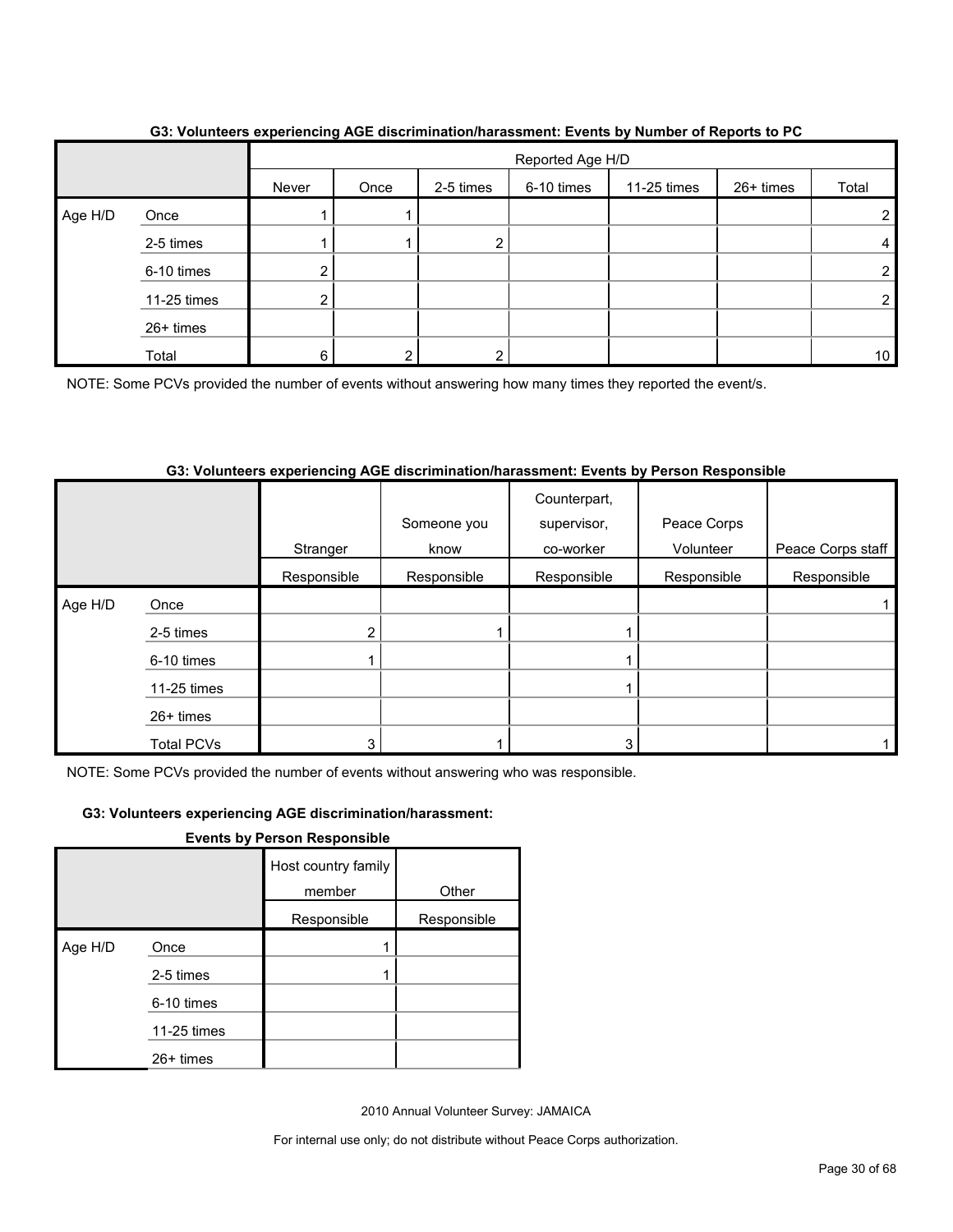|         |             | $\overline{\phantom{a}}$ | Reported Age H/D |           |            |             |           |       |
|---------|-------------|--------------------------|------------------|-----------|------------|-------------|-----------|-------|
|         |             | Never                    | Once             | 2-5 times | 6-10 times | 11-25 times | 26+ times | Total |
| Age H/D | Once        |                          |                  |           |            |             |           |       |
|         | 2-5 times   |                          |                  | ⌒         |            |             |           |       |
|         | 6-10 times  | ◠<br><u> </u>            |                  |           |            |             |           | ◠     |
|         | 11-25 times | ົ<br>$\epsilon$          |                  |           |            |             |           |       |
|         | 26+ times   |                          |                  |           |            |             |           |       |
|         | Total       | 6                        | ົ                |           |            |             |           | 10    |

## **G3: Volunteers experiencing AGE discrimination/harassment: Events by Number of Reports to PC**

NOTE: Some PCVs provided the number of events without answering how many times they reported the event/s.

## **G3: Volunteers experiencing AGE discrimination/harassment: Events by Person Responsible**

|         |                   |             | Someone you | Counterpart,<br>supervisor, | Peace Corps |                   |
|---------|-------------------|-------------|-------------|-----------------------------|-------------|-------------------|
|         |                   | Stranger    | know        | co-worker                   | Volunteer   | Peace Corps staff |
|         |                   | Responsible | Responsible | Responsible                 | Responsible | Responsible       |
| Age H/D | Once              |             |             |                             |             |                   |
|         | 2-5 times         | 2           |             |                             |             |                   |
|         | 6-10 times        |             |             |                             |             |                   |
|         | 11-25 times       |             |             |                             |             |                   |
|         | $26+$ times       |             |             |                             |             |                   |
|         | <b>Total PCVs</b> | 3           |             | 3                           |             |                   |

NOTE: Some PCVs provided the number of events without answering who was responsible.

#### **G3: Volunteers experiencing AGE discrimination/harassment:**

**Events by Person Responsible**

|         |             | Host country family<br>member | Other       |
|---------|-------------|-------------------------------|-------------|
|         |             | Responsible                   | Responsible |
| Age H/D | Once        |                               |             |
|         | 2-5 times   |                               |             |
|         | 6-10 times  |                               |             |
|         | 11-25 times |                               |             |
|         | 26+ times   |                               |             |

2010 Annual Volunteer Survey: JAMAICA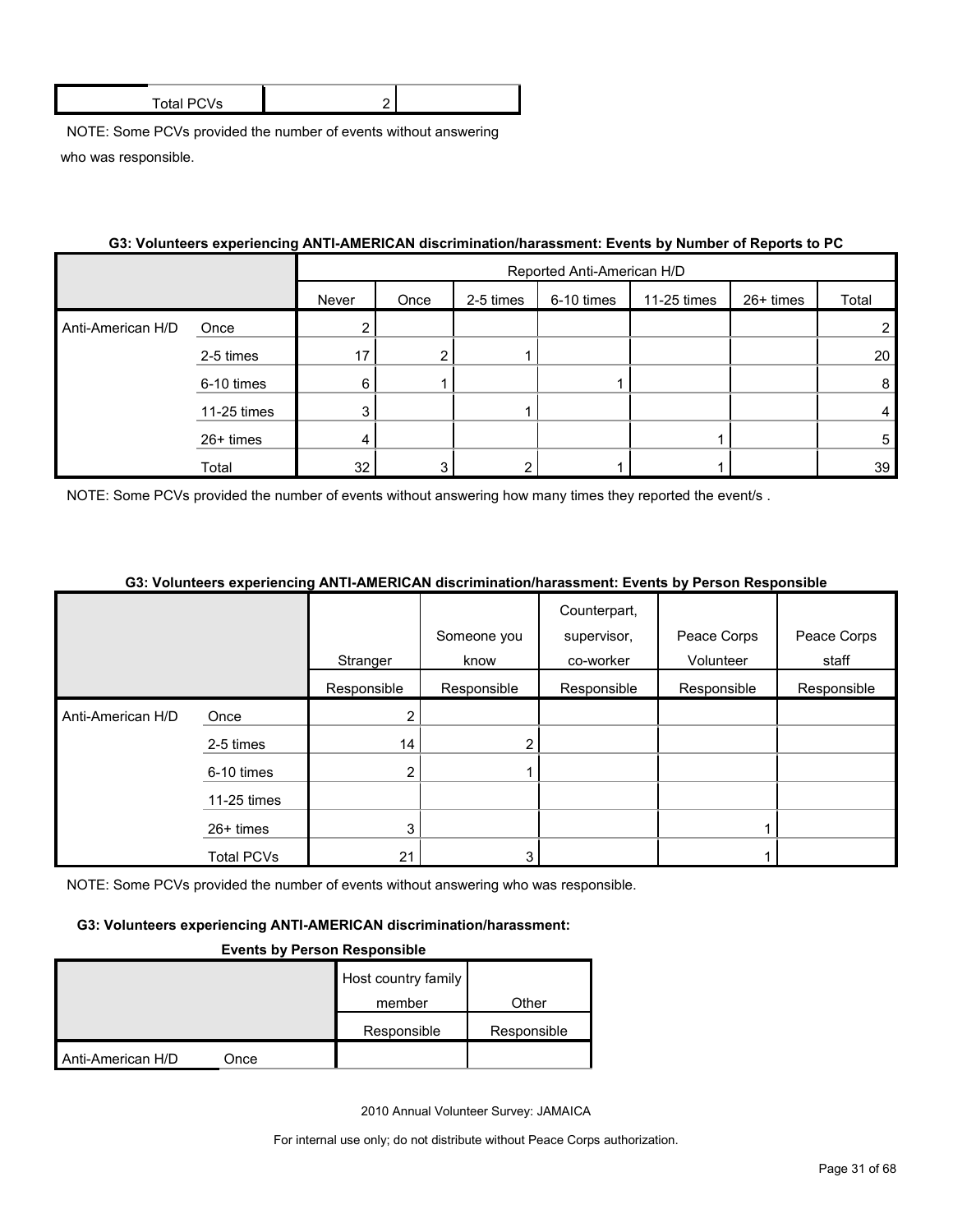| Total PC<br>'VS |  |
|-----------------|--|
|                 |  |

|                   | oo. Toluntoolo caponeneng Altri-American, disemiiniduoliniduosinent. Etento by humber of Reports to Fo |       |                            |           |            |             |           |       |
|-------------------|--------------------------------------------------------------------------------------------------------|-------|----------------------------|-----------|------------|-------------|-----------|-------|
|                   |                                                                                                        |       | Reported Anti-American H/D |           |            |             |           |       |
|                   |                                                                                                        | Never | Once                       | 2-5 times | 6-10 times | 11-25 times | 26+ times | Total |
| Anti-American H/D | Once                                                                                                   | ⌒     |                            |           |            |             |           |       |
|                   | 2-5 times                                                                                              | 17    | າ                          |           |            |             |           | 20    |
|                   | 6-10 times                                                                                             | 6     |                            |           |            |             |           | 8     |
|                   | 11-25 times                                                                                            | 3     |                            |           |            |             |           | 4     |
|                   | $26+$ times                                                                                            | 4     |                            |           |            |             |           | 5     |
|                   | Total                                                                                                  | 32    | 3                          |           |            |             |           | 39    |

## **G3: Volunteers experiencing ANTI-AMERICAN discrimination/harassment: Events by Number of Reports to PC**

NOTE: Some PCVs provided the number of events without answering how many times they reported the event/s.

#### **G3: Volunteers experiencing ANTI-AMERICAN discrimination/harassment: Events by Person Responsible**

|                   |                   |                |                | Counterpart, |             |             |
|-------------------|-------------------|----------------|----------------|--------------|-------------|-------------|
|                   |                   |                | Someone you    | supervisor,  | Peace Corps | Peace Corps |
|                   |                   | Stranger       | know           | co-worker    | Volunteer   | staff       |
|                   |                   | Responsible    | Responsible    | Responsible  | Responsible | Responsible |
| Anti-American H/D | Once              | 2              |                |              |             |             |
|                   | 2-5 times         | 14             | $\overline{2}$ |              |             |             |
|                   | 6-10 times        | $\overline{2}$ |                |              |             |             |
|                   | 11-25 times       |                |                |              |             |             |
|                   | 26+ times         | 3              |                |              |             |             |
|                   | <b>Total PCVs</b> | 21             | 3              |              |             |             |

NOTE: Some PCVs provided the number of events without answering who was responsible.

#### **G3: Volunteers experiencing ANTI-AMERICAN discrimination/harassment:**

#### **Events by Person Responsible**

|                   |      | Host country family |             |
|-------------------|------|---------------------|-------------|
|                   |      | member              | Other       |
|                   |      | Responsible         | Responsible |
| Anti-American H/D | Once |                     |             |

2010 Annual Volunteer Survey: JAMAICA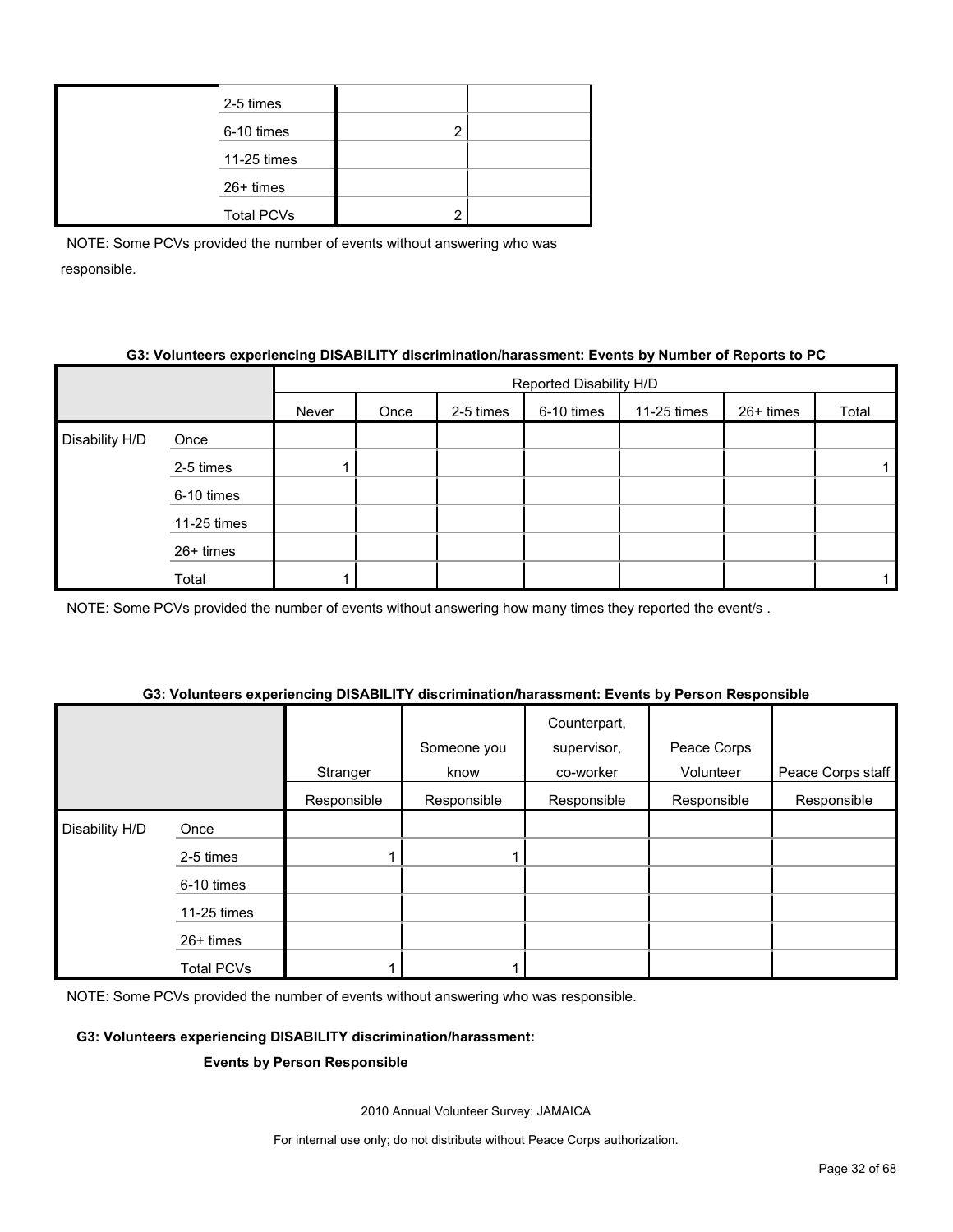| 2-5 times         |   |  |
|-------------------|---|--|
| 6-10 times        | ◠ |  |
| 11-25 times       |   |  |
| $26+$ times       |   |  |
| <b>Total PCVs</b> | ◠ |  |
|                   |   |  |

## **G3: Volunteers experiencing DISABILITY discrimination/harassment: Events by Number of Reports to PC**

|                |             |       |      |           | Reported Disability H/D |             |           |       |
|----------------|-------------|-------|------|-----------|-------------------------|-------------|-----------|-------|
|                |             | Never | Once | 2-5 times | 6-10 times              | 11-25 times | 26+ times | Total |
| Disability H/D | Once        |       |      |           |                         |             |           |       |
|                | 2-5 times   |       |      |           |                         |             |           |       |
|                | 6-10 times  |       |      |           |                         |             |           |       |
|                | 11-25 times |       |      |           |                         |             |           |       |
|                | 26+ times   |       |      |           |                         |             |           |       |
|                | Total       |       |      |           |                         |             |           |       |

NOTE: Some PCVs provided the number of events without answering how many times they reported the event/s.

## **Stranger** Someone you know Counterpart, supervisor, co-worker Peace Corps Volunteer | Peace Corps staff Responsible Responsible Responsible Responsible Responsible Disability H/D Once 2-5 times 1 1 6-10 times 11-25 times 26+ times Total PCVs 1 1

## **G3: Volunteers experiencing DISABILITY discrimination/harassment: Events by Person Responsible**

NOTE: Some PCVs provided the number of events without answering who was responsible.

#### **G3: Volunteers experiencing DISABILITY discrimination/harassment:**

#### **Events by Person Responsible**

2010 Annual Volunteer Survey: JAMAICA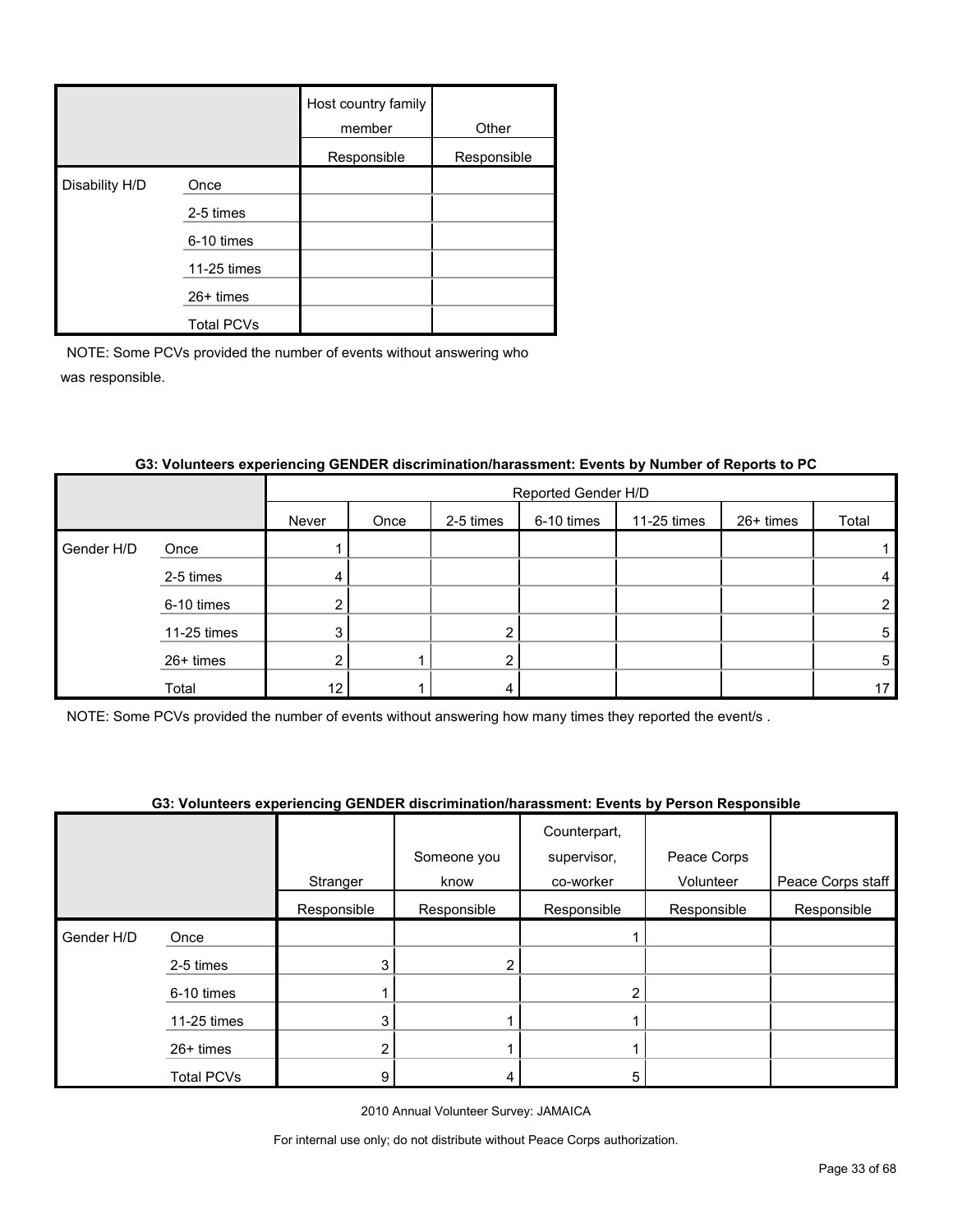|                |                   | Host country family<br>member | Other       |
|----------------|-------------------|-------------------------------|-------------|
|                |                   | Responsible                   | Responsible |
| Disability H/D | Once              |                               |             |
|                | 2-5 times         |                               |             |
|                | 6-10 times        |                               |             |
|                | 11-25 times       |                               |             |
|                | $26+$ times       |                               |             |
|                | <b>Total PCVs</b> |                               |             |

|            |             |       |      |           | Reported Gender H/D |             |           |                 |
|------------|-------------|-------|------|-----------|---------------------|-------------|-----------|-----------------|
|            |             | Never | Once | 2-5 times | 6-10 times          | 11-25 times | 26+ times | Total           |
| Gender H/D | Once        |       |      |           |                     |             |           |                 |
|            | 2-5 times   | 4     |      |           |                     |             |           | 4               |
|            | 6-10 times  |       |      |           |                     |             |           | $\overline{2}$  |
|            | 11-25 times | 3     |      | 2         |                     |             |           | 5               |
|            | 26+ times   | າ     |      | 2         |                     |             |           | 5               |
|            | Total       | 12    |      | ≖         |                     |             |           | 17 <sup>2</sup> |

## **G3: Volunteers experiencing GENDER discrimination/harassment: Events by Number of Reports to PC**

NOTE: Some PCVs provided the number of events without answering how many times they reported the event/s .

## **G3: Volunteers experiencing GENDER discrimination/harassment: Events by Person Responsible**

|            |                   |             | Someone you | Counterpart,<br>supervisor, | Peace Corps |                   |
|------------|-------------------|-------------|-------------|-----------------------------|-------------|-------------------|
|            |                   | Stranger    | know        | co-worker                   | Volunteer   | Peace Corps staff |
|            |                   | Responsible | Responsible | Responsible                 | Responsible | Responsible       |
| Gender H/D | Once              |             |             |                             |             |                   |
|            | 2-5 times         | 3           | 2           |                             |             |                   |
|            | 6-10 times        |             |             | $\overline{2}$              |             |                   |
|            | 11-25 times       | 3           |             |                             |             |                   |
|            | $26+$ times       |             |             |                             |             |                   |
|            | <b>Total PCVs</b> | 9           | 4           | 5                           |             |                   |

2010 Annual Volunteer Survey: JAMAICA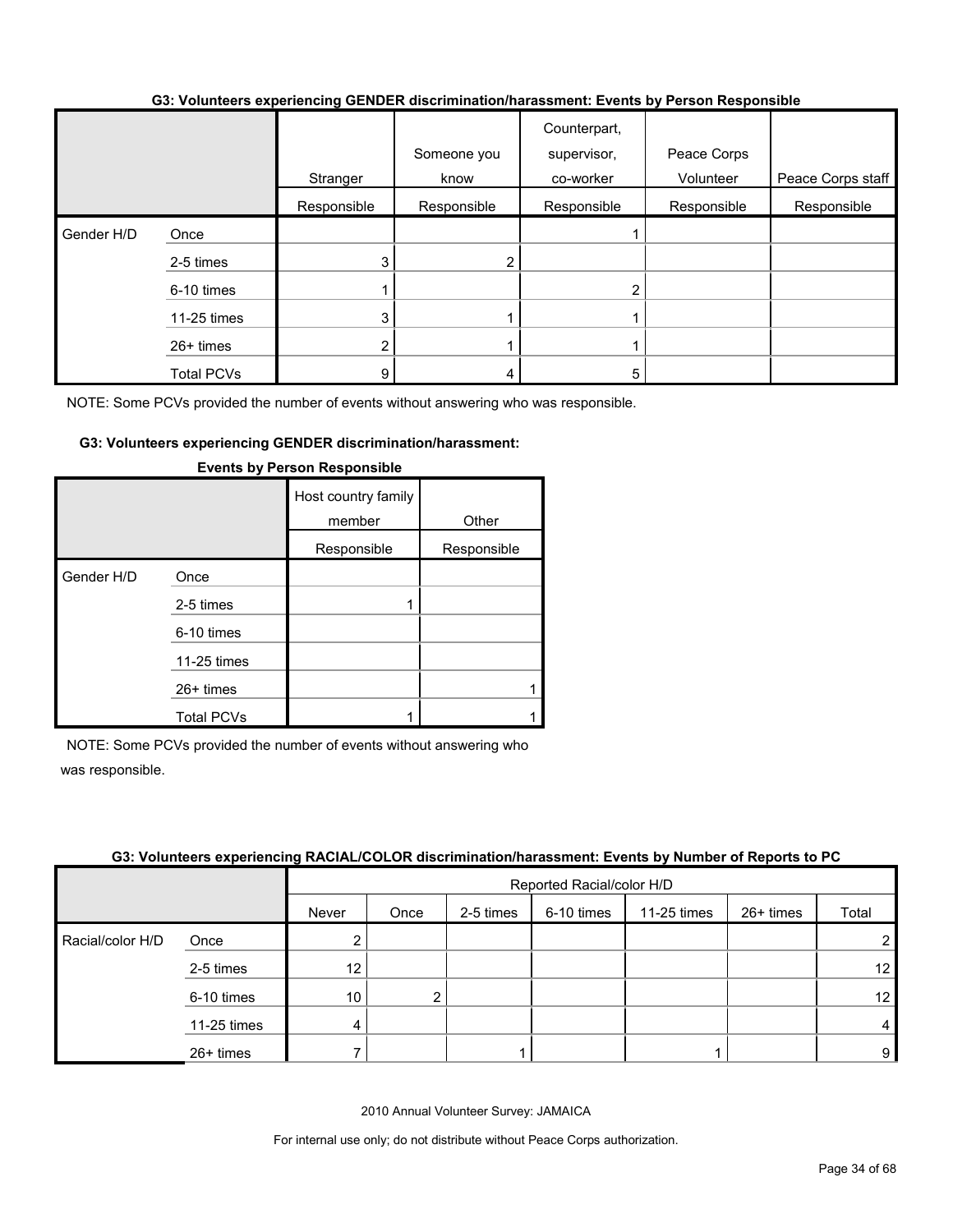#### **G3: Volunteers experiencing GENDER discrimination/harassment: Events by Person Responsible**

|            |                   |             | Someone you | Counterpart,<br>supervisor, | Peace Corps |                   |
|------------|-------------------|-------------|-------------|-----------------------------|-------------|-------------------|
|            |                   | Stranger    | know        | co-worker                   | Volunteer   | Peace Corps staff |
|            |                   | Responsible | Responsible | Responsible                 | Responsible | Responsible       |
| Gender H/D | Once              |             |             |                             |             |                   |
|            | 2-5 times         | 3           |             |                             |             |                   |
|            | 6-10 times        |             |             | 2                           |             |                   |
|            | 11-25 times       | 3           |             |                             |             |                   |
|            | $26+$ times       | ົ           |             |                             |             |                   |
|            | <b>Total PCVs</b> | 9           | 4           | 5                           |             |                   |

NOTE: Some PCVs provided the number of events without answering who was responsible.

#### **G3: Volunteers experiencing GENDER discrimination/harassment:**

|            |                   | Host country family<br>member | Other       |
|------------|-------------------|-------------------------------|-------------|
|            |                   | Responsible                   | Responsible |
| Gender H/D | Once              |                               |             |
|            | 2-5 times         |                               |             |
|            | 6-10 times        |                               |             |
|            | 11-25 times       |                               |             |
|            | $26+$ times       |                               |             |
|            | <b>Total PCVs</b> |                               |             |

#### **Events by Person Responsible**

NOTE: Some PCVs provided the number of events without answering who was responsible.

#### **G3: Volunteers experiencing RACIAL/COLOR discrimination/harassment: Events by Number of Reports to PC**

|                  |             |       | Reported Racial/color H/D |           |            |             |           |                |
|------------------|-------------|-------|---------------------------|-----------|------------|-------------|-----------|----------------|
|                  |             | Never | Once                      | 2-5 times | 6-10 times | 11-25 times | 26+ times | Total          |
| Racial/color H/D | Once        |       |                           |           |            |             |           | $\overline{2}$ |
|                  | 2-5 times   | 12    |                           |           |            |             |           | 12             |
|                  | 6-10 times  | 10    | ∩                         |           |            |             |           | 12             |
|                  | 11-25 times | 4     |                           |           |            |             |           | $\overline{4}$ |
|                  | 26+ times   |       |                           |           |            |             |           | 9              |

2010 Annual Volunteer Survey: JAMAICA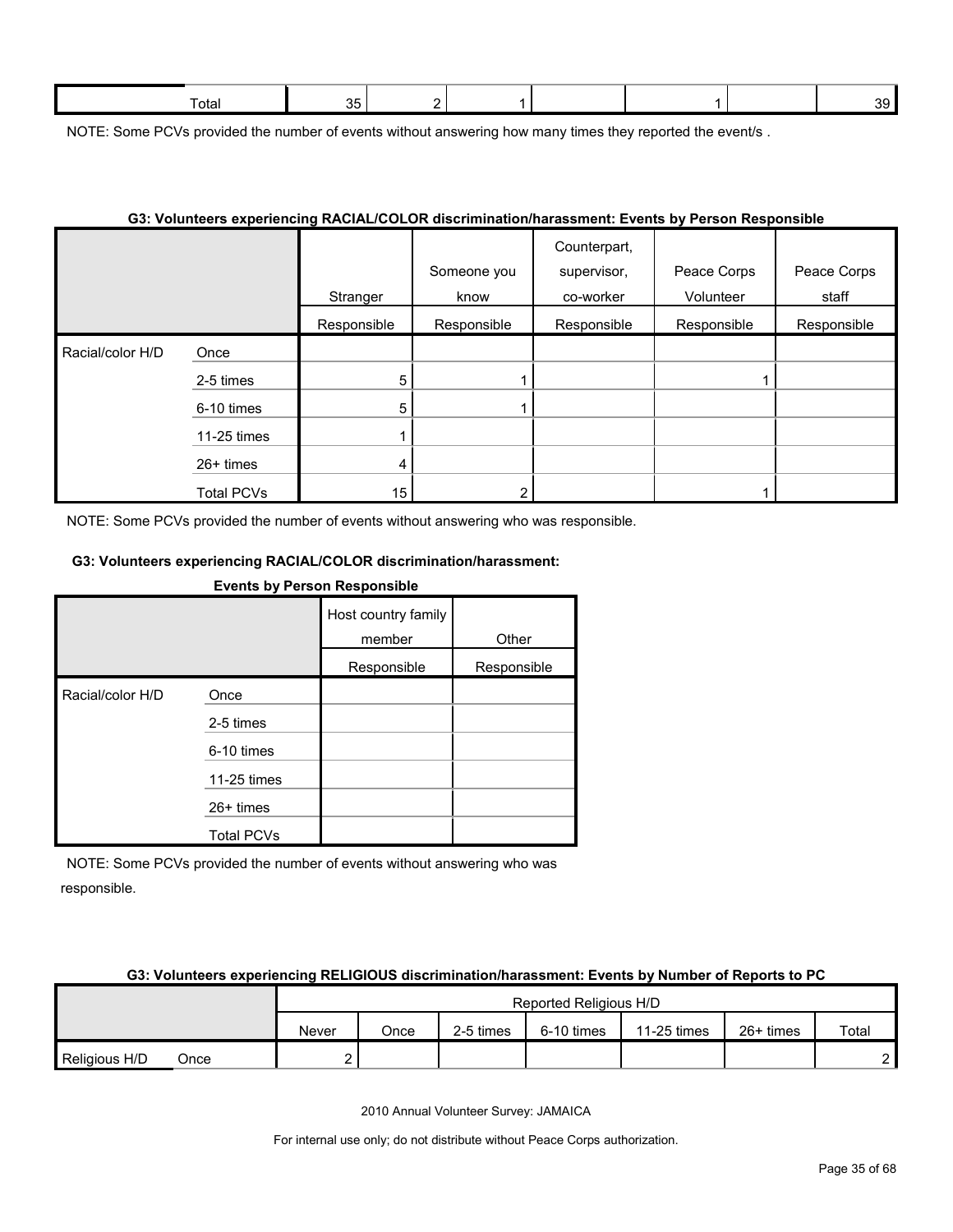NOTE: Some PCVs provided the number of events without answering how many times they reported the event/s.

#### **G3: Volunteers experiencing RACIAL/COLOR discrimination/harassment: Events by Person Responsible**

|                  |                   | Stranger    | Someone you<br>know | Counterpart,<br>supervisor,<br>co-worker | Peace Corps<br>Volunteer | Peace Corps<br>staff |
|------------------|-------------------|-------------|---------------------|------------------------------------------|--------------------------|----------------------|
|                  |                   | Responsible | Responsible         | Responsible                              | Responsible              | Responsible          |
| Racial/color H/D | Once              |             |                     |                                          |                          |                      |
|                  | 2-5 times         | 5           |                     |                                          |                          |                      |
|                  | 6-10 times        | 5           |                     |                                          |                          |                      |
|                  | 11-25 times       |             |                     |                                          |                          |                      |
|                  | $26+$ times       | 4           |                     |                                          |                          |                      |
|                  | <b>Total PCVs</b> | 15          | ົ                   |                                          |                          |                      |

NOTE: Some PCVs provided the number of events without answering who was responsible.

## **G3: Volunteers experiencing RACIAL/COLOR discrimination/harassment:**

#### **Events by Person Responsible**

|                  |                   | Host country family<br>member | Other       |
|------------------|-------------------|-------------------------------|-------------|
|                  |                   | Responsible                   | Responsible |
| Racial/color H/D | Once              |                               |             |
|                  | 2-5 times         |                               |             |
|                  | 6-10 times        |                               |             |
|                  | 11-25 times       |                               |             |
|                  | 26+ times         |                               |             |
|                  | <b>Total PCVs</b> |                               |             |

NOTE: Some PCVs provided the number of events without answering who was responsible.

#### **G3: Volunteers experiencing RELIGIOUS discrimination/harassment: Events by Number of Reports to PC**

|                       |  |       |      |           | Reported Religious H/D |             |             |       |
|-----------------------|--|-------|------|-----------|------------------------|-------------|-------------|-------|
|                       |  | Never | Once | 2-5 times | 6-10 times             | 11-25 times | $26+$ times | Total |
| Religious H/D<br>Once |  |       |      |           |                        |             |             | c     |

2010 Annual Volunteer Survey: JAMAICA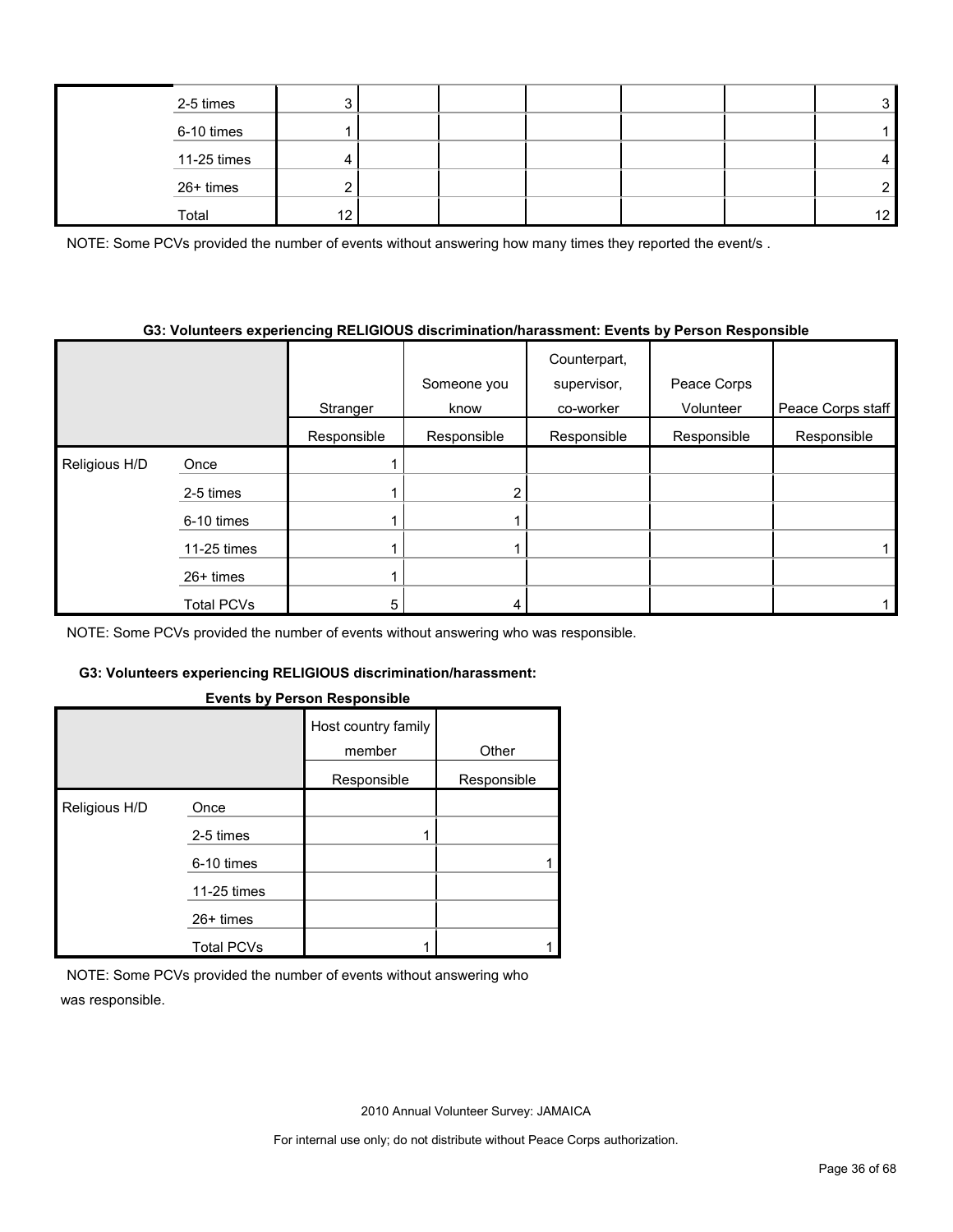| 2-5 times   | ◠        |  |  | ົ               |
|-------------|----------|--|--|-----------------|
| 6-10 times  |          |  |  |                 |
| 11-25 times |          |  |  |                 |
| 26+ times   | <u>.</u> |  |  |                 |
| Total       | ៱        |  |  | 12 <sub>1</sub> |

NOTE: Some PCVs provided the number of events without answering how many times they reported the event/s.

#### **G3: Volunteers experiencing RELIGIOUS discrimination/harassment: Events by Person Responsible**

|               |                   | Stranger    | Someone you<br>know | Counterpart,<br>supervisor,<br>co-worker | Peace Corps<br>Volunteer | Peace Corps staff |
|---------------|-------------------|-------------|---------------------|------------------------------------------|--------------------------|-------------------|
|               |                   | Responsible | Responsible         | Responsible                              | Responsible              | Responsible       |
| Religious H/D | Once              |             |                     |                                          |                          |                   |
|               | 2-5 times         |             | າ                   |                                          |                          |                   |
|               | 6-10 times        |             |                     |                                          |                          |                   |
|               | 11-25 times       |             |                     |                                          |                          |                   |
|               | 26+ times         |             |                     |                                          |                          |                   |
|               | <b>Total PCVs</b> | 5           |                     |                                          |                          |                   |

NOTE: Some PCVs provided the number of events without answering who was responsible.

## **G3: Volunteers experiencing RELIGIOUS discrimination/harassment:**

#### **Events by Person Responsible**

|               |                   | Host country family<br>member | Other       |
|---------------|-------------------|-------------------------------|-------------|
|               |                   | Responsible                   | Responsible |
| Religious H/D | Once              |                               |             |
|               | 2-5 times         |                               |             |
|               | 6-10 times        |                               |             |
|               | 11-25 times       |                               |             |
|               | $26+$ times       |                               |             |
|               | <b>Total PCVs</b> |                               |             |

NOTE: Some PCVs provided the number of events without answering who was responsible.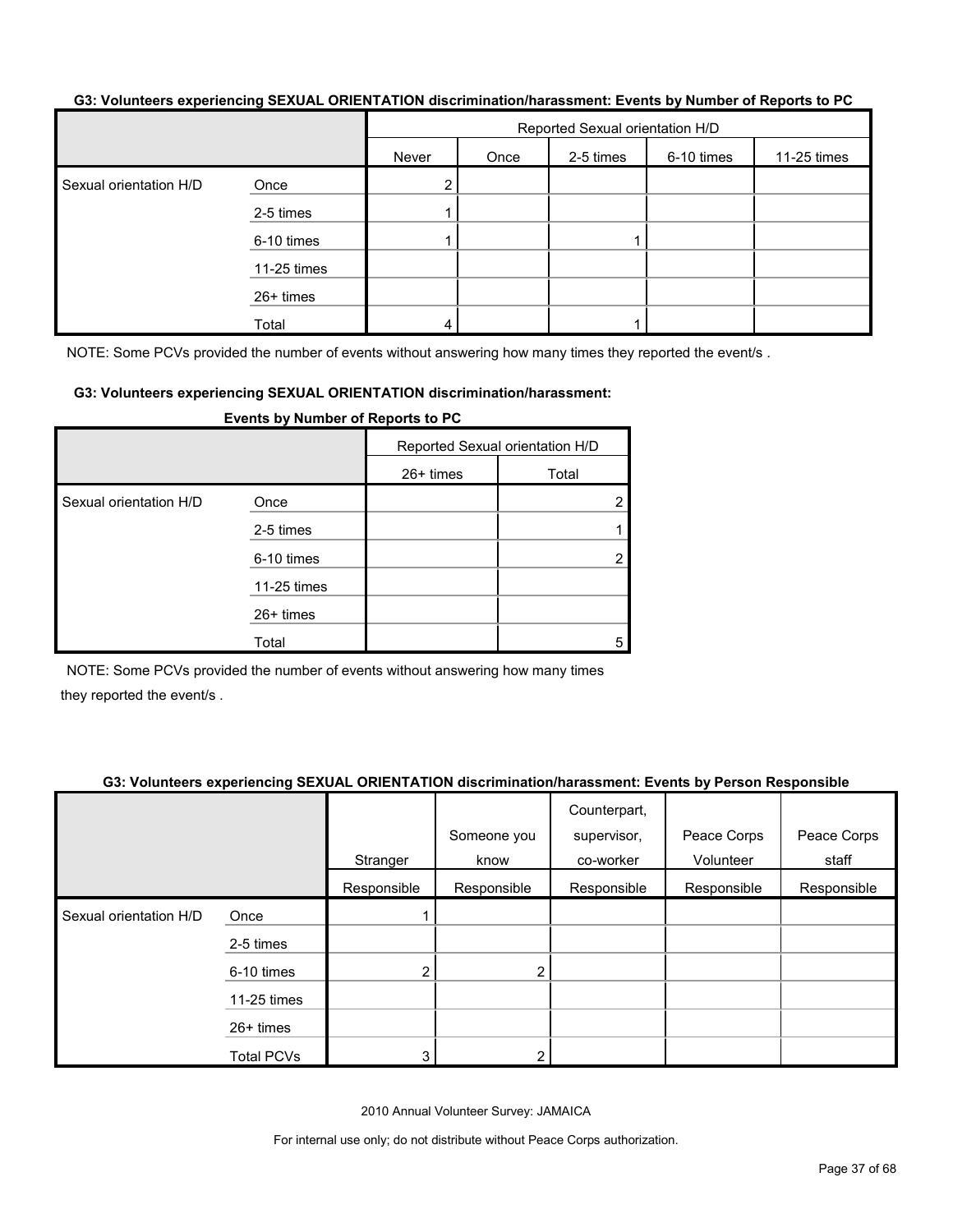#### **G3: Volunteers experiencing SEXUAL ORIENTATION discrimination/harassment: Events by Number of Reports to PC**

|                        |             | Reported Sexual orientation H/D |      |           |            |             |  |
|------------------------|-------------|---------------------------------|------|-----------|------------|-------------|--|
|                        |             | Never                           | Once | 2-5 times | 6-10 times | 11-25 times |  |
| Sexual orientation H/D | Once        | ◠                               |      |           |            |             |  |
|                        | 2-5 times   |                                 |      |           |            |             |  |
|                        | 6-10 times  |                                 |      |           |            |             |  |
|                        | 11-25 times |                                 |      |           |            |             |  |
|                        | 26+ times   |                                 |      |           |            |             |  |
|                        | Total       |                                 |      |           |            |             |  |

NOTE: Some PCVs provided the number of events without answering how many times they reported the event/s.

#### **G3: Volunteers experiencing SEXUAL ORIENTATION discrimination/harassment:**

|                        |             | Reported Sexual orientation H/D |       |
|------------------------|-------------|---------------------------------|-------|
|                        |             | $26+$ times                     | Total |
| Sexual orientation H/D | Once        |                                 |       |
|                        | 2-5 times   |                                 |       |
|                        | 6-10 times  |                                 |       |
|                        | 11-25 times |                                 |       |
|                        | 26+ times   |                                 |       |
|                        | Total       |                                 | 5     |

#### **Events by Number of Reports to PC**

NOTE: Some PCVs provided the number of events without answering how many times they reported the event/s .

#### **G3: Volunteers experiencing SEXUAL ORIENTATION discrimination/harassment: Events by Person Responsible**

|                        |                   | Stranger       | Someone you<br>know | Counterpart,<br>supervisor,<br>co-worker | Peace Corps<br>Volunteer | Peace Corps<br>staff |
|------------------------|-------------------|----------------|---------------------|------------------------------------------|--------------------------|----------------------|
|                        |                   | Responsible    | Responsible         | Responsible                              | Responsible              | Responsible          |
| Sexual orientation H/D | Once              |                |                     |                                          |                          |                      |
|                        | 2-5 times         |                |                     |                                          |                          |                      |
|                        | 6-10 times        | $\overline{2}$ | $\overline{2}$      |                                          |                          |                      |
|                        | 11-25 times       |                |                     |                                          |                          |                      |
|                        | 26+ times         |                |                     |                                          |                          |                      |
|                        | <b>Total PCVs</b> |                |                     |                                          |                          |                      |

2010 Annual Volunteer Survey: JAMAICA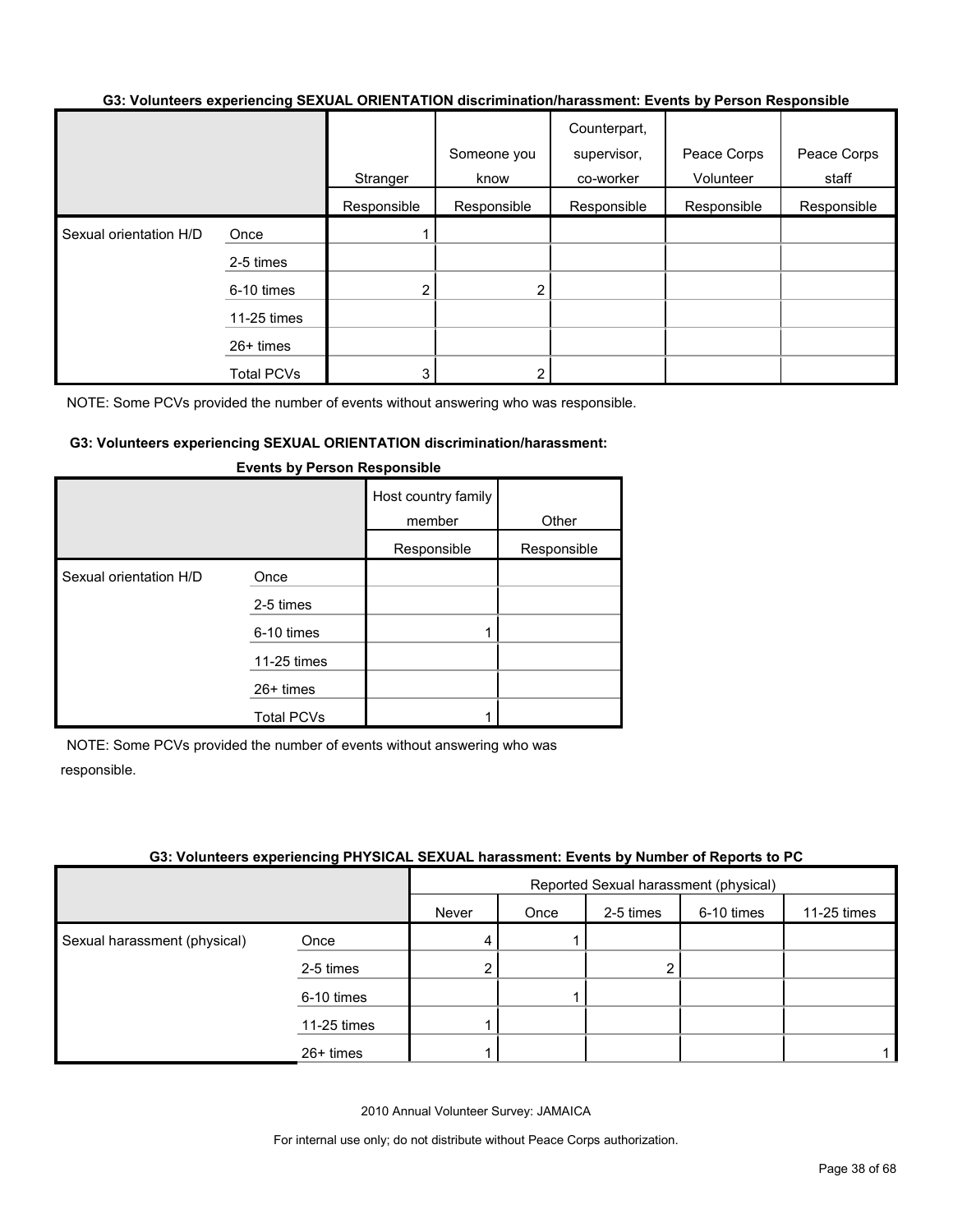#### **G3: Volunteers experiencing SEXUAL ORIENTATION discrimination/harassment: Events by Person Responsible**

|                        |                   |             |             | Counterpart, |             |             |
|------------------------|-------------------|-------------|-------------|--------------|-------------|-------------|
|                        |                   |             | Someone you | supervisor,  | Peace Corps | Peace Corps |
|                        |                   | Stranger    | know        | co-worker    | Volunteer   | staff       |
|                        |                   | Responsible | Responsible | Responsible  | Responsible | Responsible |
| Sexual orientation H/D | Once              |             |             |              |             |             |
|                        | 2-5 times         |             |             |              |             |             |
|                        | 6-10 times        | 2           | 2           |              |             |             |
|                        | 11-25 times       |             |             |              |             |             |
|                        | 26+ times         |             |             |              |             |             |
|                        | <b>Total PCVs</b> | 3           |             |              |             |             |

NOTE: Some PCVs provided the number of events without answering who was responsible.

#### **G3: Volunteers experiencing SEXUAL ORIENTATION discrimination/harassment:**

|                        |                   | Host country family<br>member | Other       |
|------------------------|-------------------|-------------------------------|-------------|
|                        |                   | Responsible                   | Responsible |
| Sexual orientation H/D | Once              |                               |             |
|                        | 2-5 times         |                               |             |
|                        | 6-10 times        |                               |             |
|                        | 11-25 times       |                               |             |
|                        | $26+$ times       |                               |             |
|                        | <b>Total PCVs</b> |                               |             |

#### **Events by Person Responsible**

NOTE: Some PCVs provided the number of events without answering who was responsible.

#### **G3: Volunteers experiencing PHYSICAL SEXUAL harassment: Events by Number of Reports to PC**

|                              |             |       | Reported Sexual harassment (physical) |           |            |             |  |
|------------------------------|-------------|-------|---------------------------------------|-----------|------------|-------------|--|
|                              |             | Never | Once                                  | 2-5 times | 6-10 times | 11-25 times |  |
| Sexual harassment (physical) | Once        | 4     |                                       |           |            |             |  |
|                              | 2-5 times   | 2     |                                       | ◠         |            |             |  |
|                              | 6-10 times  |       |                                       |           |            |             |  |
|                              | 11-25 times |       |                                       |           |            |             |  |
|                              | 26+ times   |       |                                       |           |            |             |  |

2010 Annual Volunteer Survey: JAMAICA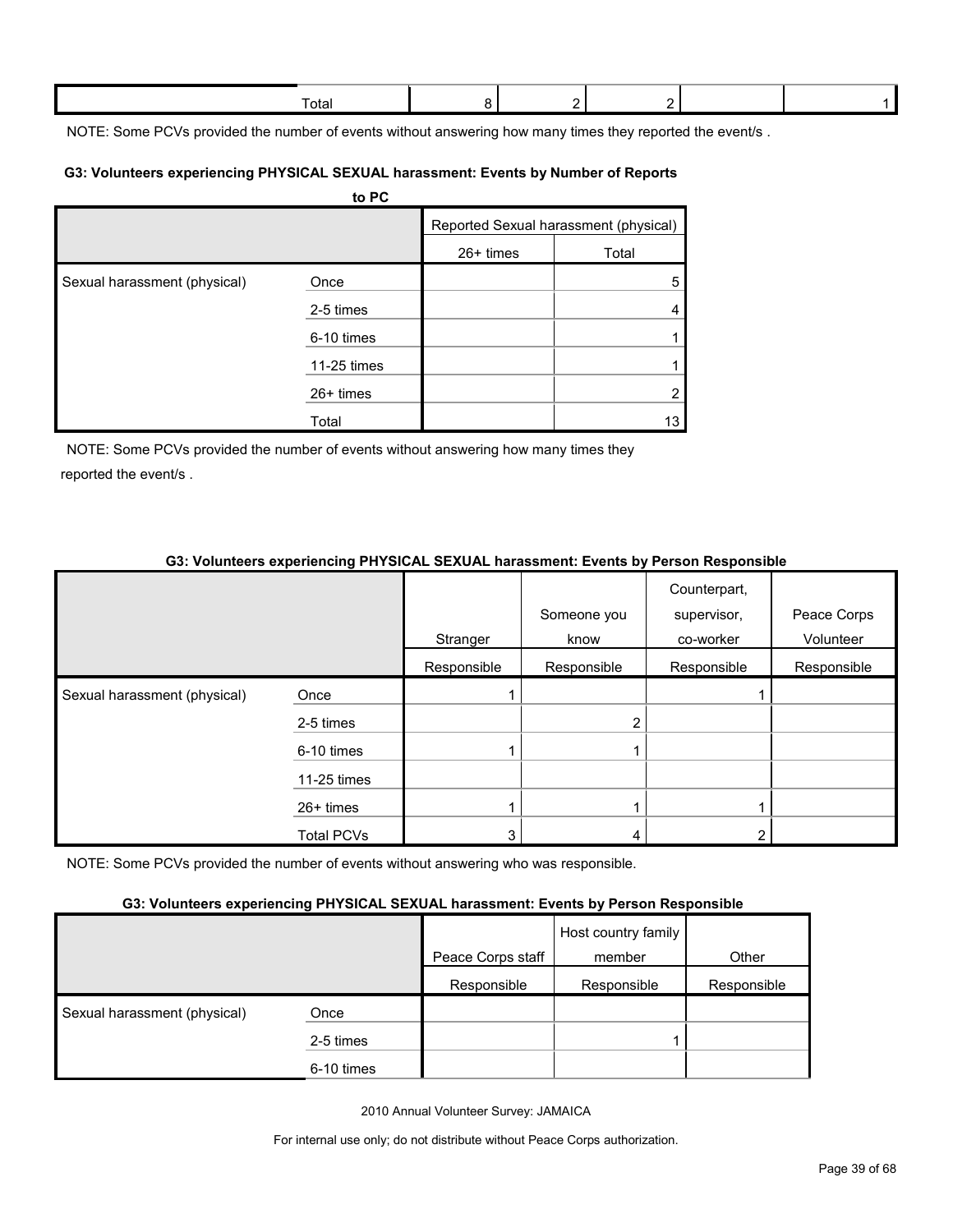| ōta |  |  |  |
|-----|--|--|--|
|     |  |  |  |

NOTE: Some PCVs provided the number of events without answering how many times they reported the event/s.

#### **G3: Volunteers experiencing PHYSICAL SEXUAL harassment: Events by Number of Reports**

|                              | to PC       |             |                                       |
|------------------------------|-------------|-------------|---------------------------------------|
|                              |             |             | Reported Sexual harassment (physical) |
|                              |             | $26+ times$ | Total                                 |
| Sexual harassment (physical) | Once        |             | 5                                     |
|                              | 2-5 times   |             | 4                                     |
|                              | 6-10 times  |             |                                       |
|                              | 11-25 times |             |                                       |
|                              | $26+$ times |             | 2                                     |
|                              | Total       |             | 13                                    |

NOTE: Some PCVs provided the number of events without answering how many times they reported the event/s .

## **G3: Volunteers experiencing PHYSICAL SEXUAL harassment: Events by Person Responsible**

|                              |                   | Stranger    | Someone you<br>know | Counterpart,<br>supervisor,<br>co-worker | Peace Corps<br>Volunteer |
|------------------------------|-------------------|-------------|---------------------|------------------------------------------|--------------------------|
|                              |                   | Responsible | Responsible         | Responsible                              | Responsible              |
| Sexual harassment (physical) | Once              |             |                     |                                          |                          |
|                              | 2-5 times         |             | 2                   |                                          |                          |
|                              | 6-10 times        |             |                     |                                          |                          |
|                              | 11-25 times       |             |                     |                                          |                          |
|                              | $26+$ times       |             |                     |                                          |                          |
|                              | <b>Total PCVs</b> | 3           |                     |                                          |                          |

NOTE: Some PCVs provided the number of events without answering who was responsible.

#### **G3: Volunteers experiencing PHYSICAL SEXUAL harassment: Events by Person Responsible**

|                              |            | Peace Corps staff | Host country family<br>member | Other       |
|------------------------------|------------|-------------------|-------------------------------|-------------|
|                              |            | Responsible       | Responsible                   | Responsible |
| Sexual harassment (physical) | Once       |                   |                               |             |
|                              | 2-5 times  |                   |                               |             |
|                              | 6-10 times |                   |                               |             |

2010 Annual Volunteer Survey: JAMAICA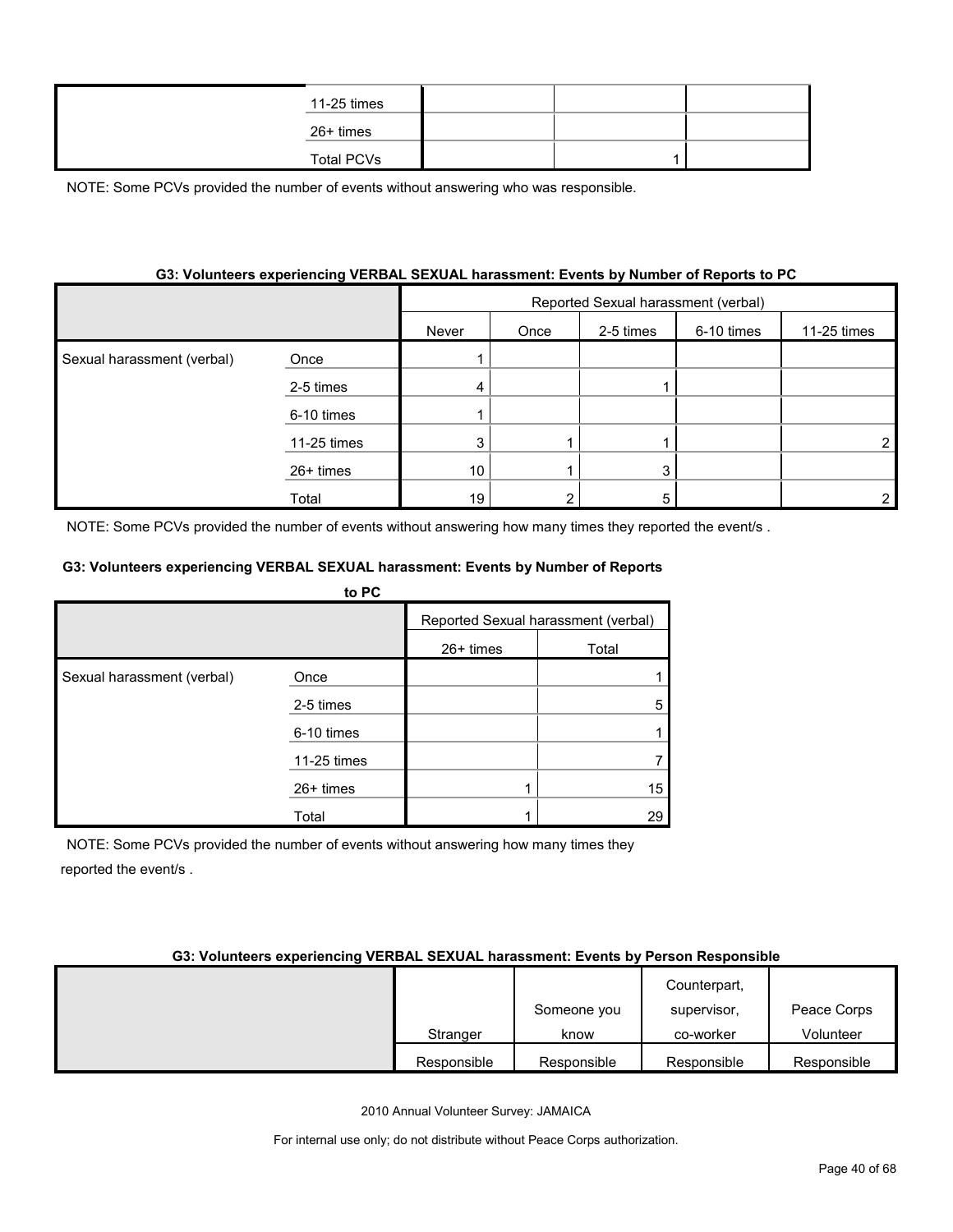| 11-25 times |  |  |
|-------------|--|--|
| 26+ times   |  |  |
| Total PCVs  |  |  |

#### **G3: Volunteers experiencing VERBAL SEXUAL harassment: Events by Number of Reports to PC**

|                            |             | Reported Sexual harassment (verbal) |      |           |            |             |  |
|----------------------------|-------------|-------------------------------------|------|-----------|------------|-------------|--|
|                            |             | Never                               | Once | 2-5 times | 6-10 times | 11-25 times |  |
| Sexual harassment (verbal) | Once        |                                     |      |           |            |             |  |
|                            | 2-5 times   | 4                                   |      |           |            |             |  |
|                            | 6-10 times  |                                     |      |           |            |             |  |
|                            | 11-25 times | 3                                   |      |           |            |             |  |
|                            | $26+$ times | 10 <sup>°</sup>                     |      | 3         |            |             |  |
|                            | Total       | 19 <sub>1</sub>                     |      | 5         |            |             |  |

NOTE: Some PCVs provided the number of events without answering how many times they reported the event/s.

#### **G3: Volunteers experiencing VERBAL SEXUAL harassment: Events by Number of Reports**

|                            | to PC       |           |                                     |
|----------------------------|-------------|-----------|-------------------------------------|
|                            |             |           | Reported Sexual harassment (verbal) |
|                            |             | 26+ times | Total                               |
| Sexual harassment (verbal) | Once        |           |                                     |
|                            | 2-5 times   |           | 5                                   |
|                            | 6-10 times  |           |                                     |
|                            | 11-25 times |           |                                     |
|                            | $26+$ times |           | 15                                  |
|                            | Total       |           | 29                                  |

NOTE: Some PCVs provided the number of events without answering how many times they reported the event/s .

#### **G3: Volunteers experiencing VERBAL SEXUAL harassment: Events by Person Responsible**

|             |             | Counterpart, |             |
|-------------|-------------|--------------|-------------|
|             | Someone you | supervisor,  | Peace Corps |
| Stranger    | know        | co-worker    | Volunteer   |
| Responsible | Responsible | Responsible  | Responsible |

2010 Annual Volunteer Survey: JAMAICA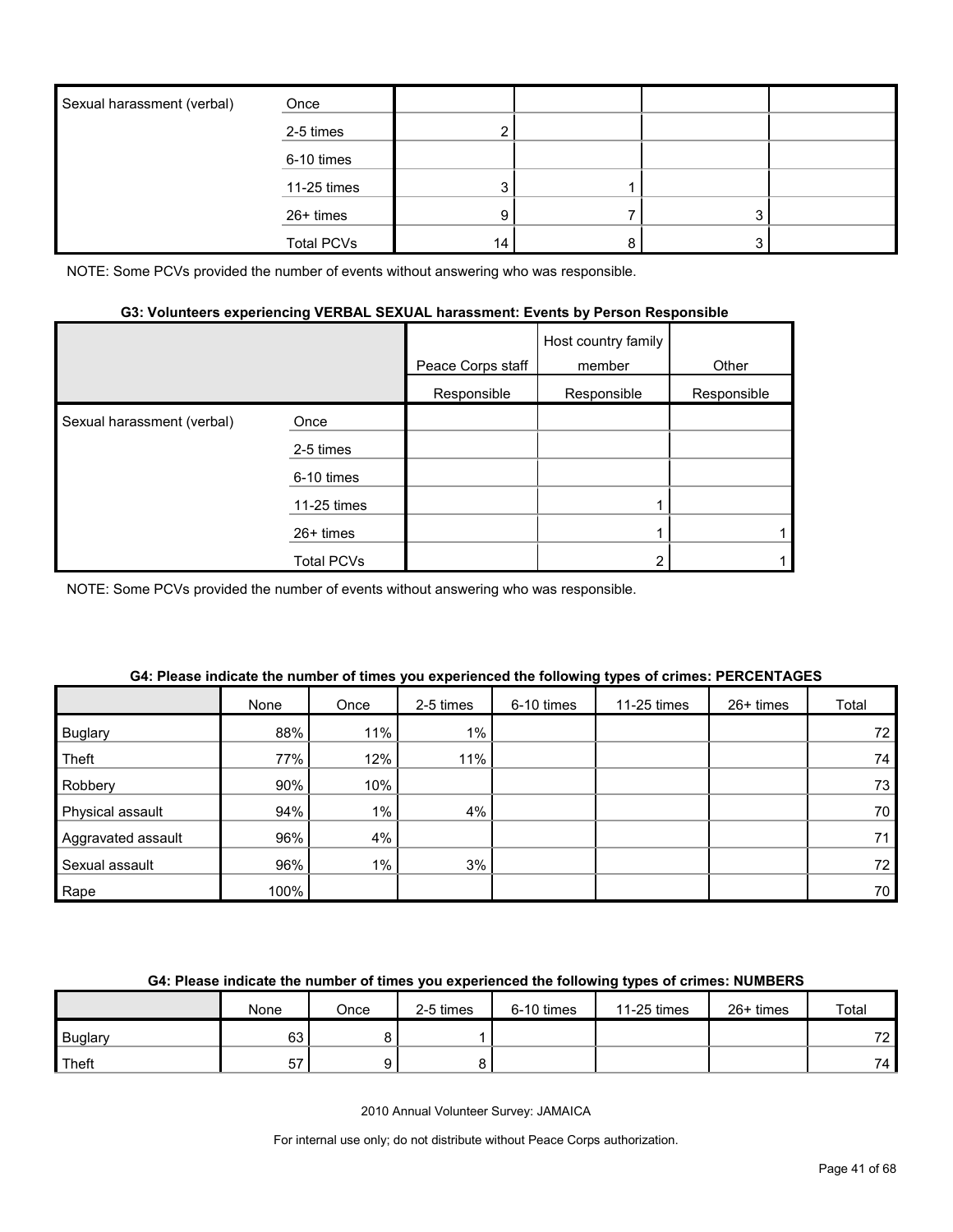| Sexual harassment (verbal) | Once              |    |         |  |
|----------------------------|-------------------|----|---------|--|
|                            | 2-5 times         |    |         |  |
|                            | 6-10 times        |    |         |  |
|                            | 11-25 times       |    |         |  |
|                            | 26+ times         | 9. | $\cdot$ |  |
|                            | <b>Total PCVs</b> | 14 |         |  |

## **G3: Volunteers experiencing VERBAL SEXUAL harassment: Events by Person Responsible**

|                            |             | Peace Corps staff | Host country family<br>member | Other       |
|----------------------------|-------------|-------------------|-------------------------------|-------------|
|                            |             | Responsible       | Responsible                   | Responsible |
| Sexual harassment (verbal) | Once        |                   |                               |             |
|                            | 2-5 times   |                   |                               |             |
|                            | 6-10 times  |                   |                               |             |
|                            | 11-25 times |                   |                               |             |
|                            | $26+$ times |                   |                               |             |
|                            | Total PCVs  |                   | ⌒                             |             |

NOTE: Some PCVs provided the number of events without answering who was responsible.

|                    | None | Once  | 2-5 times | 6-10 times | 11-25 times | 26+ times | Total |
|--------------------|------|-------|-----------|------------|-------------|-----------|-------|
| <b>Buglary</b>     | 88%  | 11%   | $1\%$     |            |             |           | 72    |
| Theft              | 77%  | 12%   | 11%       |            |             |           | 74    |
| Robbery            | 90%  | 10%   |           |            |             |           | 73    |
| Physical assault   | 94%  | $1\%$ | 4%        |            |             |           | 70    |
| Aggravated assault | 96%  | 4%    |           |            |             |           | 71    |
| Sexual assault     | 96%  | $1\%$ | 3%        |            |             |           | 72    |
| Rape               | 100% |       |           |            |             |           | 70    |

#### **G4: Please indicate the number of times you experienced the following types of crimes: PERCENTAGES**

## **G4: Please indicate the number of times you experienced the following types of crimes: NUMBERS**

|                | None | Once | 2-5 times | 6-10 times | 11-25 times | 26+ times | Total           |
|----------------|------|------|-----------|------------|-------------|-----------|-----------------|
| <b>Buglary</b> | 63   |      |           |            |             |           | 72 <sub>1</sub> |
| Theft          | $-$  |      |           |            |             |           | 74 L            |

2010 Annual Volunteer Survey: JAMAICA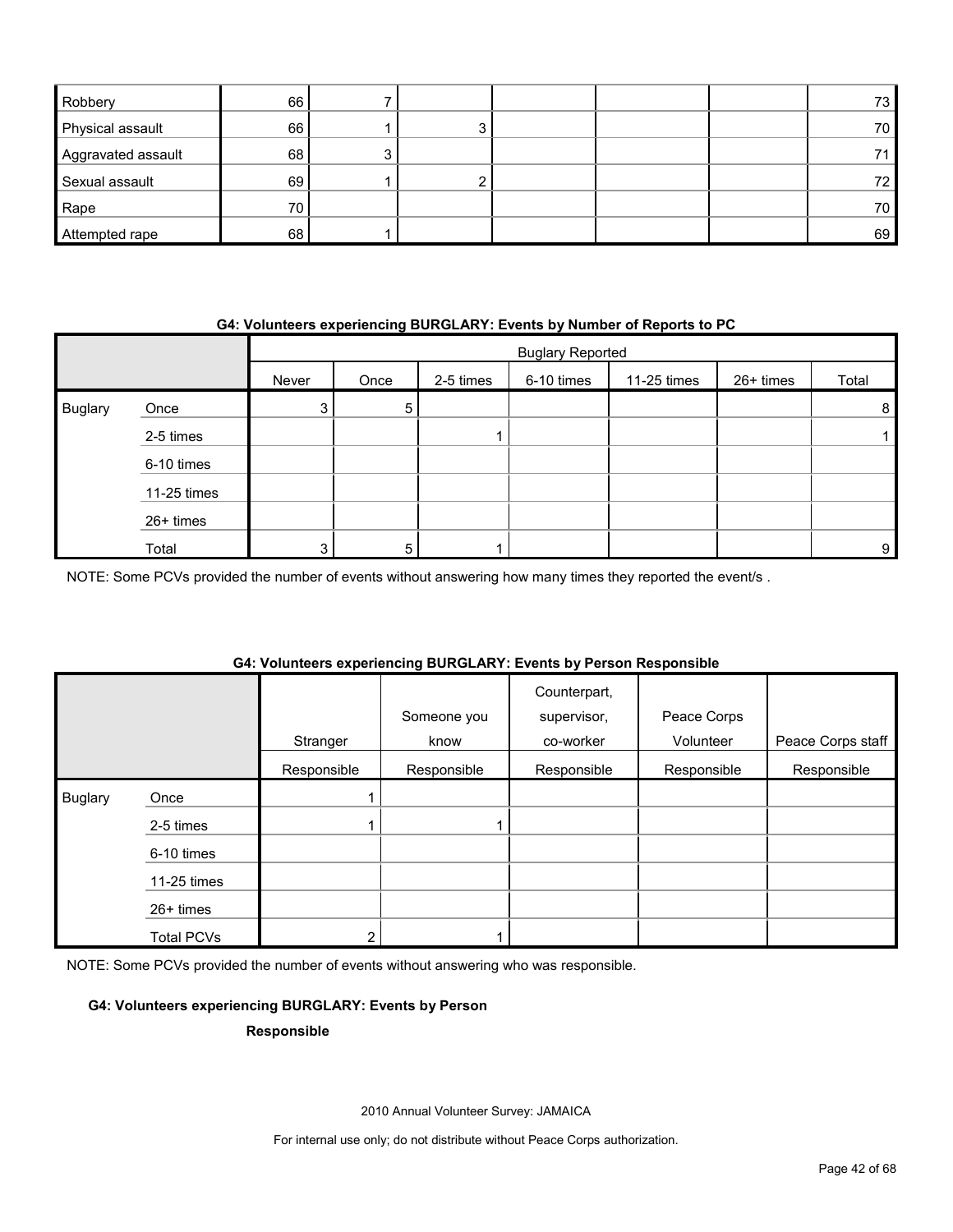| Robbery            | 66 |    |  | 73 |
|--------------------|----|----|--|----|
| Physical assault   | 66 | 3. |  | 70 |
| Aggravated assault | 68 |    |  | 71 |
| Sexual assault     | 69 |    |  | 72 |
| Rape               | 70 |    |  | 70 |
| Attempted rape     | 68 |    |  | 69 |

#### **G4: Volunteers experiencing BURGLARY: Events by Number of Reports to PC**

|                |             |       | <b>Buglary Reported</b> |           |            |             |           |                |  |
|----------------|-------------|-------|-------------------------|-----------|------------|-------------|-----------|----------------|--|
|                |             | Never | Once                    | 2-5 times | 6-10 times | 11-25 times | 26+ times | Total          |  |
| <b>Buglary</b> | Once        | 3     | 5                       |           |            |             |           | 8              |  |
|                | 2-5 times   |       |                         |           |            |             |           |                |  |
|                | 6-10 times  |       |                         |           |            |             |           |                |  |
|                | 11-25 times |       |                         |           |            |             |           |                |  |
|                | 26+ times   |       |                         |           |            |             |           |                |  |
|                | Total       | 3     | 5                       |           |            |             |           | 9 <sub>l</sub> |  |

NOTE: Some PCVs provided the number of events without answering how many times they reported the event/s .

## **G4: Volunteers experiencing BURGLARY: Events by Person Responsible**

|                |                   | Stranger    | Someone you<br>know | Counterpart,<br>supervisor,<br>co-worker | Peace Corps<br>Volunteer | Peace Corps staff |
|----------------|-------------------|-------------|---------------------|------------------------------------------|--------------------------|-------------------|
|                |                   | Responsible | Responsible         | Responsible                              | Responsible              | Responsible       |
| <b>Buglary</b> | Once              |             |                     |                                          |                          |                   |
|                | 2-5 times         |             |                     |                                          |                          |                   |
|                | 6-10 times        |             |                     |                                          |                          |                   |
|                | 11-25 times       |             |                     |                                          |                          |                   |
|                | 26+ times         |             |                     |                                          |                          |                   |
|                | <b>Total PCVs</b> | 2           |                     |                                          |                          |                   |

NOTE: Some PCVs provided the number of events without answering who was responsible.

#### **G4: Volunteers experiencing BURGLARY: Events by Person**

#### **Responsible**

2010 Annual Volunteer Survey: JAMAICA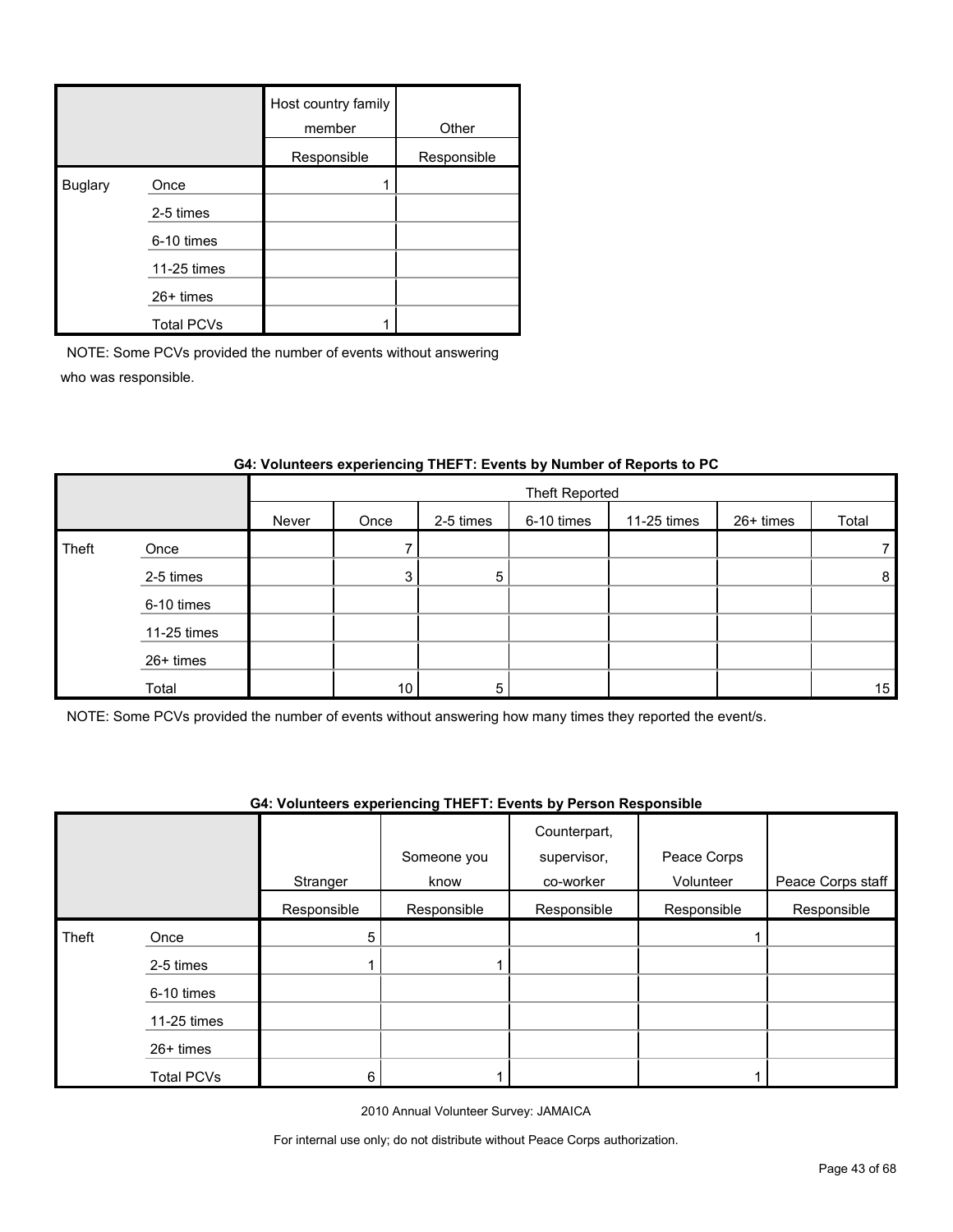|                |                   | Host country family<br>member | Other       |
|----------------|-------------------|-------------------------------|-------------|
|                |                   | Responsible                   | Responsible |
| <b>Buglary</b> | Once              |                               |             |
|                | 2-5 times         |                               |             |
|                | 6-10 times        |                               |             |
|                | 11-25 times       |                               |             |
|                | $26+$ times       |                               |             |
|                | <b>Total PCVs</b> |                               |             |

|       |             |       | Theft Reported |           |            |             |           |                |  |
|-------|-------------|-------|----------------|-----------|------------|-------------|-----------|----------------|--|
|       |             | Never | Once           | 2-5 times | 6-10 times | 11-25 times | 26+ times | Total          |  |
| Theft | Once        |       |                |           |            |             |           | $\overline{7}$ |  |
|       | 2-5 times   |       | 3              | 5         |            |             |           | 8              |  |
|       | 6-10 times  |       |                |           |            |             |           |                |  |
|       | 11-25 times |       |                |           |            |             |           |                |  |
|       | 26+ times   |       |                |           |            |             |           |                |  |
|       | Total       |       | 10             | 5         |            |             |           | 15             |  |

## **G4: Volunteers experiencing THEFT: Events by Number of Reports to PC**

NOTE: Some PCVs provided the number of events without answering how many times they reported the event/s.

#### **G4: Volunteers experiencing THEFT: Events by Person Responsible**

|       |                   |             | Someone you | Counterpart,<br>supervisor, | Peace Corps |                   |
|-------|-------------------|-------------|-------------|-----------------------------|-------------|-------------------|
|       |                   | Stranger    | know        | co-worker                   | Volunteer   | Peace Corps staff |
|       |                   | Responsible | Responsible | Responsible                 | Responsible | Responsible       |
| Theft | Once              | 5           |             |                             |             |                   |
|       | 2-5 times         |             |             |                             |             |                   |
|       | 6-10 times        |             |             |                             |             |                   |
|       | 11-25 times       |             |             |                             |             |                   |
|       | 26+ times         |             |             |                             |             |                   |
|       | <b>Total PCVs</b> | 6           |             |                             |             |                   |

2010 Annual Volunteer Survey: JAMAICA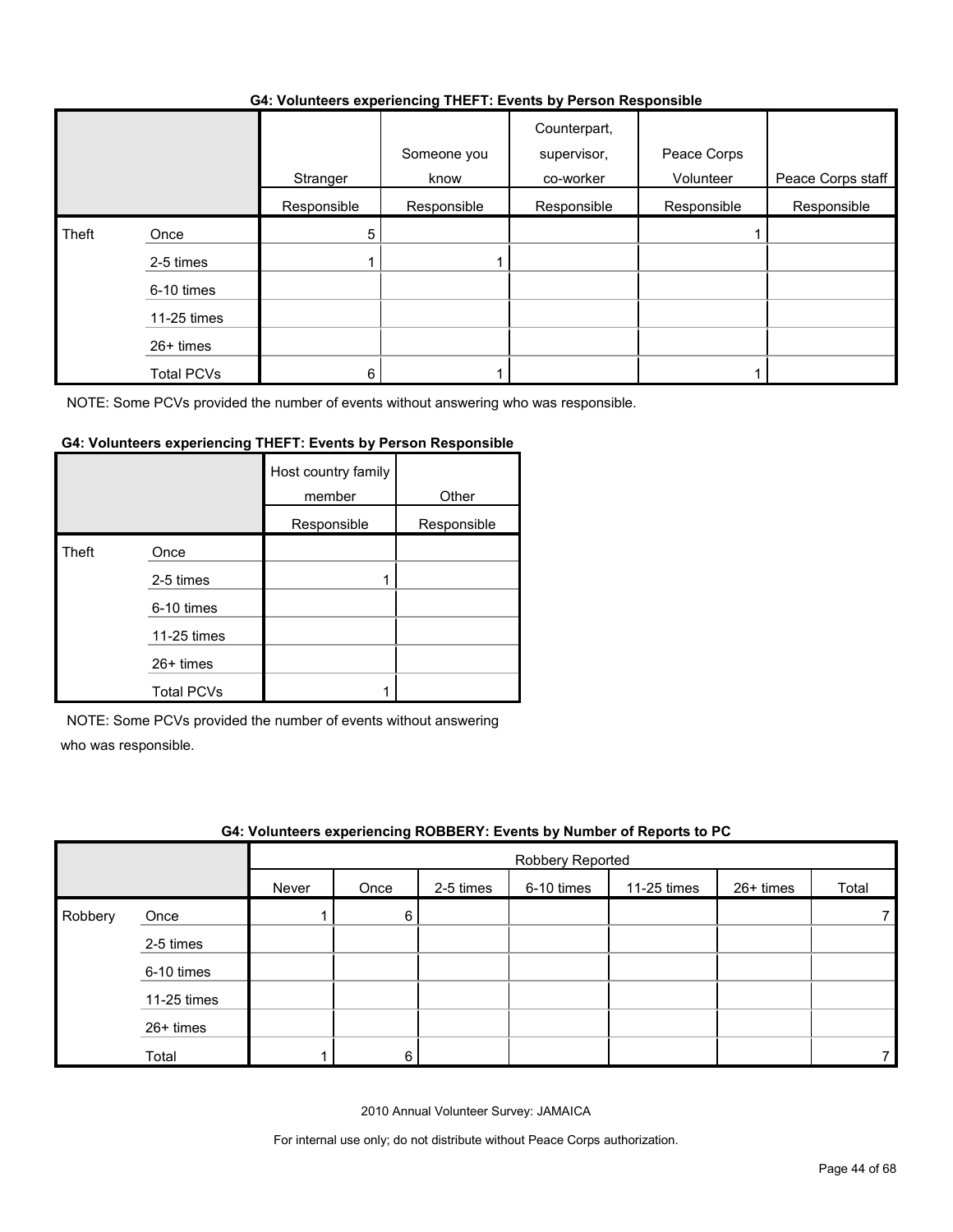#### **G4: Volunteers experiencing THEFT: Events by Person Responsible**

|       |                   | .           | $\sim$              | .                                        |                          |                   |
|-------|-------------------|-------------|---------------------|------------------------------------------|--------------------------|-------------------|
|       |                   | Stranger    | Someone you<br>know | Counterpart,<br>supervisor,<br>co-worker | Peace Corps<br>Volunteer | Peace Corps staff |
|       |                   | Responsible | Responsible         | Responsible                              | Responsible              | Responsible       |
| Theft | Once              | 5           |                     |                                          |                          |                   |
|       | 2-5 times         |             |                     |                                          |                          |                   |
|       | 6-10 times        |             |                     |                                          |                          |                   |
|       | 11-25 times       |             |                     |                                          |                          |                   |
|       | 26+ times         |             |                     |                                          |                          |                   |
|       | <b>Total PCVs</b> | 6           |                     |                                          |                          |                   |

NOTE: Some PCVs provided the number of events without answering who was responsible.

## **G4: Volunteers experiencing THEFT: Events by Person Responsible**

|       |                   | Host country family<br>member | Other       |
|-------|-------------------|-------------------------------|-------------|
|       |                   | Responsible                   | Responsible |
| Theft | Once              |                               |             |
|       | 2-5 times         |                               |             |
|       | 6-10 times        |                               |             |
|       | 11-25 times       |                               |             |
|       | 26+ times         |                               |             |
|       | <b>Total PCVs</b> |                               |             |

NOTE: Some PCVs provided the number of events without answering

who was responsible.

|         | G4: Volunteers experiencing ROBBERY: Events by Number of Reports to PC |       |                  |           |            |             |             |       |  |
|---------|------------------------------------------------------------------------|-------|------------------|-----------|------------|-------------|-------------|-------|--|
|         |                                                                        |       | Robbery Reported |           |            |             |             |       |  |
|         |                                                                        | Never | Once             | 2-5 times | 6-10 times | 11-25 times | $26+$ times | Total |  |
| Robbery | Once                                                                   |       | 6                |           |            |             |             |       |  |
|         | 2-5 times                                                              |       |                  |           |            |             |             |       |  |
|         | 6-10 times                                                             |       |                  |           |            |             |             |       |  |
|         | 11-25 times                                                            |       |                  |           |            |             |             |       |  |
|         | 26+ times                                                              |       |                  |           |            |             |             |       |  |
|         | Total                                                                  |       | 6                |           |            |             |             |       |  |

2010 Annual Volunteer Survey: JAMAICA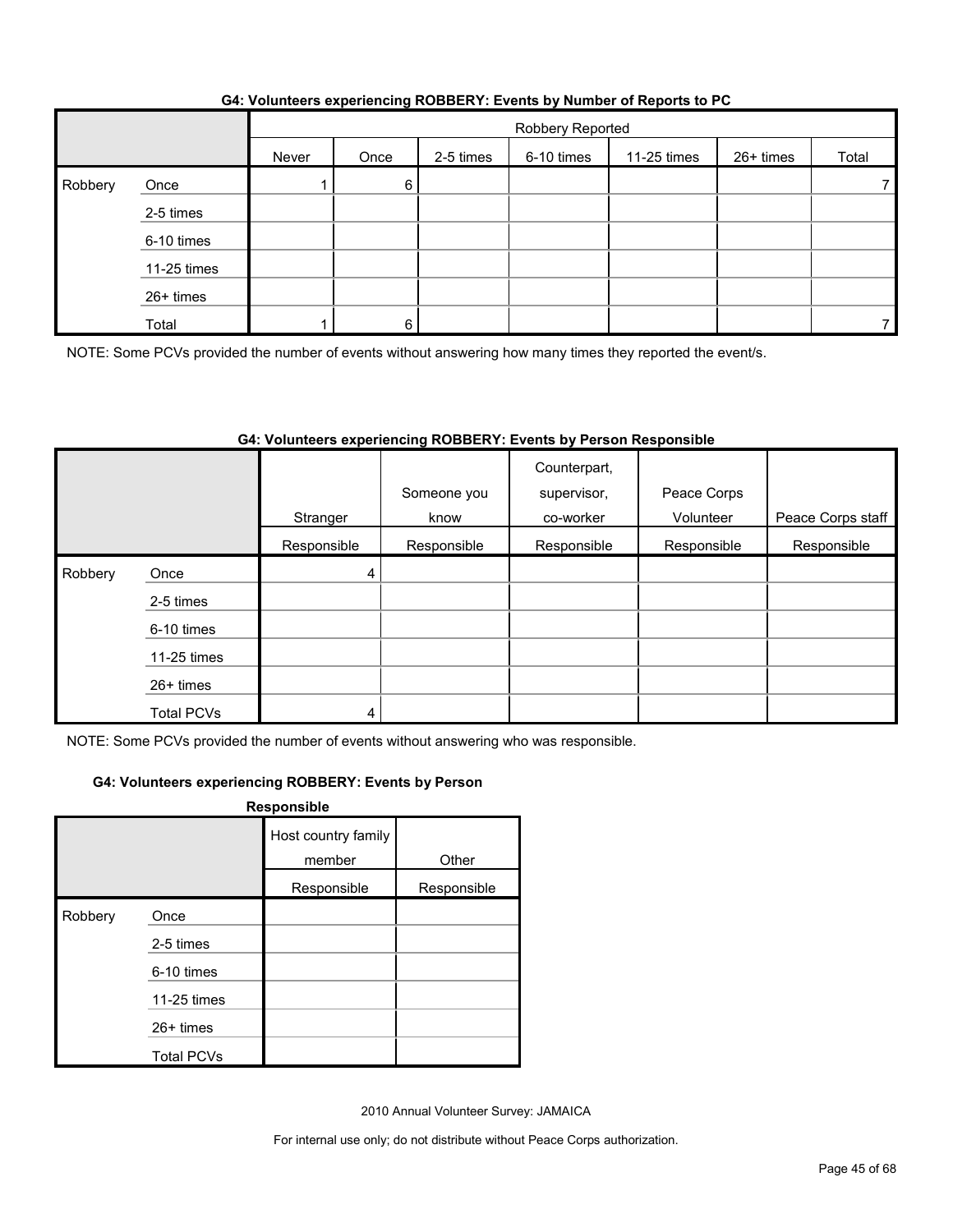|         |             |       | Robbery Reported |           |            |             |           |       |  |
|---------|-------------|-------|------------------|-----------|------------|-------------|-----------|-------|--|
|         |             | Never | Once             | 2-5 times | 6-10 times | 11-25 times | 26+ times | Total |  |
| Robbery | Once        |       | 6                |           |            |             |           |       |  |
|         | 2-5 times   |       |                  |           |            |             |           |       |  |
|         | 6-10 times  |       |                  |           |            |             |           |       |  |
|         | 11-25 times |       |                  |           |            |             |           |       |  |
|         | 26+ times   |       |                  |           |            |             |           |       |  |
|         | Total       |       | 6                |           |            |             |           |       |  |

#### **G4: Volunteers experiencing ROBBERY: Events by Number of Reports to PC**

NOTE: Some PCVs provided the number of events without answering how many times they reported the event/s.

## **G4: Volunteers experiencing ROBBERY: Events by Person Responsible**

|         |                   |             | Someone you | Counterpart,<br>supervisor, | Peace Corps |                   |
|---------|-------------------|-------------|-------------|-----------------------------|-------------|-------------------|
|         |                   | Stranger    | know        | co-worker                   | Volunteer   | Peace Corps staff |
|         |                   | Responsible | Responsible | Responsible                 | Responsible | Responsible       |
| Robbery | Once              | 4           |             |                             |             |                   |
|         | 2-5 times         |             |             |                             |             |                   |
|         | 6-10 times        |             |             |                             |             |                   |
|         | 11-25 times       |             |             |                             |             |                   |
|         | $26+$ times       |             |             |                             |             |                   |
|         | <b>Total PCVs</b> | 4           |             |                             |             |                   |

NOTE: Some PCVs provided the number of events without answering who was responsible.

## **G4: Volunteers experiencing ROBBERY: Events by Person**

| Responsible |                   |                               |             |  |  |  |  |
|-------------|-------------------|-------------------------------|-------------|--|--|--|--|
|             |                   | Host country family<br>member | Other       |  |  |  |  |
|             |                   | Responsible                   | Responsible |  |  |  |  |
| Robbery     | Once              |                               |             |  |  |  |  |
|             | 2-5 times         |                               |             |  |  |  |  |
|             | 6-10 times        |                               |             |  |  |  |  |
|             | 11-25 times       |                               |             |  |  |  |  |
|             | 26+ times         |                               |             |  |  |  |  |
|             | <b>Total PCVs</b> |                               |             |  |  |  |  |

2010 Annual Volunteer Survey: JAMAICA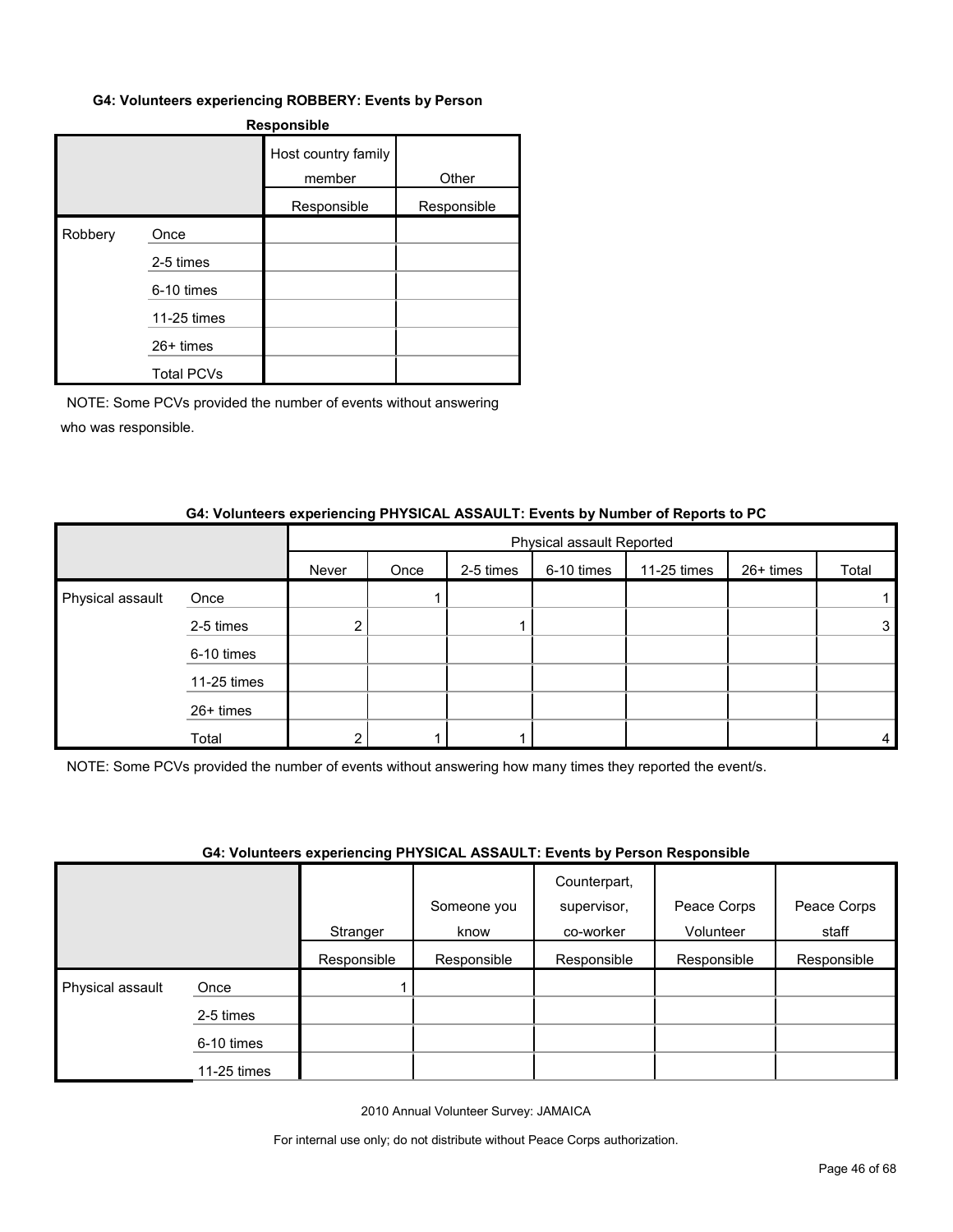#### **G4: Volunteers experiencing ROBBERY: Events by Person**

| <b>Responsible</b> |                   |                               |             |  |  |
|--------------------|-------------------|-------------------------------|-------------|--|--|
|                    |                   | Host country family<br>member | Other       |  |  |
|                    |                   | Responsible                   | Responsible |  |  |
| Robbery            | Once              |                               |             |  |  |
|                    | 2-5 times         |                               |             |  |  |
|                    | 6-10 times        |                               |             |  |  |
|                    | 11-25 times       |                               |             |  |  |
|                    | 26+ times         |                               |             |  |  |
|                    | <b>Total PCVs</b> |                               |             |  |  |

NOTE: Some PCVs provided the number of events without answering who was responsible.

#### **G4: Volunteers experiencing PHYSICAL ASSAULT: Events by Number of Reports to PC**

|                  |             |       | Physical assault Reported |           |            |             |           |       |
|------------------|-------------|-------|---------------------------|-----------|------------|-------------|-----------|-------|
|                  |             | Never | Once                      | 2-5 times | 6-10 times | 11-25 times | 26+ times | Total |
| Physical assault | Once        |       |                           |           |            |             |           |       |
|                  | 2-5 times   | ◠     |                           |           |            |             |           | 3     |
|                  | 6-10 times  |       |                           |           |            |             |           |       |
|                  | 11-25 times |       |                           |           |            |             |           |       |
|                  | 26+ times   |       |                           |           |            |             |           |       |
|                  | Total       |       |                           |           |            |             |           | 4     |

NOTE: Some PCVs provided the number of events without answering how many times they reported the event/s.

#### **G4: Volunteers experiencing PHYSICAL ASSAULT: Events by Person Responsible**

|                  |             | . . <b>.</b> | Someone you | .<br>Counterpart,<br>supervisor, | Peace Corps | Peace Corps |
|------------------|-------------|--------------|-------------|----------------------------------|-------------|-------------|
|                  |             | Stranger     | know        | co-worker                        | Volunteer   | staff       |
|                  |             | Responsible  | Responsible | Responsible                      | Responsible | Responsible |
| Physical assault | Once        |              |             |                                  |             |             |
|                  | 2-5 times   |              |             |                                  |             |             |
|                  | 6-10 times  |              |             |                                  |             |             |
|                  | 11-25 times |              |             |                                  |             |             |

2010 Annual Volunteer Survey: JAMAICA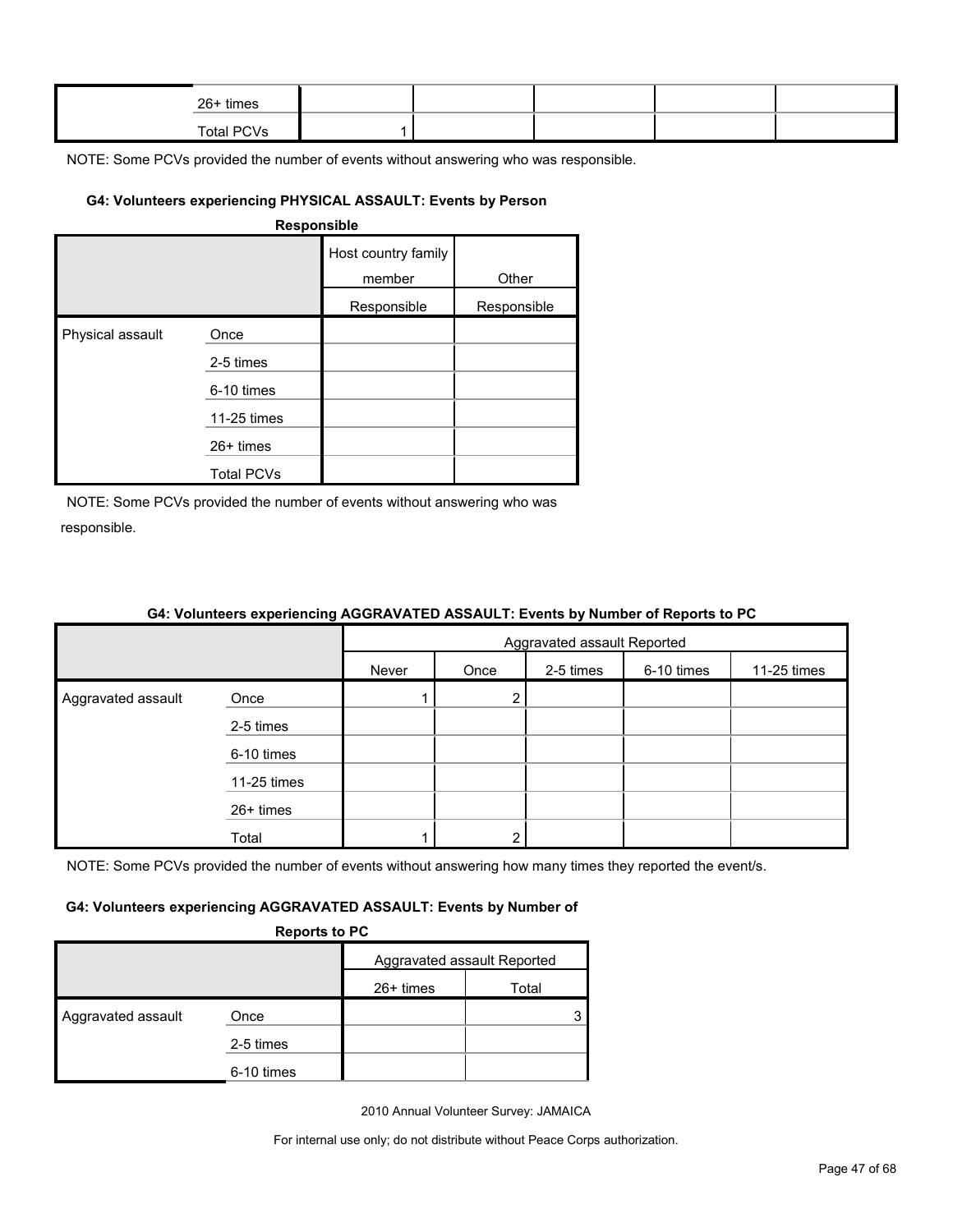| 26+ times         |  |  |  |
|-------------------|--|--|--|
| <b>Total PCVs</b> |  |  |  |

## **G4: Volunteers experiencing PHYSICAL ASSAULT: Events by Person**

| <b>Responsible</b> |
|--------------------|
|--------------------|

|                  |                   | Host country family<br>member | Other       |
|------------------|-------------------|-------------------------------|-------------|
|                  |                   | Responsible                   | Responsible |
| Physical assault | Once              |                               |             |
|                  | 2-5 times         |                               |             |
|                  | 6-10 times        |                               |             |
|                  | 11-25 times       |                               |             |
|                  | 26+ times         |                               |             |
|                  | <b>Total PCVs</b> |                               |             |

NOTE: Some PCVs provided the number of events without answering who was responsible.

|                    |             | Aggravated assault Reported |      |           |            |             |
|--------------------|-------------|-----------------------------|------|-----------|------------|-------------|
|                    |             | Never                       | Once | 2-5 times | 6-10 times | 11-25 times |
| Aggravated assault | Once        |                             | 2    |           |            |             |
|                    | 2-5 times   |                             |      |           |            |             |
|                    | 6-10 times  |                             |      |           |            |             |
|                    | 11-25 times |                             |      |           |            |             |
|                    | 26+ times   |                             |      |           |            |             |
|                    | Total       |                             | ◠    |           |            |             |

## **G4: Volunteers experiencing AGGRAVATED ASSAULT: Events by Number of Reports to PC**

NOTE: Some PCVs provided the number of events without answering how many times they reported the event/s.

#### **G4: Volunteers experiencing AGGRAVATED ASSAULT: Events by Number of**

| <b>Reports to PC</b> |  |
|----------------------|--|
|                      |  |

|                    | $\cdots$ , $\cdots$ . $\cdots$ |                             |       |
|--------------------|--------------------------------|-----------------------------|-------|
|                    |                                | Aggravated assault Reported |       |
|                    |                                | $26+$ times                 | Total |
| Aggravated assault | Once                           |                             |       |
|                    | 2-5 times                      |                             |       |
|                    | 6-10 times                     |                             |       |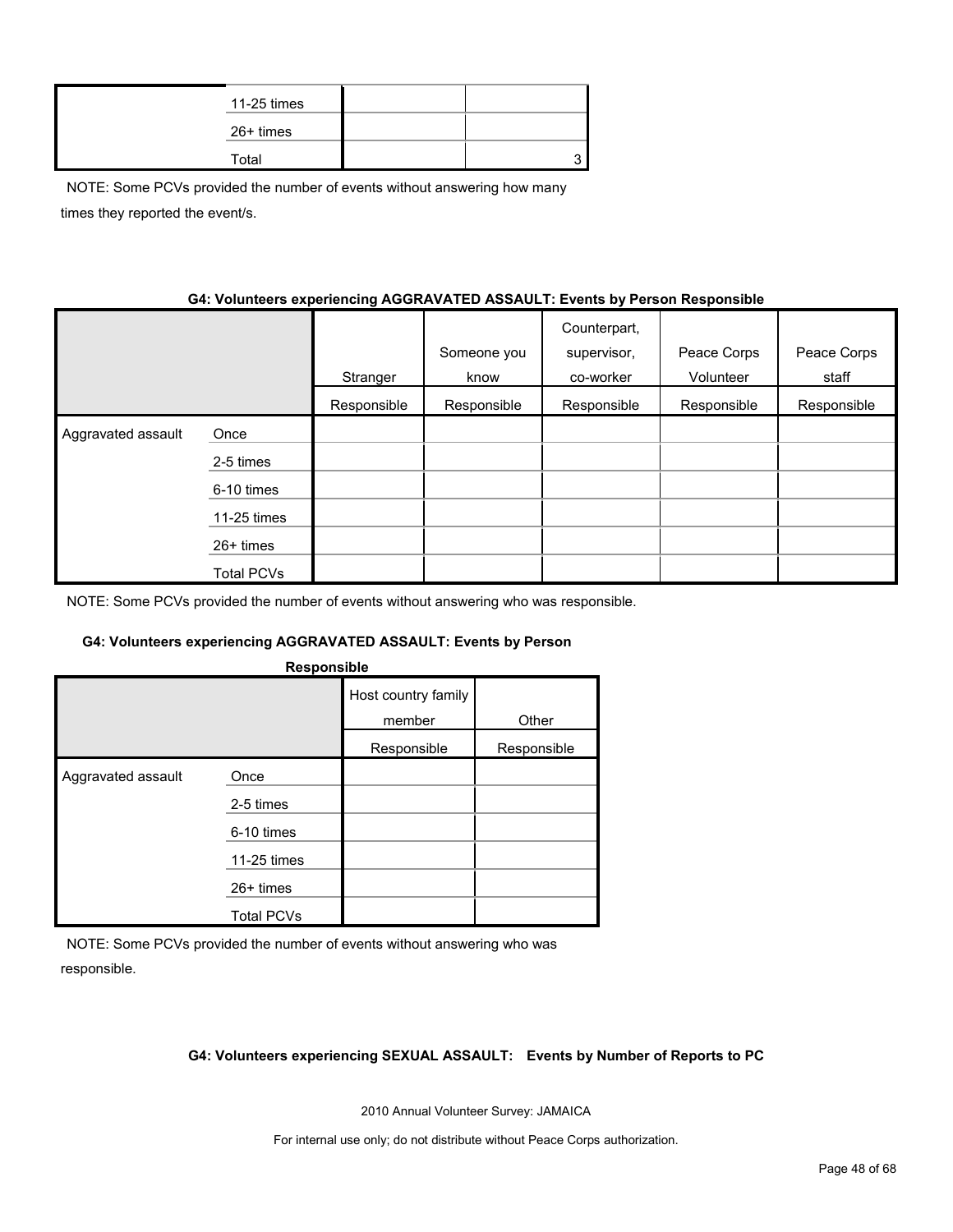| 11-25 times |  |
|-------------|--|
| 26+ times   |  |
| Total       |  |

NOTE: Some PCVs provided the number of events without answering how many times they reported the event/s.

## **G4: Volunteers experiencing AGGRAVATED ASSAULT: Events by Person Responsible**

|                    |             | Stranger    | Someone you<br>know | Counterpart,<br>supervisor,<br>co-worker | Peace Corps<br>Volunteer | Peace Corps<br>staff |
|--------------------|-------------|-------------|---------------------|------------------------------------------|--------------------------|----------------------|
|                    |             | Responsible | Responsible         | Responsible                              | Responsible              | Responsible          |
| Aggravated assault | Once        |             |                     |                                          |                          |                      |
|                    | 2-5 times   |             |                     |                                          |                          |                      |
|                    | 6-10 times  |             |                     |                                          |                          |                      |
|                    | 11-25 times |             |                     |                                          |                          |                      |
|                    | 26+ times   |             |                     |                                          |                          |                      |
|                    | Total PCVs  |             |                     |                                          |                          |                      |

NOTE: Some PCVs provided the number of events without answering who was responsible.

#### **G4: Volunteers experiencing AGGRAVATED ASSAULT: Events by Person**

|                    | Responsible       |                               |             |
|--------------------|-------------------|-------------------------------|-------------|
|                    |                   | Host country family<br>member | Other       |
|                    |                   | Responsible                   | Responsible |
| Aggravated assault | Once              |                               |             |
|                    | 2-5 times         |                               |             |
|                    | 6-10 times        |                               |             |
|                    | 11-25 times       |                               |             |
|                    | 26+ times         |                               |             |
|                    | <b>Total PCVs</b> |                               |             |

NOTE: Some PCVs provided the number of events without answering who was responsible.

#### **G4: Volunteers experiencing SEXUAL ASSAULT: Events by Number of Reports to PC**

2010 Annual Volunteer Survey: JAMAICA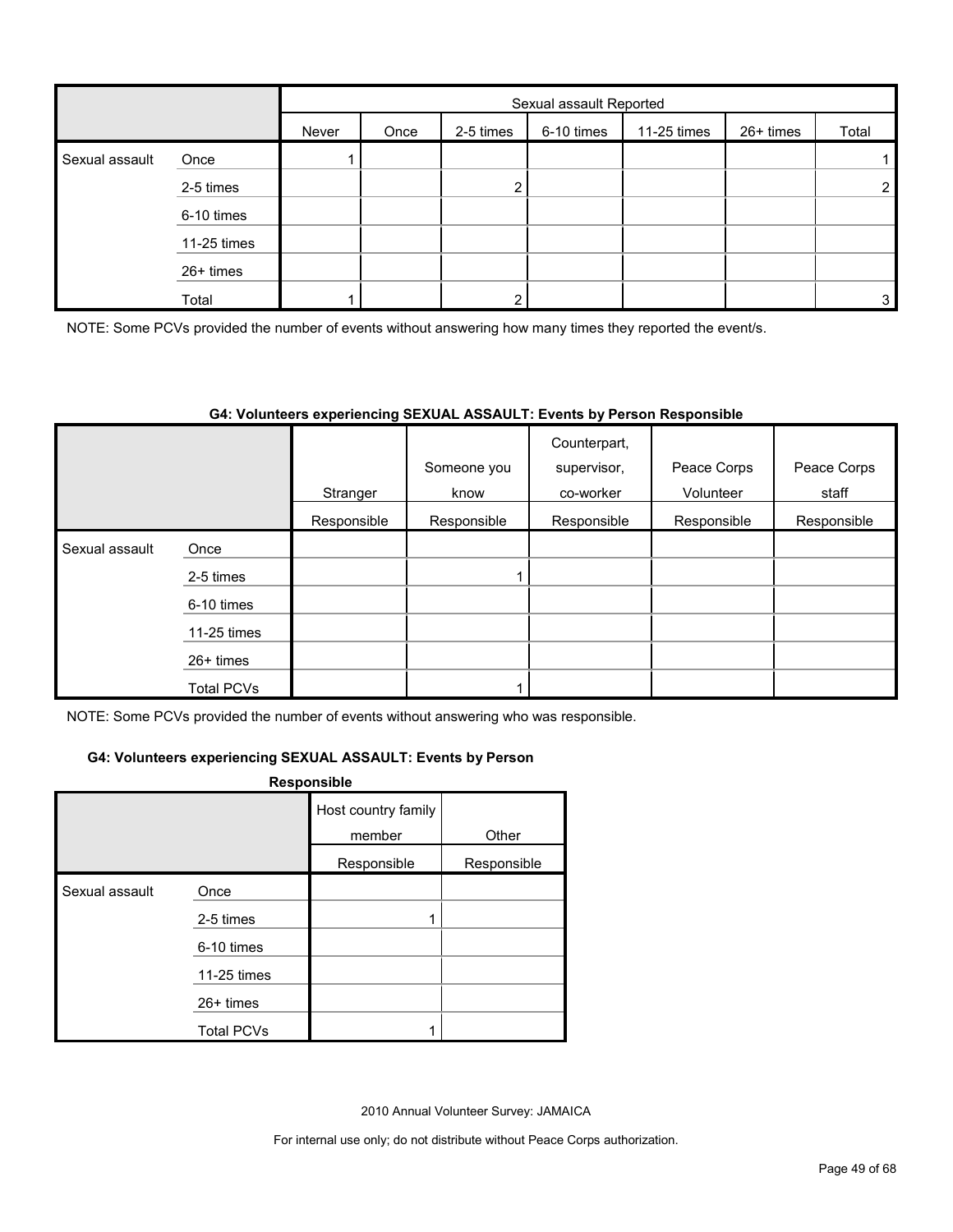|                |             | Sexual assault Reported |      |           |            |             |           |                |
|----------------|-------------|-------------------------|------|-----------|------------|-------------|-----------|----------------|
|                |             | Never                   | Once | 2-5 times | 6-10 times | 11-25 times | 26+ times | Total          |
| Sexual assault | Once        |                         |      |           |            |             |           |                |
|                | 2-5 times   |                         |      |           |            |             |           | $\overline{2}$ |
|                | 6-10 times  |                         |      |           |            |             |           |                |
|                | 11-25 times |                         |      |           |            |             |           |                |
|                | 26+ times   |                         |      |           |            |             |           |                |
|                | Total       |                         |      |           |            |             |           | 3              |

NOTE: Some PCVs provided the number of events without answering how many times they reported the event/s.

#### **G4: Volunteers experiencing SEXUAL ASSAULT: Events by Person Responsible**

|                |                   | Stranger    | Someone you<br>know | Counterpart,<br>supervisor,<br>co-worker | Peace Corps<br>Volunteer | Peace Corps<br>staff |
|----------------|-------------------|-------------|---------------------|------------------------------------------|--------------------------|----------------------|
|                |                   | Responsible | Responsible         | Responsible                              | Responsible              | Responsible          |
| Sexual assault | Once              |             |                     |                                          |                          |                      |
|                | 2-5 times         |             |                     |                                          |                          |                      |
|                | 6-10 times        |             |                     |                                          |                          |                      |
|                | 11-25 times       |             |                     |                                          |                          |                      |
|                | $26+$ times       |             |                     |                                          |                          |                      |
|                | <b>Total PCVs</b> |             |                     |                                          |                          |                      |

NOTE: Some PCVs provided the number of events without answering who was responsible.

#### **G4: Volunteers experiencing SEXUAL ASSAULT: Events by Person**

#### **Responsible**

|                |                   | Host country family<br>member | Other       |
|----------------|-------------------|-------------------------------|-------------|
|                |                   | Responsible                   | Responsible |
| Sexual assault | Once              |                               |             |
|                | 2-5 times         |                               |             |
|                | 6-10 times        |                               |             |
|                | 11-25 times       |                               |             |
|                | 26+ times         |                               |             |
|                | <b>Total PCVs</b> |                               |             |

2010 Annual Volunteer Survey: JAMAICA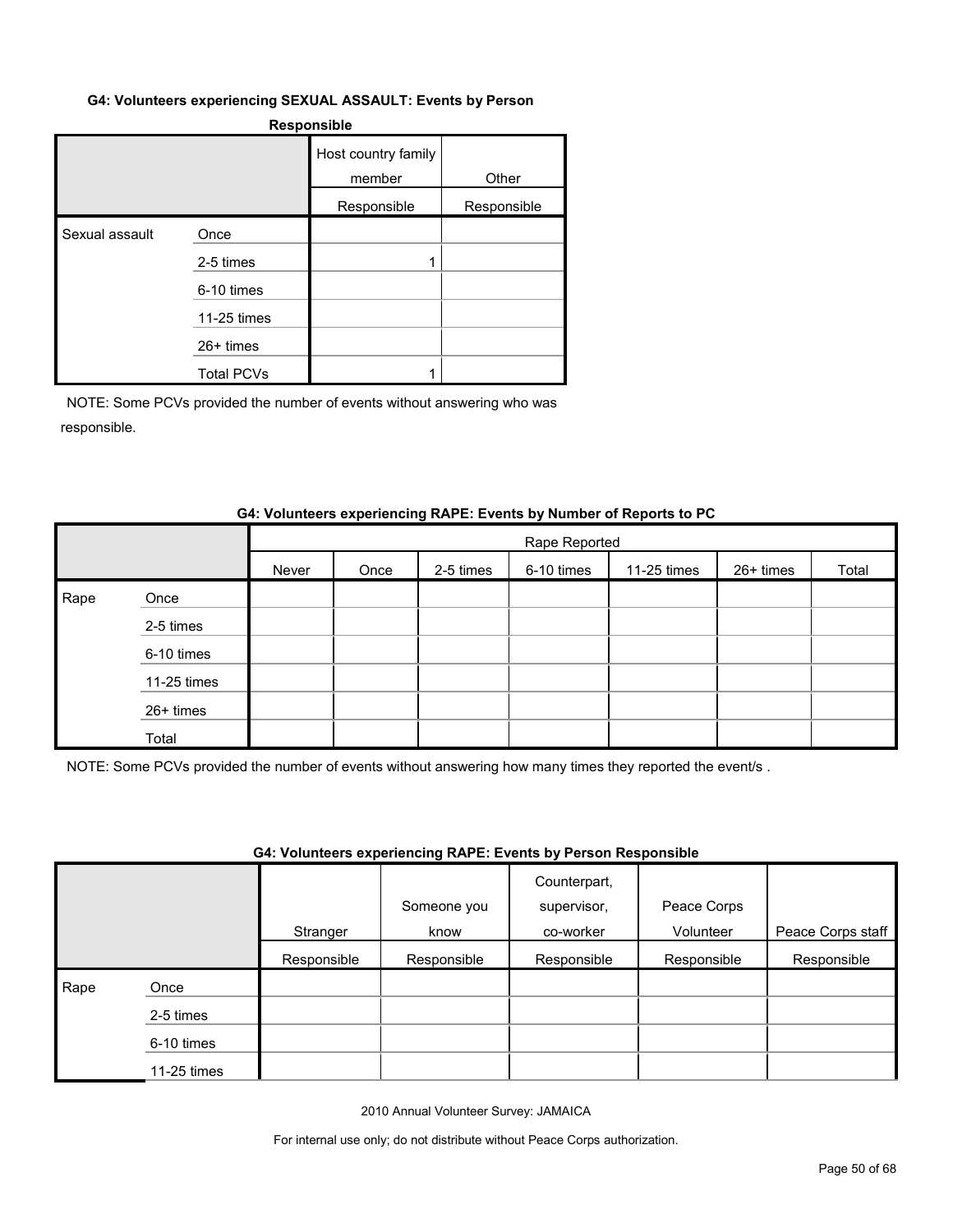#### **G4: Volunteers experiencing SEXUAL ASSAULT: Events by Person**

#### **Responsible**

|                |                   | Host country family<br>member | Other       |
|----------------|-------------------|-------------------------------|-------------|
|                |                   | Responsible                   | Responsible |
| Sexual assault | Once              |                               |             |
|                | 2-5 times         |                               |             |
|                | 6-10 times        |                               |             |
|                | 11-25 times       |                               |             |
|                | $26+$ times       |                               |             |
|                | <b>Total PCVs</b> |                               |             |

NOTE: Some PCVs provided the number of events without answering who was responsible.

#### **G4: Volunteers experiencing RAPE: Events by Number of Reports to PC**

|      |             |       | Rape Reported |           |            |             |           |       |
|------|-------------|-------|---------------|-----------|------------|-------------|-----------|-------|
|      |             | Never | Once          | 2-5 times | 6-10 times | 11-25 times | 26+ times | Total |
| Rape | Once        |       |               |           |            |             |           |       |
|      | 2-5 times   |       |               |           |            |             |           |       |
|      | 6-10 times  |       |               |           |            |             |           |       |
|      | 11-25 times |       |               |           |            |             |           |       |
|      | 26+ times   |       |               |           |            |             |           |       |
|      | Total       |       |               |           |            |             |           |       |

NOTE: Some PCVs provided the number of events without answering how many times they reported the event/s .

## **G4: Volunteers experiencing RAPE: Events by Person Responsible**

|      |             | Stranger    | Someone you<br>know | Counterpart,<br>supervisor,<br>co-worker | Peace Corps<br>Volunteer | Peace Corps staff |
|------|-------------|-------------|---------------------|------------------------------------------|--------------------------|-------------------|
|      |             | Responsible | Responsible         | Responsible                              | Responsible              | Responsible       |
| Rape | Once        |             |                     |                                          |                          |                   |
|      | 2-5 times   |             |                     |                                          |                          |                   |
|      | 6-10 times  |             |                     |                                          |                          |                   |
|      | 11-25 times |             |                     |                                          |                          |                   |

2010 Annual Volunteer Survey: JAMAICA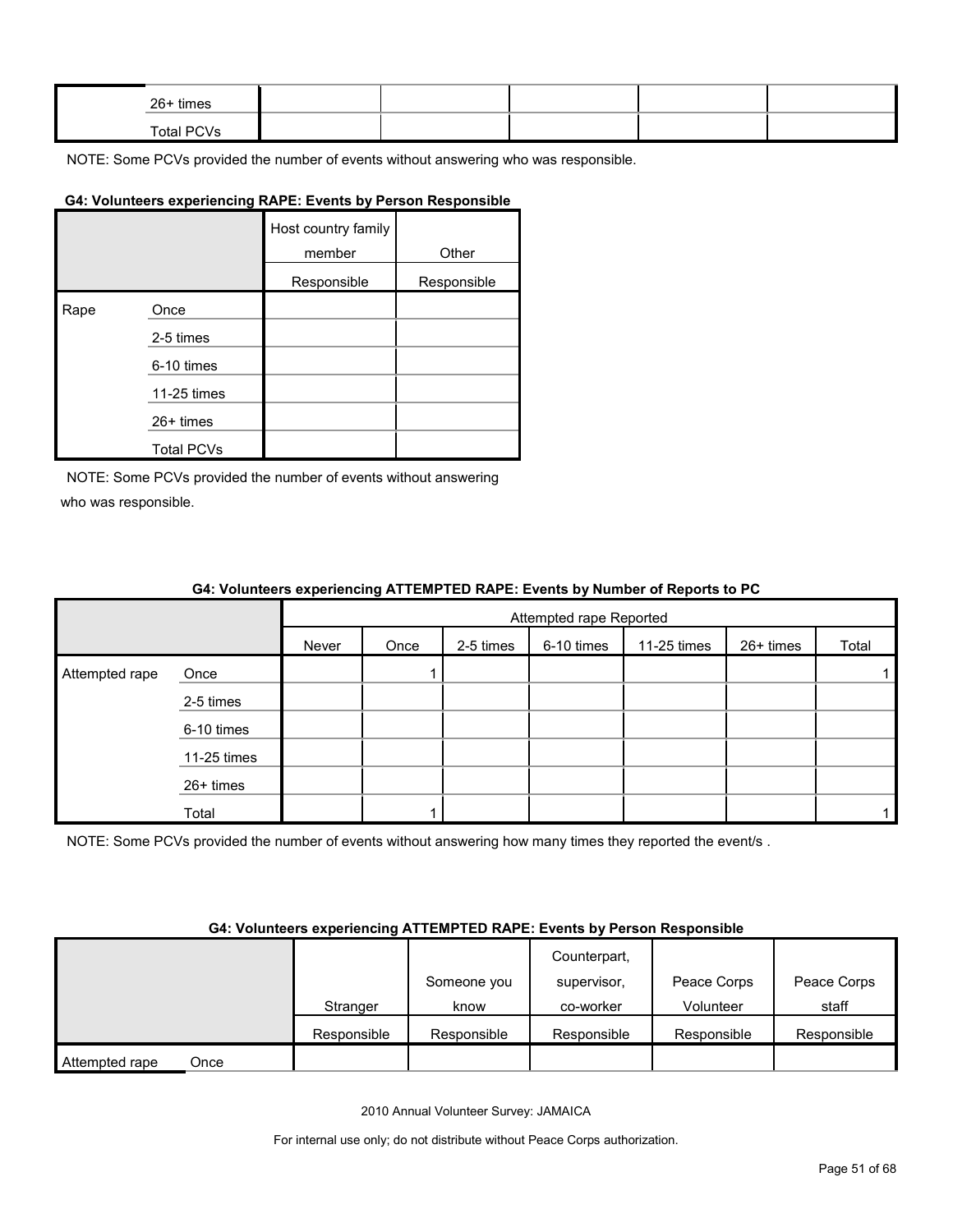| 26+ times  |  |  |  |
|------------|--|--|--|
| Total PCVs |  |  |  |

#### **G4: Volunteers experiencing RAPE: Events by Person Responsible**

|      |                   | Host country family<br>member | Other       |
|------|-------------------|-------------------------------|-------------|
|      |                   | Responsible                   | Responsible |
| Rape | Once              |                               |             |
|      | 2-5 times         |                               |             |
|      | 6-10 times        |                               |             |
|      | 11-25 times       |                               |             |
|      | 26+ times         |                               |             |
|      | <b>Total PCVs</b> |                               |             |

NOTE: Some PCVs provided the number of events without answering who was responsible.

#### **G4: Volunteers experiencing ATTEMPTED RAPE: Events by Number of Reports to PC**

|                |             |       | Attempted rape Reported |           |            |             |           |       |  |
|----------------|-------------|-------|-------------------------|-----------|------------|-------------|-----------|-------|--|
|                |             | Never | Once                    | 2-5 times | 6-10 times | 11-25 times | 26+ times | Total |  |
| Attempted rape | Once        |       |                         |           |            |             |           |       |  |
|                | 2-5 times   |       |                         |           |            |             |           |       |  |
|                | 6-10 times  |       |                         |           |            |             |           |       |  |
|                | 11-25 times |       |                         |           |            |             |           |       |  |
|                | 26+ times   |       |                         |           |            |             |           |       |  |
|                | Total       |       |                         |           |            |             |           |       |  |

NOTE: Some PCVs provided the number of events without answering how many times they reported the event/s.

#### **G4: Volunteers experiencing ATTEMPTED RAPE: Events by Person Responsible**

|                        |             |             | Counterpart, |             |             |
|------------------------|-------------|-------------|--------------|-------------|-------------|
|                        |             | Someone you | supervisor.  | Peace Corps | Peace Corps |
|                        | Stranger    | know        | co-worker    | Volunteer   | staff       |
|                        | Responsible | Responsible | Responsible  | Responsible | Responsible |
| Attempted rape<br>Once |             |             |              |             |             |

2010 Annual Volunteer Survey: JAMAICA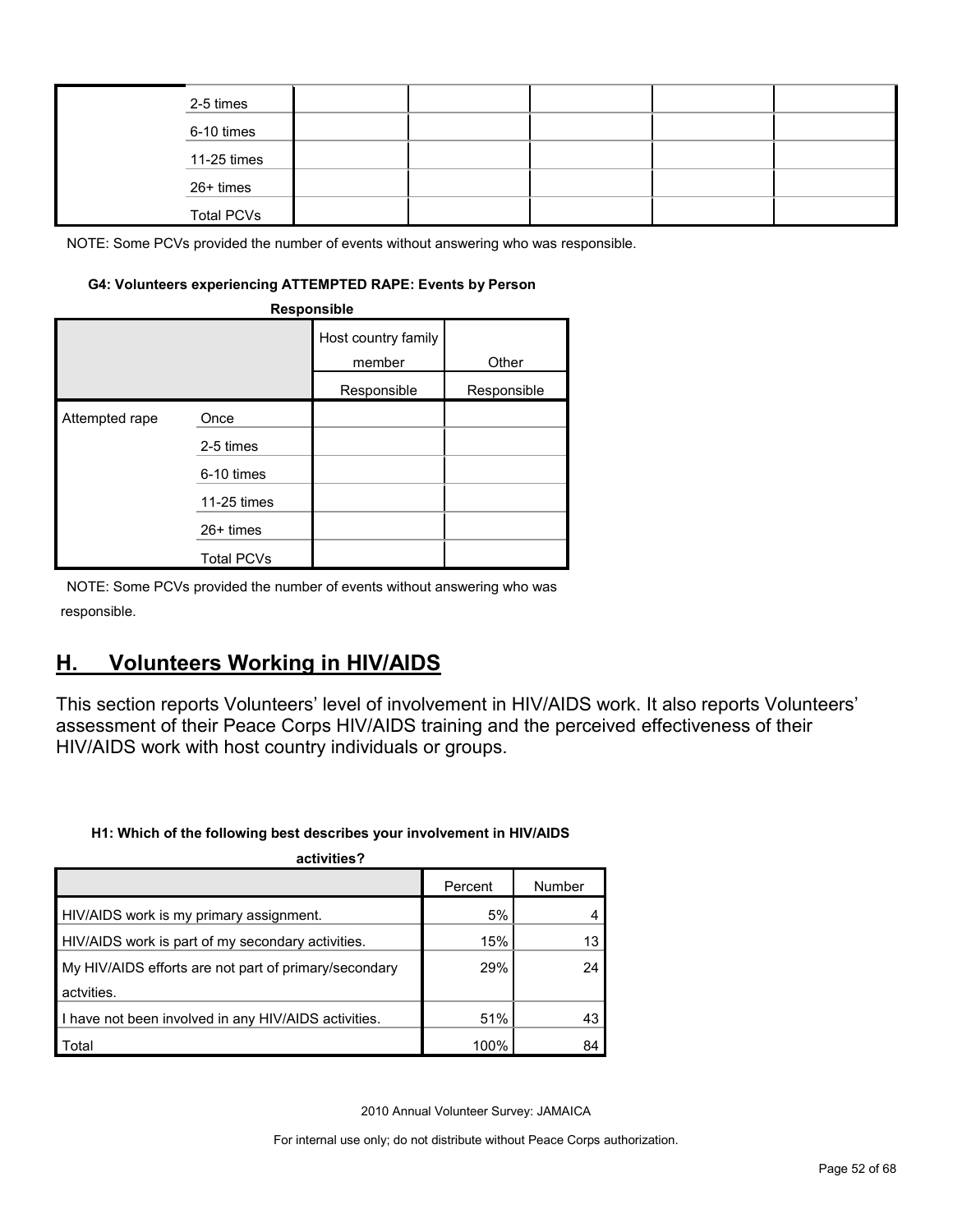|  | 2-5 times         |  |  |  |
|--|-------------------|--|--|--|
|  | 6-10 times        |  |  |  |
|  | 11-25 times       |  |  |  |
|  | 26+ times         |  |  |  |
|  | <b>Total PCVs</b> |  |  |  |

#### **G4: Volunteers experiencing ATTEMPTED RAPE: Events by Person**

|                | Responsible       |                               |             |
|----------------|-------------------|-------------------------------|-------------|
|                |                   | Host country family<br>member | Other       |
|                |                   | Responsible                   | Responsible |
| Attempted rape | Once              |                               |             |
|                | 2-5 times         |                               |             |
|                | 6-10 times        |                               |             |
|                | 11-25 times       |                               |             |
|                | $26+$ times       |                               |             |
|                | <b>Total PCVs</b> |                               |             |

NOTE: Some PCVs provided the number of events without answering who was responsible.

# <span id="page-51-0"></span>**H. Volunteers Working in HIV/AIDS**

This section reports Volunteers' level of involvement in HIV/AIDS work. It also reports Volunteers' assessment of their Peace Corps HIV/AIDS training and the perceived effectiveness of their HIV/AIDS work with host country individuals or groups.

#### **H1: Which of the following best describes your involvement in HIV/AIDS**

| activities?                                           |         |        |
|-------------------------------------------------------|---------|--------|
|                                                       | Percent | Number |
| HIV/AIDS work is my primary assignment.               | 5%      |        |
| HIV/AIDS work is part of my secondary activities.     | 15%     | 13     |
| My HIV/AIDS efforts are not part of primary/secondary | 29%     | 24     |
| actvities.                                            |         |        |
| I have not been involved in any HIV/AIDS activities.  | 51%     | 43     |
| Total                                                 | 100%    | 84     |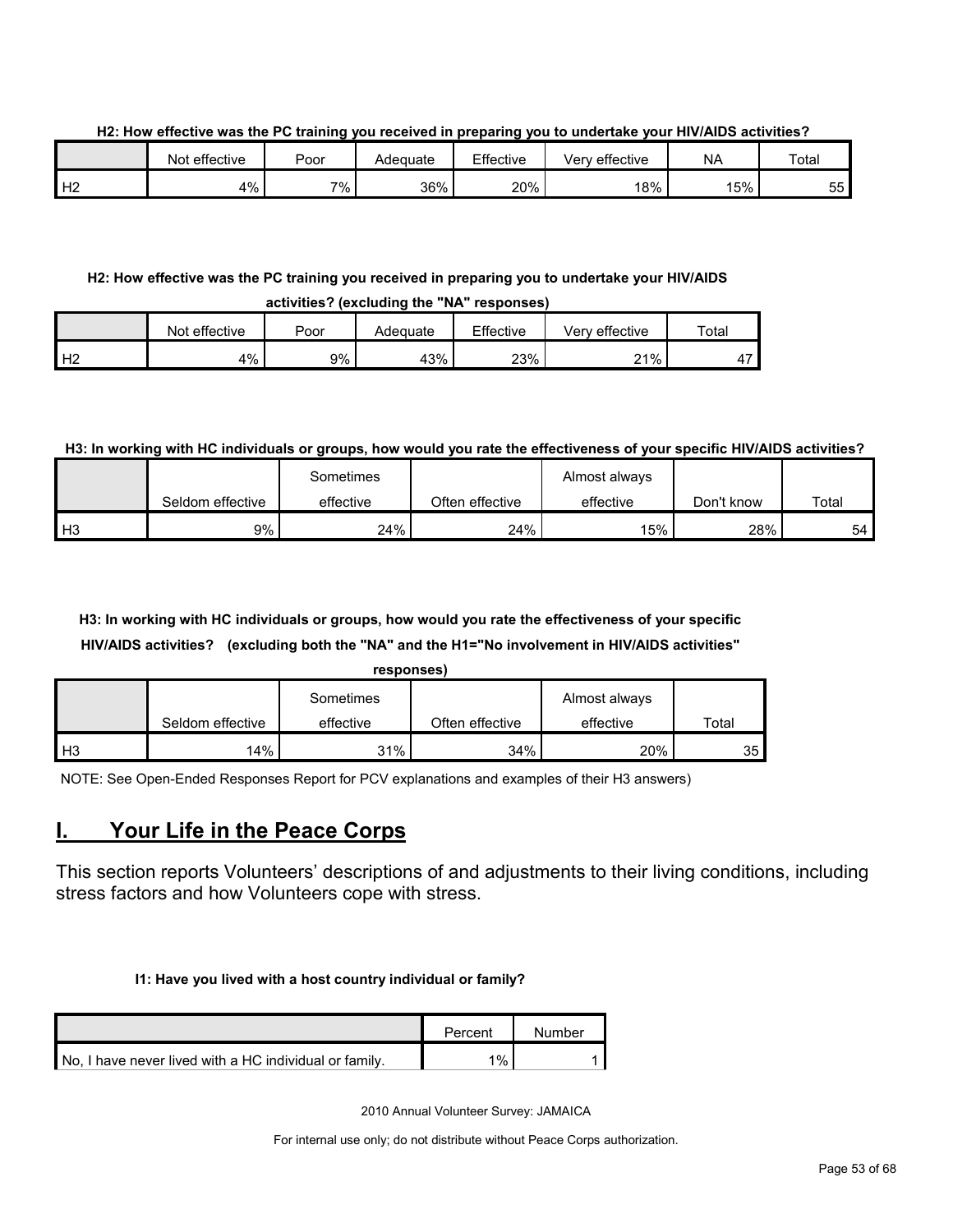**H2: How effective was the PC training you received in preparing you to undertake your HIV/AIDS activities?**

|    | Not effective | Poor | Adeɑuate | Effective | <br><sup>'</sup> effective<br>verv | <b>NA</b> | Total          |
|----|---------------|------|----------|-----------|------------------------------------|-----------|----------------|
| Н2 | 4%            | 7%   | 36%      | 20%       | 18%                                | 15%       | --<br>へへ<br>ບບ |

#### **H2: How effective was the PC training you received in preparing you to undertake your HIV/AIDS activities? (excluding the "NA" responses)**

|         | WYM INVYT IVAVIWMIIIW MIY TYI TYYWYIIYYY |      |          |           |                |       |  |  |  |  |
|---------|------------------------------------------|------|----------|-----------|----------------|-------|--|--|--|--|
|         | Not effective                            | Poor | Adequate | Effective | Verv effective | Total |  |  |  |  |
| H2<br>∸ | 4%                                       | 9%   | 43%      | 23%       | 21%            |       |  |  |  |  |

#### **H3: In working with HC individuals or groups, how would you rate the effectiveness of your specific HIV/AIDS activities?**

|                |                  | Sometimes |                 | Almost always |            |       |
|----------------|------------------|-----------|-----------------|---------------|------------|-------|
|                | Seldom effective | effective | Often effective | effective     | Don't know | Total |
| H <sub>3</sub> | 9%               | 24%       | 24%             | 15%           | 28%        | 54    |

## **H3: In working with HC individuals or groups, how would you rate the effectiveness of your specific HIV/AIDS activities? (excluding both the "NA" and the H1="No involvement in HIV/AIDS activities"**

|    |                  | responses) |                 |               |       |
|----|------------------|------------|-----------------|---------------|-------|
|    |                  | Sometimes  |                 | Almost always |       |
|    | Seldom effective | effective  | Often effective | effective     | Total |
| H3 | 14%              | 31%        | 34%             | 20%           | 35    |

NOTE: See Open-Ended Responses Report for PCV explanations and examples of their H3 answers)

# <span id="page-52-0"></span>**I. Your Life in the Peace Corps**

This section reports Volunteers' descriptions of and adjustments to their living conditions, including stress factors and how Volunteers cope with stress.

#### **I1: Have you lived with a host country individual or family?**

|                                                        | Percent | Number |
|--------------------------------------------------------|---------|--------|
| No. I have never lived with a HC individual or family. | 1%      |        |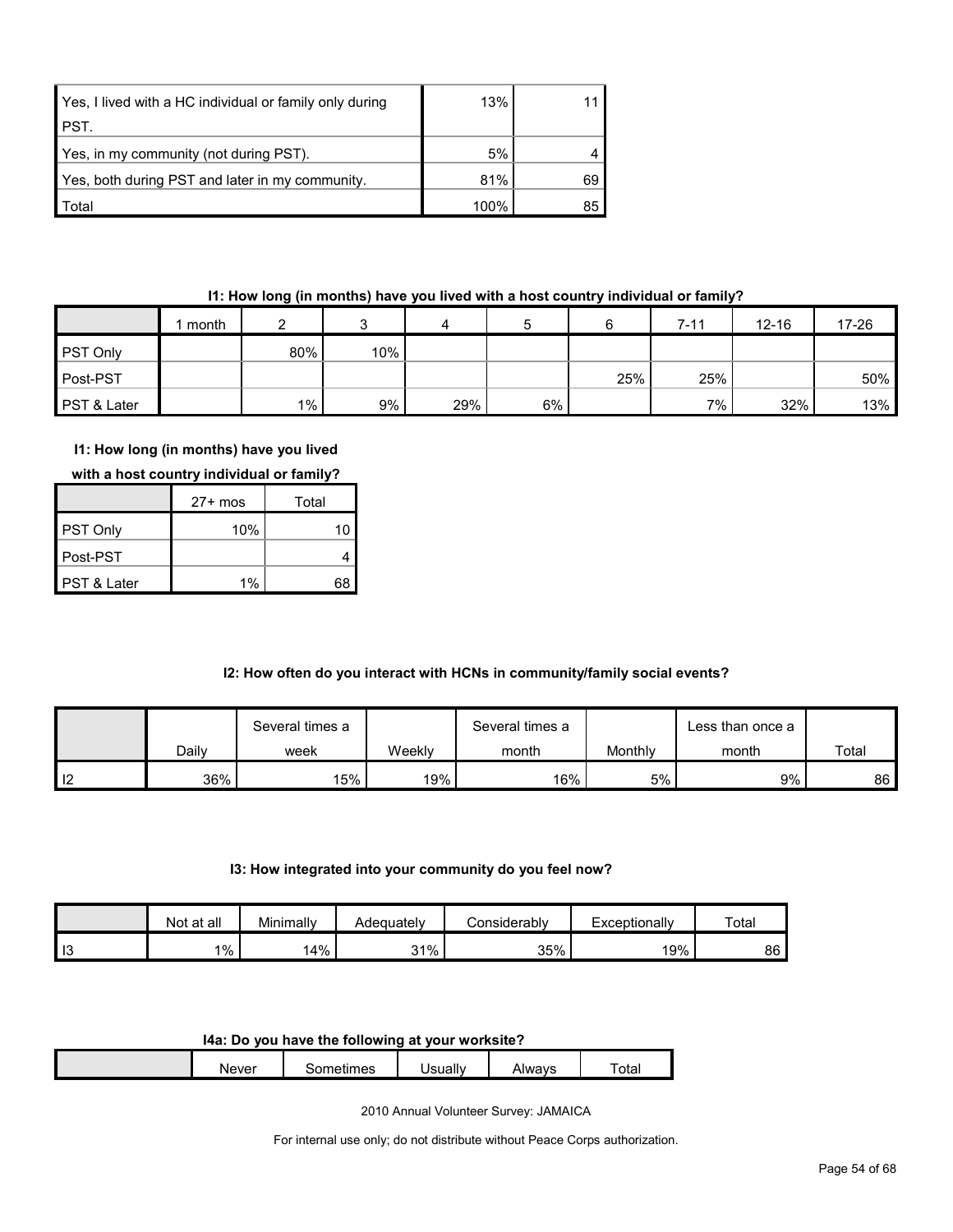| Yes, I lived with a HC individual or family only during | 13%  |    |
|---------------------------------------------------------|------|----|
| <b>PST.</b>                                             |      |    |
| Yes, in my community (not during PST).                  | 5%   |    |
| Yes, both during PST and later in my community.         | 81%  | 69 |
| <b>Total</b>                                            | 100% | 85 |

## **I1: How long (in months) have you lived with a host country individual or family?**

|                 | month |       |     | 4   |    |     | $7 - 11$ | $12 - 16$ | $17 - 26$ |
|-----------------|-------|-------|-----|-----|----|-----|----------|-----------|-----------|
| <b>PST Only</b> |       | 80%   | 10% |     |    |     |          |           |           |
| Post-PST        |       |       |     |     |    | 25% | 25%      |           | 50%       |
| PST & Later     |       | $1\%$ | 9%  | 29% | 6% |     | 7%       | 32%       | 13%       |

## **I1: How long (in months) have you lived**

|  | with a host country individual or family? |
|--|-------------------------------------------|
|--|-------------------------------------------|

|                        | $27+$ mos | Total |
|------------------------|-----------|-------|
| <b>PST Only</b>        | 10%       |       |
| Post-PST               |           |       |
| <b>PST &amp; Later</b> | 1%        | 6۶    |

## **I2: How often do you interact with HCNs in community/family social events?**

|                |       | Several times a |        | Several times a |         | ∟ess than once a |       |
|----------------|-------|-----------------|--------|-----------------|---------|------------------|-------|
|                | Daily | week            | Weekly | month           | Monthly | month            | Total |
| $\blacksquare$ | 36%   | 15%             | 19%    | 16%             | $5\%$   | 9%               | 86 I  |

#### **I3: How integrated into your community do you feel now?**

|                       | at all<br>Not | Minimally | Adequately | Considerably | Exceptionally | Total |
|-----------------------|---------------|-----------|------------|--------------|---------------|-------|
| $\overline{10}$<br>10 | $1\%$         | 14%       | 31%        | 35%          | 19%           | 86    |

#### **I4a: Do you have the following at your worksite?**

| Never | mes<br>. | Jsuallv | Alwavs | $\overline{\phantom{0}}$<br>otal |
|-------|----------|---------|--------|----------------------------------|
|       |          |         |        |                                  |

2010 Annual Volunteer Survey: JAMAICA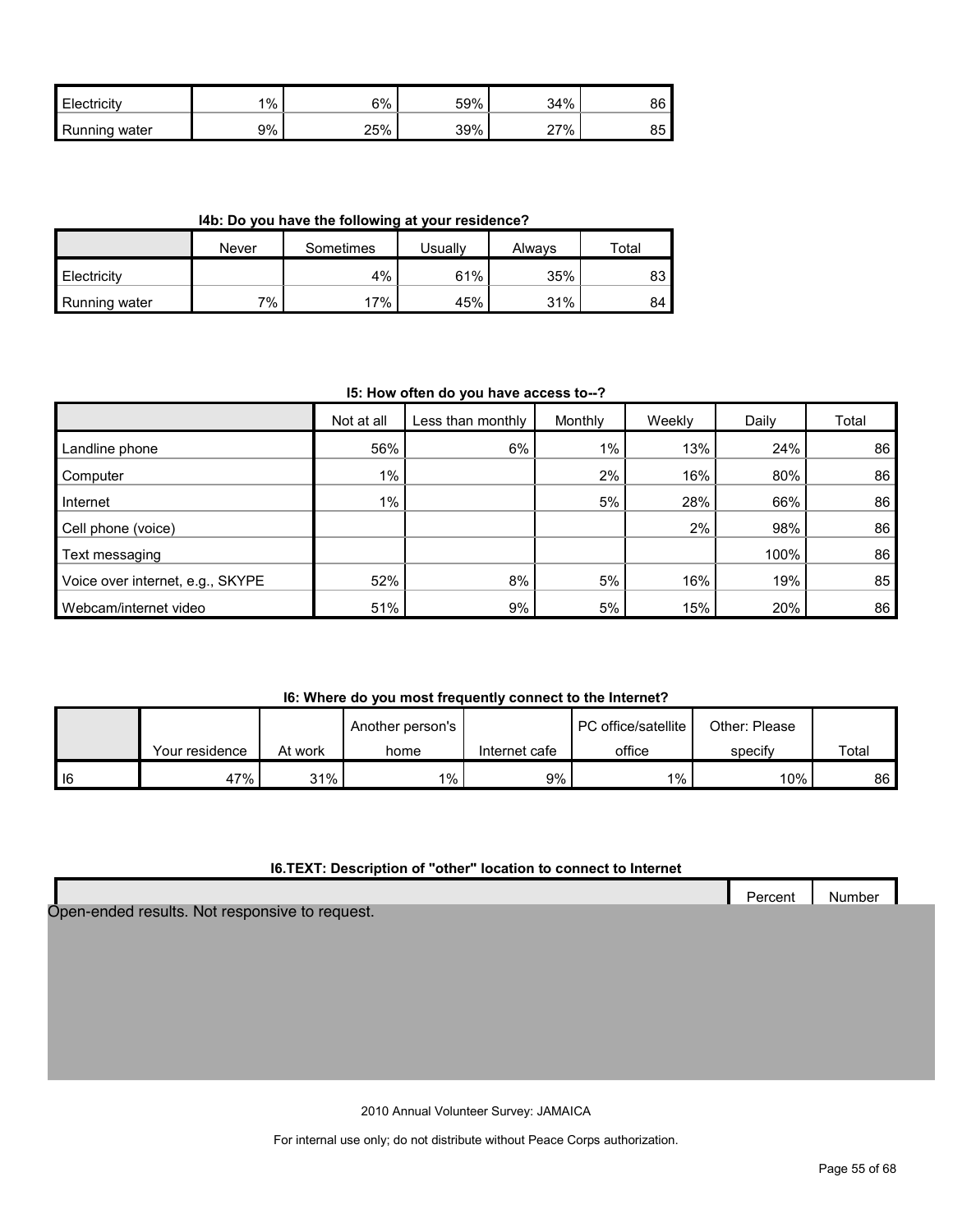| Electricity   | 1% | 6%        | 59% | 34%    | 86      |
|---------------|----|-----------|-----|--------|---------|
| Running water | 9% | 25%<br>∠◡ | 39% | $27\%$ | ᅂ<br>85 |

**I4b: Do you have the following at your residence?**

|                    | Never | Sometimes | Jsuallv | Alwavs | Total |
|--------------------|-------|-----------|---------|--------|-------|
| <b>Electricity</b> |       | 4%        | 61%     | 35%    | ია    |
| Running water      | 7%    | 17%       | 45%     | 31%    | 84    |

#### **I5: How often do you have access to--?**

|                                  | Not at all | Less than monthly | Monthly | Weekly | Daily | Total |
|----------------------------------|------------|-------------------|---------|--------|-------|-------|
| Landline phone                   | 56%        | 6%                | $1\%$   | 13%    | 24%   | 86    |
| Computer                         | $1\%$      |                   | 2%      | 16%    | 80%   | 86    |
| Internet                         | 1%         |                   | 5%      | 28%    | 66%   | 86    |
| Cell phone (voice)               |            |                   |         | 2%     | 98%   | 86    |
| Text messaging                   |            |                   |         |        | 100%  | 86    |
| Voice over internet, e.g., SKYPE | 52%        | 8%                | 5%      | 16%    | 19%   | 85    |
| Webcam/internet video            | 51%        | 9%                | 5%      | 15%    | 20%   | 86    |

## **I6: Where do you most frequently connect to the Internet?**

|        |                |         | Another person's |               | <b>PC</b> office/satellite | Other: Please |       |
|--------|----------------|---------|------------------|---------------|----------------------------|---------------|-------|
|        | Your residence | At work | home             | Internet cafe | office                     | specify       | Total |
| $ $ 16 | 47%            | 31%     | $1\%$            | $9\%$         | $1\%$ ,                    | 10%           | 86    |

## **I6.TEXT: Description of "other" location to connect to Internet**

|                                                | Percent | Number |  |
|------------------------------------------------|---------|--------|--|
| Open-ended results. Not responsive to request. |         |        |  |

2010 Annual Volunteer Survey: JAMAICA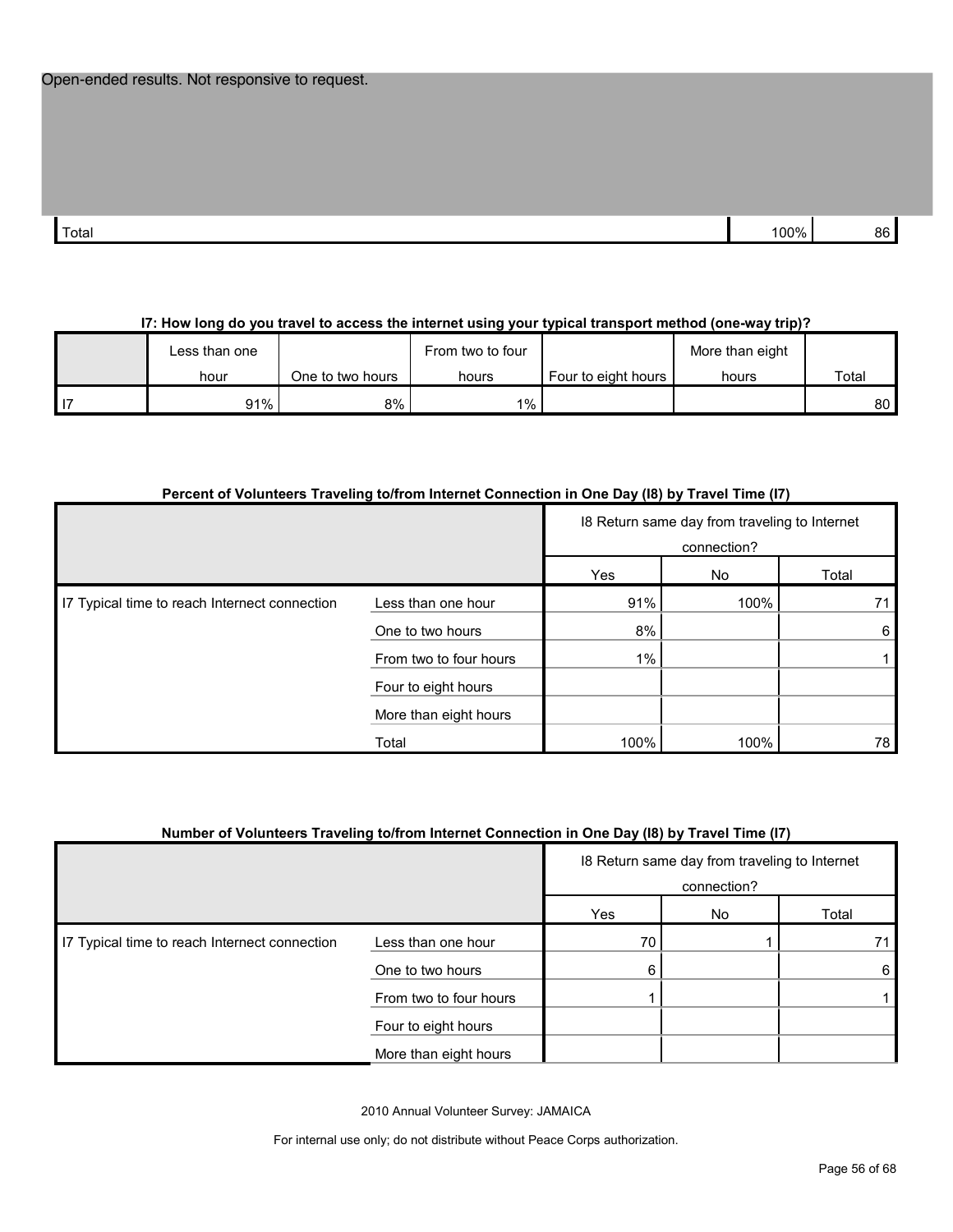| Total | በበ% | 3C |
|-------|-----|----|
|       |     |    |

## **I7: How long do you travel to access the internet using your typical transport method (one-way trip)?**

| ∟ess than one |                  | From two to four |                     | More than eight |       |
|---------------|------------------|------------------|---------------------|-----------------|-------|
| hour          | One to two hours | hours            | Four to eight hours | hours           | Total |
| 91%           | 8%               | $1\%$            |                     |                 | 80    |

#### **Percent of Volunteers Traveling to/from Internet Connection in One Day (I8) by Travel Time (I7)**

|                                               |                        |       | 18 Return same day from traveling to Internet<br>connection? |       |  |  |
|-----------------------------------------------|------------------------|-------|--------------------------------------------------------------|-------|--|--|
|                                               |                        | Yes   | No                                                           | Total |  |  |
| I7 Typical time to reach Internect connection | Less than one hour     | 91%   | 100%                                                         | 71    |  |  |
|                                               | One to two hours       | 8%    |                                                              | 6     |  |  |
|                                               | From two to four hours | $1\%$ |                                                              |       |  |  |
|                                               | Four to eight hours    |       |                                                              |       |  |  |
|                                               | More than eight hours  |       |                                                              |       |  |  |
|                                               | Total                  | 100%  | 100%                                                         | 78    |  |  |

#### **Number of Volunteers Traveling to/from Internet Connection in One Day (I8) by Travel Time (I7)**

|                                               |                        | 18 Return same day from traveling to Internet<br>connection? |    |       |  |
|-----------------------------------------------|------------------------|--------------------------------------------------------------|----|-------|--|
|                                               |                        | Yes                                                          | No | Total |  |
| 17 Typical time to reach Internect connection | Less than one hour     | 70                                                           |    |       |  |
|                                               | One to two hours       | 6                                                            |    | 6     |  |
|                                               | From two to four hours |                                                              |    |       |  |
|                                               | Four to eight hours    |                                                              |    |       |  |
|                                               | More than eight hours  |                                                              |    |       |  |

2010 Annual Volunteer Survey: JAMAICA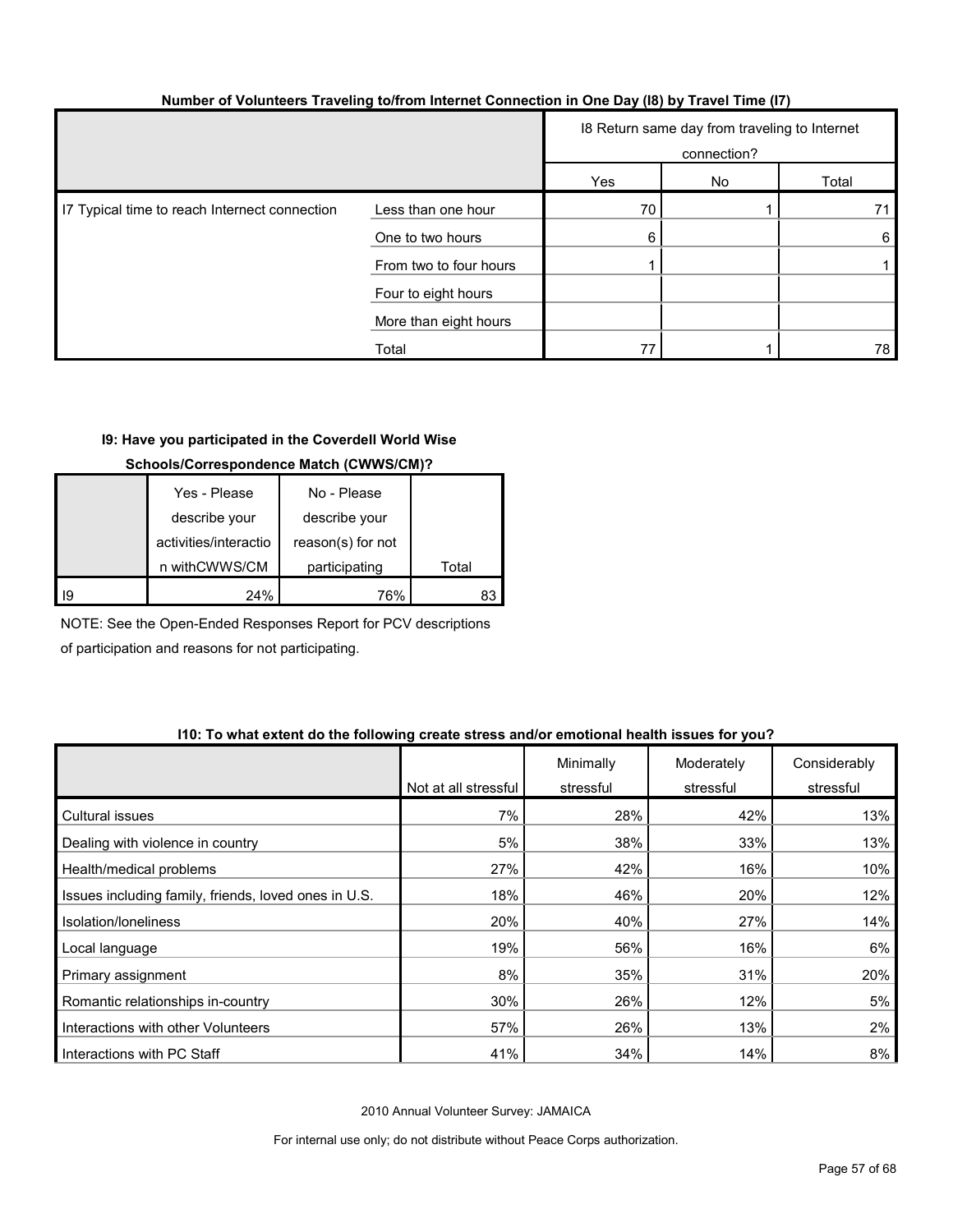| Number of Volunteers Traveling to/from Internet Connection in One Day (18) by Travel Time (17) |  |  |  |
|------------------------------------------------------------------------------------------------|--|--|--|
|                                                                                                |  |  |  |

|                                               |                        | 18 Return same day from traveling to Internet<br>connection? |    |       |  |
|-----------------------------------------------|------------------------|--------------------------------------------------------------|----|-------|--|
|                                               |                        | Yes                                                          | No | Total |  |
| I7 Typical time to reach Internect connection | Less than one hour     | 70                                                           |    |       |  |
|                                               | One to two hours       | 6                                                            |    | 6     |  |
|                                               | From two to four hours |                                                              |    |       |  |
|                                               | Four to eight hours    |                                                              |    |       |  |
|                                               | More than eight hours  |                                                              |    |       |  |
|                                               | Total                  | 77                                                           |    | 78    |  |

## **I9: Have you participated in the Coverdell World Wise**

## **Schools/Correspondence Match (CWWS/CM)?**

|    | Yes - Please          | No - Please       |       |
|----|-----------------------|-------------------|-------|
|    | describe your         | describe your     |       |
|    | activities/interactio | reason(s) for not |       |
|    | n withCWWS/CM         | participating     | Total |
| 19 | 24%                   | 76%               |       |

NOTE: See the Open-Ended Responses Report for PCV descriptions of participation and reasons for not participating.

#### **I10: To what extent do the following create stress and/or emotional health issues for you?**

|                                                      | Not at all stressful | Minimally<br>stressful | Moderately<br>stressful | Considerably<br>stressful |
|------------------------------------------------------|----------------------|------------------------|-------------------------|---------------------------|
| <b>Cultural issues</b>                               | 7%                   | 28%                    | 42%                     | 13%                       |
| Dealing with violence in country                     | 5%                   | 38%                    | 33%                     | 13%                       |
| Health/medical problems                              | 27%                  | 42%                    | 16%                     | 10%                       |
| Issues including family, friends, loved ones in U.S. | 18%                  | 46%                    | 20%                     | 12%                       |
| Isolation/Ioneliness                                 | 20%                  | 40%                    | 27%                     | 14%                       |
| Local language                                       | 19%                  | 56%                    | 16%                     | 6%                        |
| Primary assignment                                   | 8%                   | 35%                    | 31%                     | 20%                       |
| Romantic relationships in-country                    | 30%                  | 26%                    | 12%                     | 5%                        |
| Interactions with other Volunteers                   | 57%                  | 26%                    | 13%                     | 2%                        |
| Interactions with PC Staff                           | 41%                  | 34%                    | 14%                     | 8%                        |

2010 Annual Volunteer Survey: JAMAICA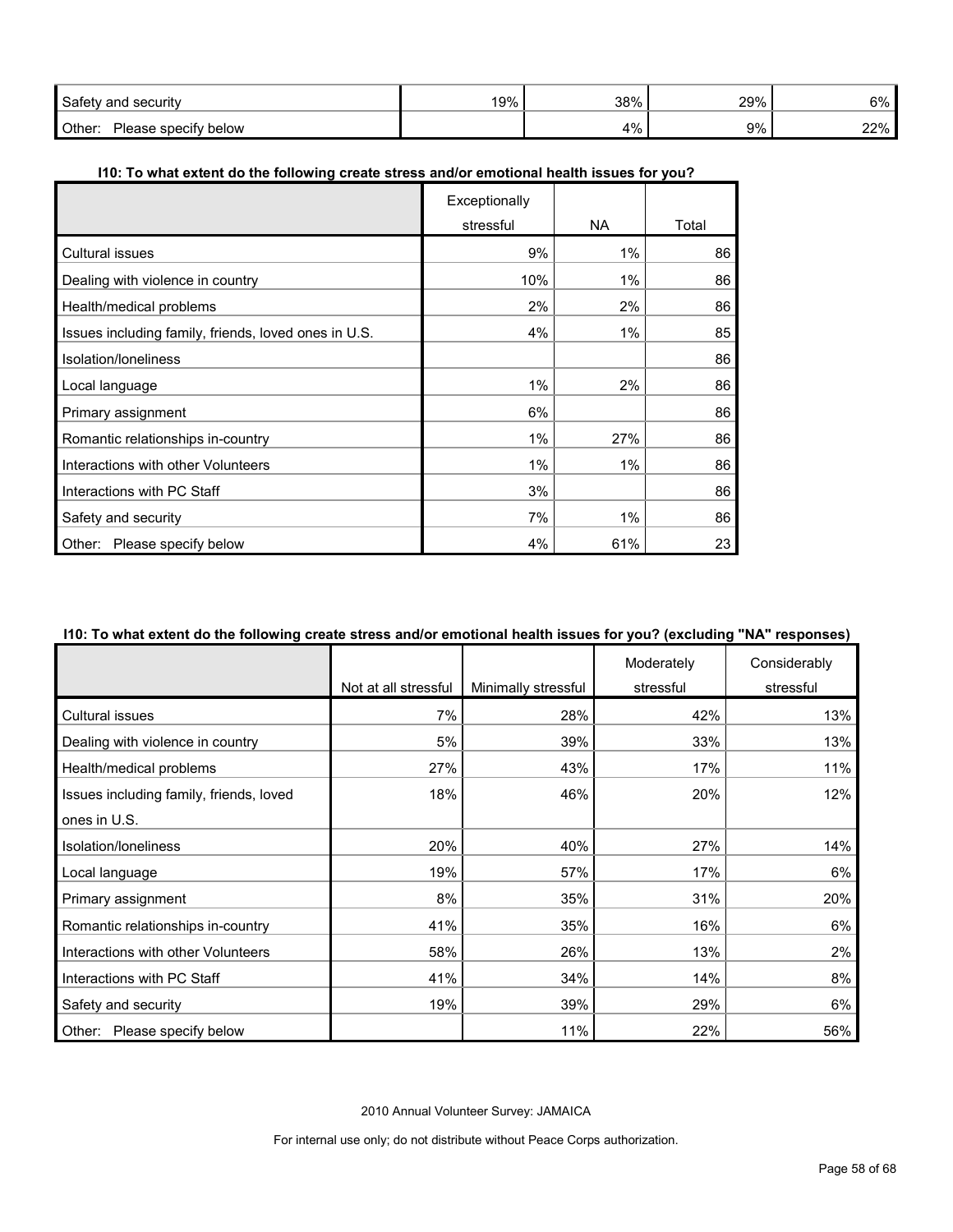| Safetv<br>' securitv<br>and          | 19% | 38% | 29% | 6%               |
|--------------------------------------|-----|-----|-----|------------------|
| Other:<br>below<br>specity<br>'lease |     | 4%  | 9%  | 22%<br><u>__</u> |

## **I10: To what extent do the following create stress and/or emotional health issues for you?**

|                                                      | Exceptionally |       |       |
|------------------------------------------------------|---------------|-------|-------|
|                                                      | stressful     | NA.   | Total |
| <b>Cultural issues</b>                               | 9%            | 1%    | 86    |
| Dealing with violence in country                     | 10%           | 1%    | 86    |
| Health/medical problems                              | 2%            | 2%    | 86    |
| Issues including family, friends, loved ones in U.S. | 4%            | $1\%$ | 85    |
| Isolation/loneliness                                 |               |       | 86    |
| Local language                                       | $1\%$         | 2%    | 86    |
| Primary assignment                                   | 6%            |       | 86    |
| Romantic relationships in-country                    | $1\%$         | 27%   | 86    |
| Interactions with other Volunteers                   | $1\%$         | $1\%$ | 86    |
| Interactions with PC Staff                           | 3%            |       | 86    |
| Safety and security                                  | 7%            | 1%    | 86    |
| Please specify below<br>Other:                       | 4%            | 61%   | 23    |

## **I10: To what extent do the following create stress and/or emotional health issues for you? (excluding "NA" responses)**

|                                         |                      |                     | Moderately | Considerably |
|-----------------------------------------|----------------------|---------------------|------------|--------------|
|                                         | Not at all stressful | Minimally stressful | stressful  | stressful    |
| Cultural issues                         | 7%                   | 28%                 | 42%        | 13%          |
| Dealing with violence in country        | 5%                   | 39%                 | 33%        | 13%          |
| Health/medical problems                 | 27%                  | 43%                 | 17%        | 11%          |
| Issues including family, friends, loved | 18%                  | 46%                 | 20%        | 12%          |
| ones in U.S.                            |                      |                     |            |              |
| Isolation/loneliness                    | 20%                  | 40%                 | 27%        | 14%          |
| Local language                          | 19%                  | 57%                 | 17%        | 6%           |
| Primary assignment                      | 8%                   | 35%                 | 31%        | 20%          |
| Romantic relationships in-country       | 41%                  | 35%                 | 16%        | 6%           |
| Interactions with other Volunteers      | 58%                  | 26%                 | 13%        | 2%           |
| Interactions with PC Staff              | 41%                  | 34%                 | 14%        | 8%           |
| Safety and security                     | 19%                  | 39%                 | 29%        | 6%           |
| Other: Please specify below             |                      | 11%                 | 22%        | 56%          |

2010 Annual Volunteer Survey: JAMAICA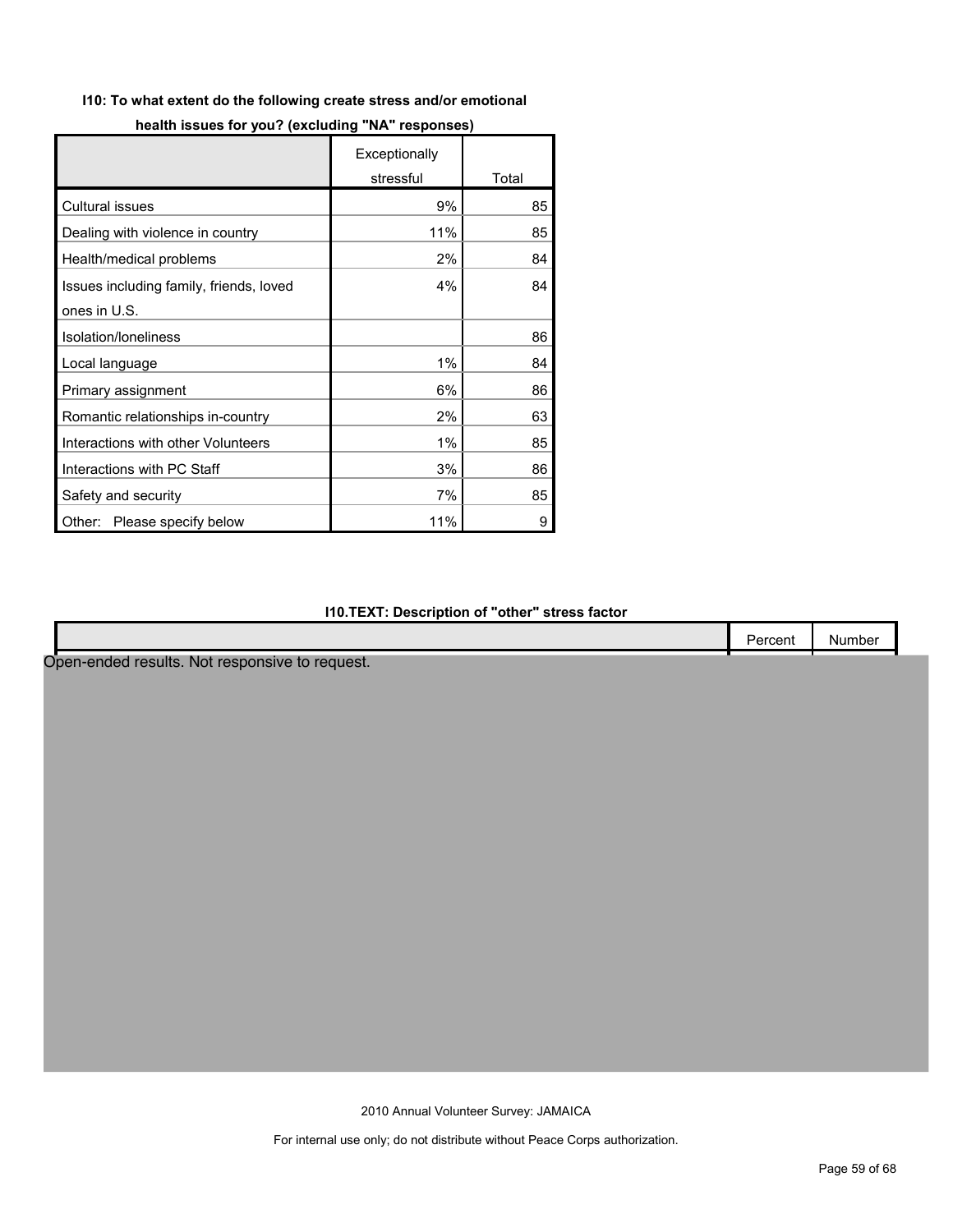## **I10: To what extent do the following create stress and/or emotional**

|                                         | Exceptionally |       |
|-----------------------------------------|---------------|-------|
|                                         | stressful     | Total |
| <b>Cultural issues</b>                  | 9%            | 85    |
| Dealing with violence in country        | 11%           | 85    |
| Health/medical problems                 | 2%            | 84    |
| Issues including family, friends, loved | 4%            | 84    |
| ones in U.S.                            |               |       |
| Isolation/loneliness                    |               | 86    |
| Local language                          | 1%            | 84    |
| Primary assignment                      | 6%            | 86    |
| Romantic relationships in-country       | 2%            | 63    |
| Interactions with other Volunteers      | 1%            | 85    |
| Interactions with PC Staff              | 3%            | 86    |
| Safety and security                     | 7%            | 85    |
| Please specify below<br>Other:          | 11%           | 9     |

## **I10.TEXT: Description of "other" stress factor**

|                                                | Percent | Number |
|------------------------------------------------|---------|--------|
| Open-ended results. Not responsive to request. |         |        |
|                                                |         |        |
|                                                |         |        |
|                                                |         |        |
|                                                |         |        |
|                                                |         |        |
|                                                |         |        |
|                                                |         |        |
|                                                |         |        |
|                                                |         |        |
|                                                |         |        |
|                                                |         |        |
|                                                |         |        |
|                                                |         |        |
|                                                |         |        |
|                                                |         |        |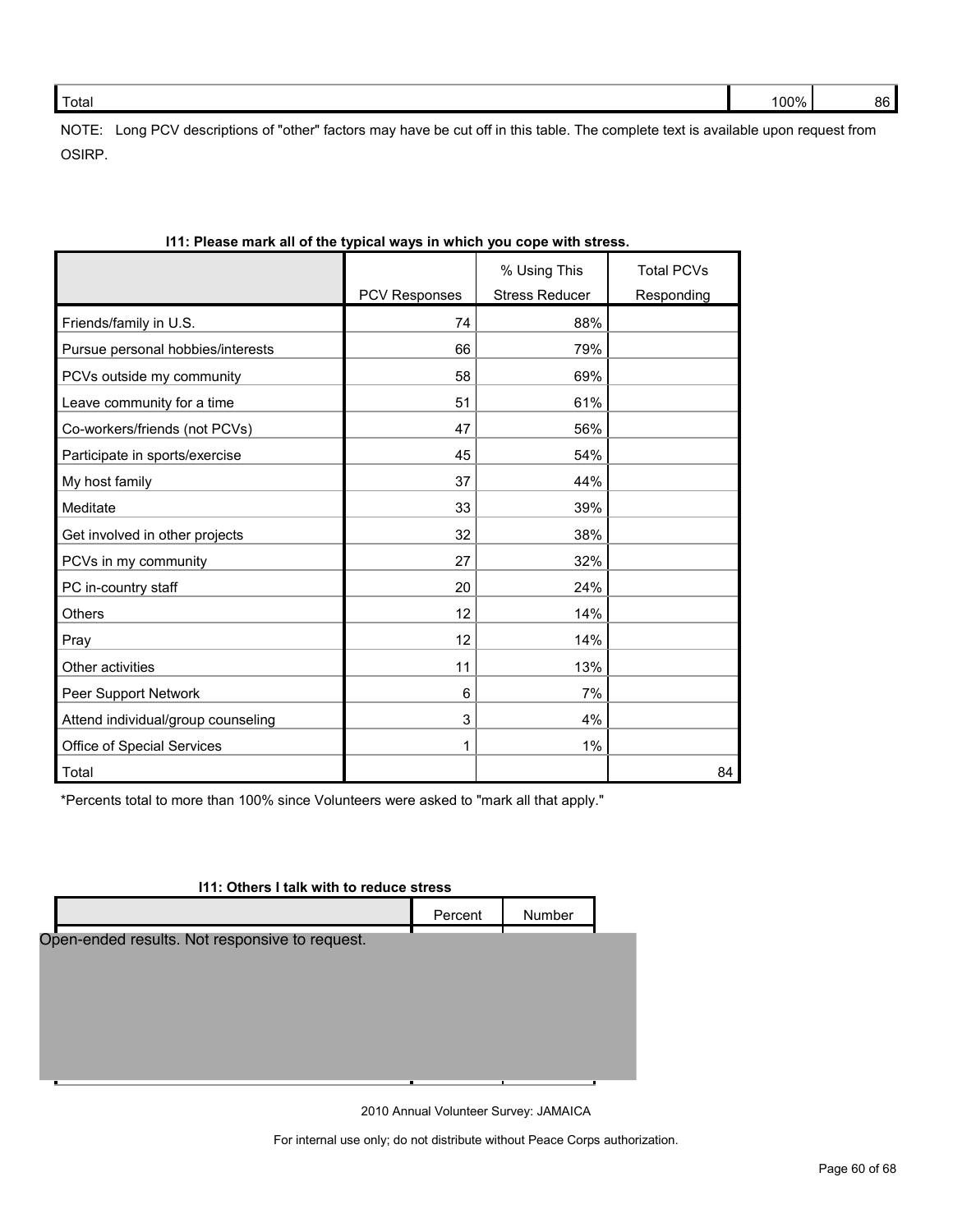NOTE: Long PCV descriptions of "other" factors may have be cut off in this table. The complete text is available upon request from OSIRP.

|                                    |                      | % Using This          | <b>Total PCVs</b> |
|------------------------------------|----------------------|-----------------------|-------------------|
|                                    | <b>PCV Responses</b> | <b>Stress Reducer</b> | Responding        |
| Friends/family in U.S.             | 74                   | 88%                   |                   |
| Pursue personal hobbies/interests  | 66                   | 79%                   |                   |
| PCVs outside my community          | 58                   | 69%                   |                   |
| Leave community for a time         | 51                   | 61%                   |                   |
| Co-workers/friends (not PCVs)      | 47                   | 56%                   |                   |
| Participate in sports/exercise     | 45                   | 54%                   |                   |
| My host family                     | 37                   | 44%                   |                   |
| Meditate                           | 33                   | 39%                   |                   |
| Get involved in other projects     | 32                   | 38%                   |                   |
| PCVs in my community               | 27                   | 32%                   |                   |
| PC in-country staff                | 20                   | 24%                   |                   |
| Others                             | 12                   | 14%                   |                   |
| Pray                               | 12                   | 14%                   |                   |
| Other activities                   | 11                   | 13%                   |                   |
| Peer Support Network               | 6                    | 7%                    |                   |
| Attend individual/group counseling | 3                    | 4%                    |                   |
| Office of Special Services         |                      | 1%                    |                   |
| Total                              |                      |                       | 84                |

\*Percents total to more than 100% since Volunteers were asked to "mark all that apply."

| 111: Others I talk with to reduce stress       |         |               |  |
|------------------------------------------------|---------|---------------|--|
|                                                | Percent | <b>Number</b> |  |
| Open-ended results. Not responsive to request. |         |               |  |
|                                                |         |               |  |
|                                                |         |               |  |
|                                                |         |               |  |
|                                                |         |               |  |
|                                                |         |               |  |

2010 Annual Volunteer Survey: JAMAICA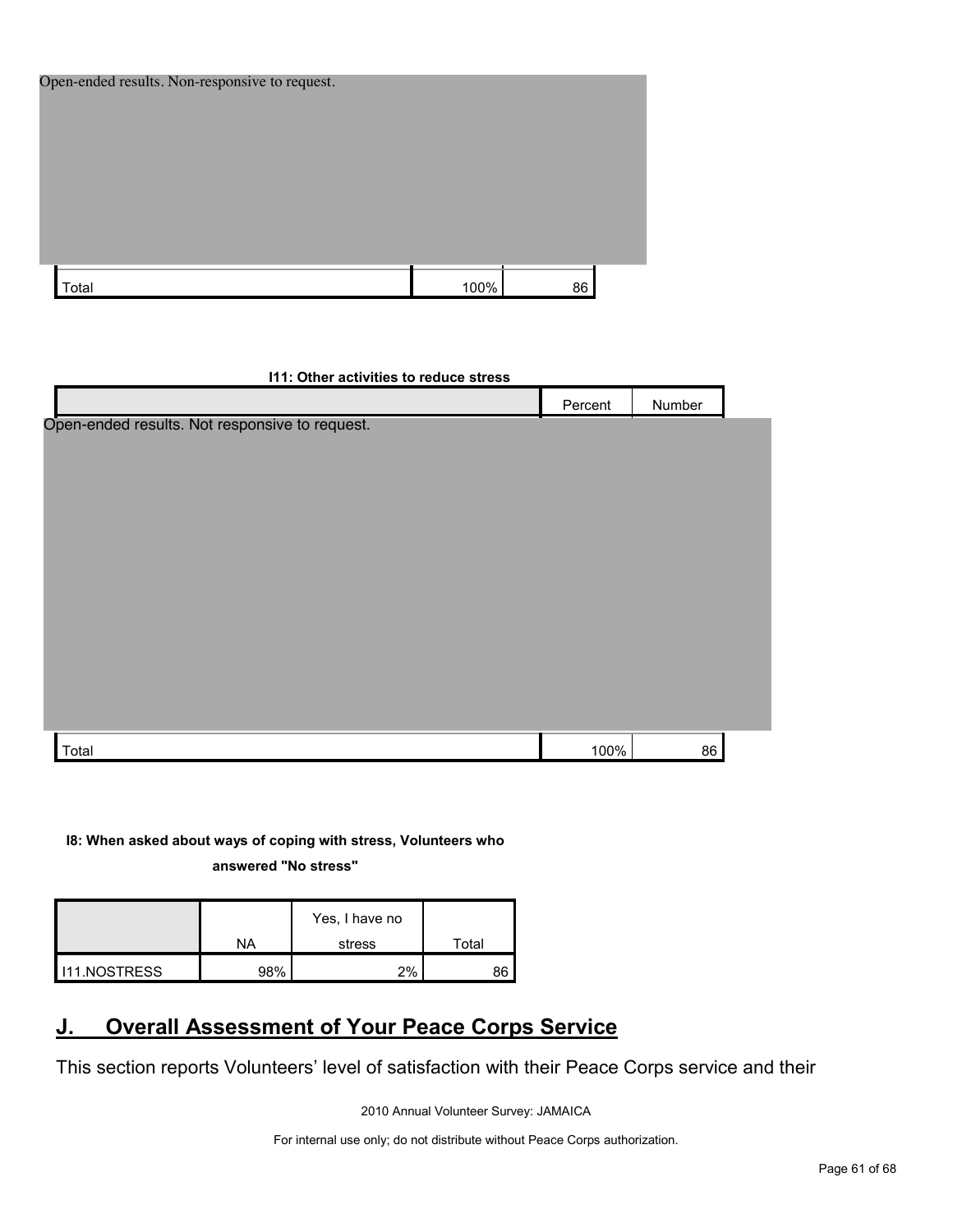| Open-ended results. Non-responsive to request. |      |    |  |
|------------------------------------------------|------|----|--|
|                                                |      |    |  |
|                                                |      |    |  |
|                                                |      |    |  |
|                                                |      |    |  |
|                                                |      |    |  |
|                                                |      |    |  |
| Total                                          | 100% | 86 |  |

| Number<br>Percent                              |  |
|------------------------------------------------|--|
| Open-ended results. Not responsive to request. |  |
|                                                |  |
|                                                |  |
|                                                |  |
|                                                |  |
|                                                |  |
|                                                |  |
|                                                |  |
|                                                |  |
|                                                |  |
|                                                |  |
|                                                |  |
|                                                |  |
| 100%<br>86<br>Total                            |  |

**I8: When asked about ways of coping with stress, Volunteers who** 

**answered "No stress"** 

|                     | ΝA  | Yes, I have no<br>stress | Total |
|---------------------|-----|--------------------------|-------|
|                     |     |                          |       |
| <b>I11.NOSTRESS</b> | 98% | $2\%$                    | 86    |

# <span id="page-60-0"></span>**J. Overall Assessment of Your Peace Corps Service**

This section reports Volunteers' level of satisfaction with their Peace Corps service and their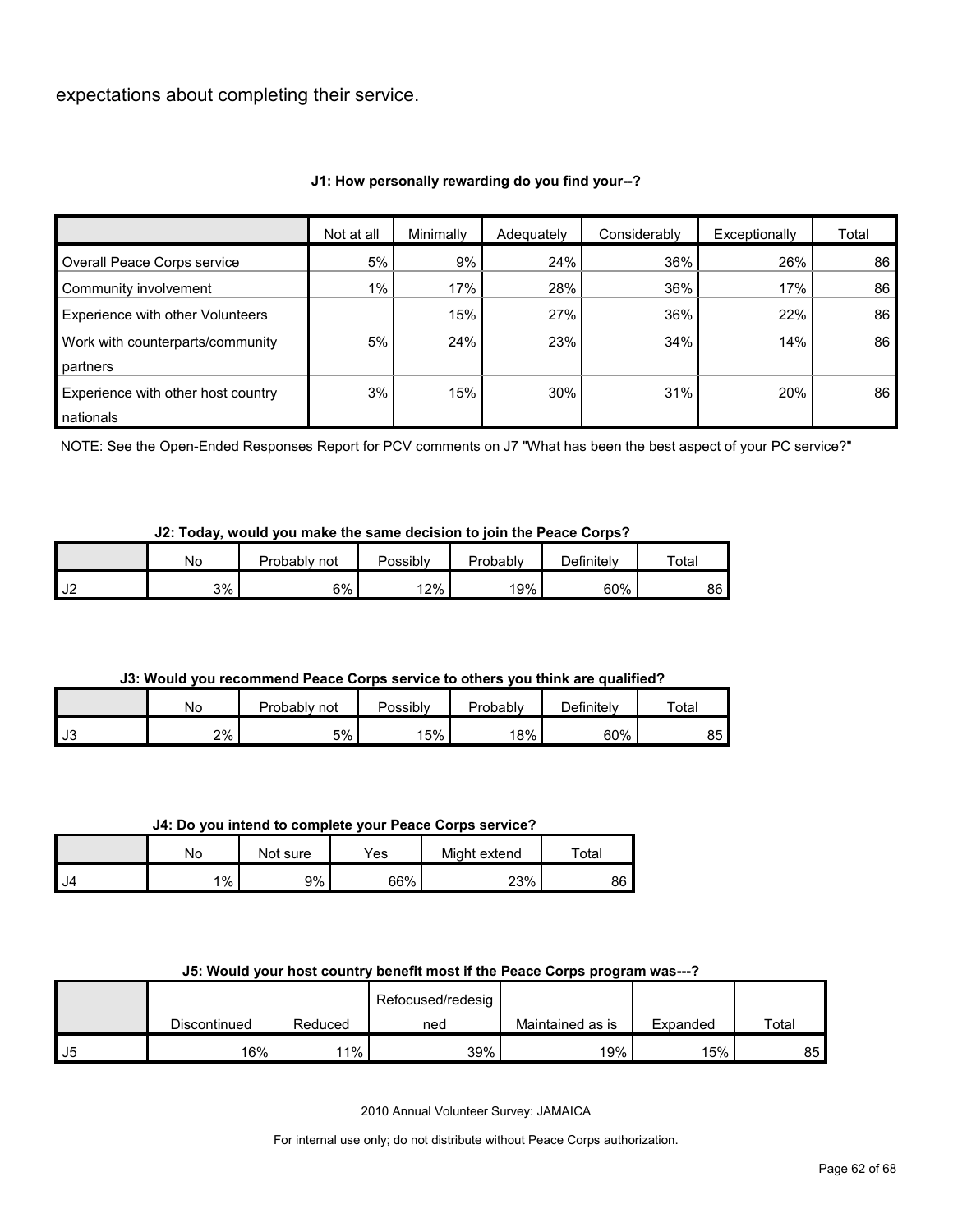expectations about completing their service.

## **J1: How personally rewarding do you find your--?**

|                                    | Not at all | Minimally | Adequately | Considerably | Exceptionally | Total |
|------------------------------------|------------|-----------|------------|--------------|---------------|-------|
| Overall Peace Corps service        | 5%         | 9%        | 24%        | 36%          | 26%           | 86    |
| Community involvement              | $1\%$      | 17%       | 28%        | 36%          | 17%           | 86    |
| Experience with other Volunteers   |            | 15%       | 27%        | 36%          | 22%           | 86    |
| Work with counterparts/community   | 5%         | 24%       | 23%        | 34%          | 14%           | 86    |
| partners                           |            |           |            |              |               |       |
| Experience with other host country | 3%         | 15%       | 30%        | 31%          | 20%           | 86    |
| nationals                          |            |           |            |              |               |       |

NOTE: See the Open-Ended Responses Report for PCV comments on J7 "What has been the best aspect of your PC service?"

#### **J2: Today, would you make the same decision to join the Peace Corps?**

|               | <b>No</b> | Probablv<br>not | Possibly | Probably | Definitelv | Total |
|---------------|-----------|-----------------|----------|----------|------------|-------|
| $\sim$<br>ے ت | 3%        | 6%              | 12%      | 19%      | 60%        | 86    |

## **J3: Would you recommend Peace Corps service to others you think are qualified?**

|      | No | Probably<br>not | Possibly | Probably | Definitely | Total   |
|------|----|-----------------|----------|----------|------------|---------|
| l J3 | 2% | 5%              | 15%      | 18%      | 60%        | ᅂ<br>ບບ |

#### **J4: Do you intend to complete your Peace Corps service?**

|        | No      | Not sure | Yes | Might extend | Total |
|--------|---------|----------|-----|--------------|-------|
| $I$ J4 | $1\%$ . | 9%       | 66% | 23%          | 86    |

#### **J5: Would your host country benefit most if the Peace Corps program was---?**

|    |              |         | Refocused/redesig |                  |          |       |
|----|--------------|---------|-------------------|------------------|----------|-------|
|    | Discontinued | Reduced | ned               | Maintained as is | Expanded | Total |
| J5 | 16%          | 11%     | 39%               | 19%              | 15%      | 85    |

2010 Annual Volunteer Survey: JAMAICA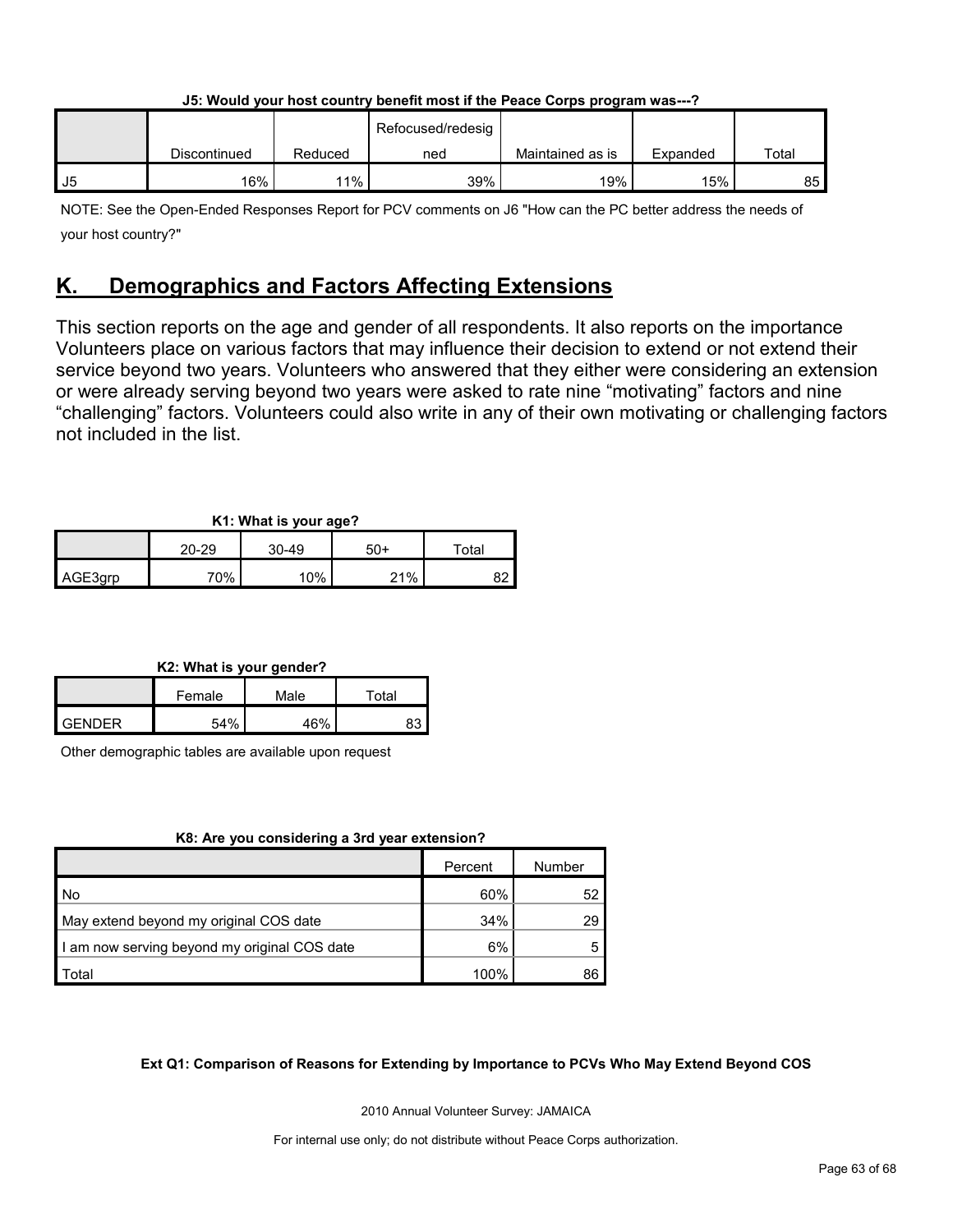|    |              |         |                   | - - -            |          |       |
|----|--------------|---------|-------------------|------------------|----------|-------|
|    |              |         | Refocused/redesig |                  |          |       |
|    | Discontinued | Reduced | ned               | Maintained as is | Expanded | Total |
| J5 | 16%          | 11%     | 39%               | 19%              | 15%      | 85    |

**J5: Would your host country benefit most if the Peace Corps program was---?**

NOTE: See the Open-Ended Responses Report for PCV comments on J6 "How can the PC better address the needs of your host country?"

# <span id="page-62-0"></span>**K. Demographics and Factors Affecting Extensions**

This section reports on the age and gender of all respondents. It also reports on the importance Volunteers place on various factors that may influence their decision to extend or not extend their service beyond two years. Volunteers who answered that they either were considering an extension or were already serving beyond two years were asked to rate nine "motivating" factors and nine "challenging" factors. Volunteers could also write in any of their own motivating or challenging factors not included in the list.

## **K1: What is your age?**

| . .<br>$\sim$ |       |                  |     |             |  |  |
|---------------|-------|------------------|-----|-------------|--|--|
|               | 20-29 | $30 - 49$<br>50+ |     | $\tau$ otal |  |  |
| AGE3grp       | 70%   | 10%              | 21% |             |  |  |

## **K2: What is your gender?**

|               | Female | Male | ™ota⊦ |  |
|---------------|--------|------|-------|--|
| <b>GENDER</b> | 54%    | 46%  | 83    |  |

Other demographic tables are available upon request

## **K8: Are you considering a 3rd year extension?**

|                                              | Percent | Number |
|----------------------------------------------|---------|--------|
| l No                                         | 60%     | 52     |
| May extend beyond my original COS date       | 34%     | 29     |
| I am now serving beyond my original COS date | 6%      |        |
| Total                                        | 100%    | 86     |

## **Ext Q1: Comparison of Reasons for Extending by Importance to PCVs Who May Extend Beyond COS**

2010 Annual Volunteer Survey: JAMAICA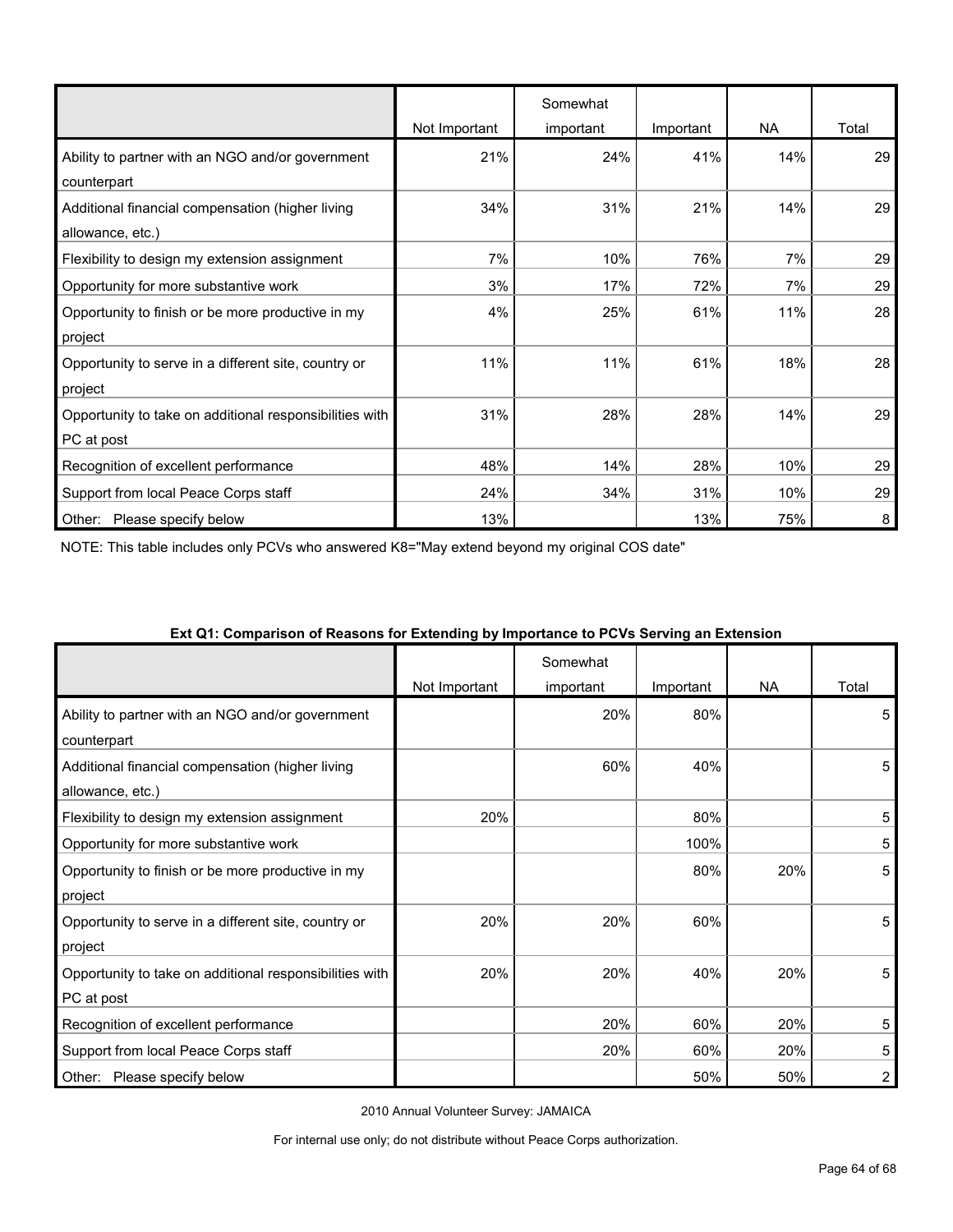|                                                         |               | Somewhat  |           |           |       |
|---------------------------------------------------------|---------------|-----------|-----------|-----------|-------|
|                                                         | Not Important | important | Important | <b>NA</b> | Total |
| Ability to partner with an NGO and/or government        | 21%           | 24%       | 41%       | 14%       | 29    |
| counterpart                                             |               |           |           |           |       |
| Additional financial compensation (higher living        | 34%           | 31%       | 21%       | 14%       | 29    |
| allowance, etc.)                                        |               |           |           |           |       |
| Flexibility to design my extension assignment           | 7%            | 10%       | 76%       | 7%        | 29    |
| Opportunity for more substantive work                   | 3%            | 17%       | 72%       | 7%        | 29    |
| Opportunity to finish or be more productive in my       | 4%            | 25%       | 61%       | 11%       | 28    |
| project                                                 |               |           |           |           |       |
| Opportunity to serve in a different site, country or    | 11%           | 11%       | 61%       | 18%       | 28    |
| project                                                 |               |           |           |           |       |
| Opportunity to take on additional responsibilities with | 31%           | 28%       | 28%       | 14%       | 29    |
| PC at post                                              |               |           |           |           |       |
| Recognition of excellent performance                    | 48%           | 14%       | 28%       | 10%       | 29    |
| Support from local Peace Corps staff                    | 24%           | 34%       | 31%       | 10%       | 29    |
| Please specify below<br>Other:                          | 13%           |           | 13%       | 75%       | 8     |

NOTE: This table includes only PCVs who answered K8="May extend beyond my original COS date"

|                                                                       | Not Important | Somewhat<br>important | Important | NA  | Total |
|-----------------------------------------------------------------------|---------------|-----------------------|-----------|-----|-------|
| Ability to partner with an NGO and/or government                      |               | 20%                   | 80%       |     | 5     |
| counterpart<br>Additional financial compensation (higher living       |               | 60%                   | 40%       |     | 5     |
| allowance, etc.)<br>Flexibility to design my extension assignment     | 20%           |                       | 80%       |     | 5     |
| Opportunity for more substantive work                                 |               |                       | 100%      |     | 5     |
| Opportunity to finish or be more productive in my<br>project          |               |                       | 80%       | 20% | 5     |
| Opportunity to serve in a different site, country or<br>project       | 20%           | 20%                   | 60%       |     | 5     |
| Opportunity to take on additional responsibilities with<br>PC at post | 20%           | 20%                   | 40%       | 20% | 5     |
| Recognition of excellent performance                                  |               | 20%                   | 60%       | 20% | 5     |
| Support from local Peace Corps staff                                  |               | 20%                   | 60%       | 20% | 5     |
| Please specify below<br>Other:                                        |               |                       | 50%       | 50% | 2     |

#### **Ext Q1: Comparison of Reasons for Extending by Importance to PCVs Serving an Extension**

2010 Annual Volunteer Survey: JAMAICA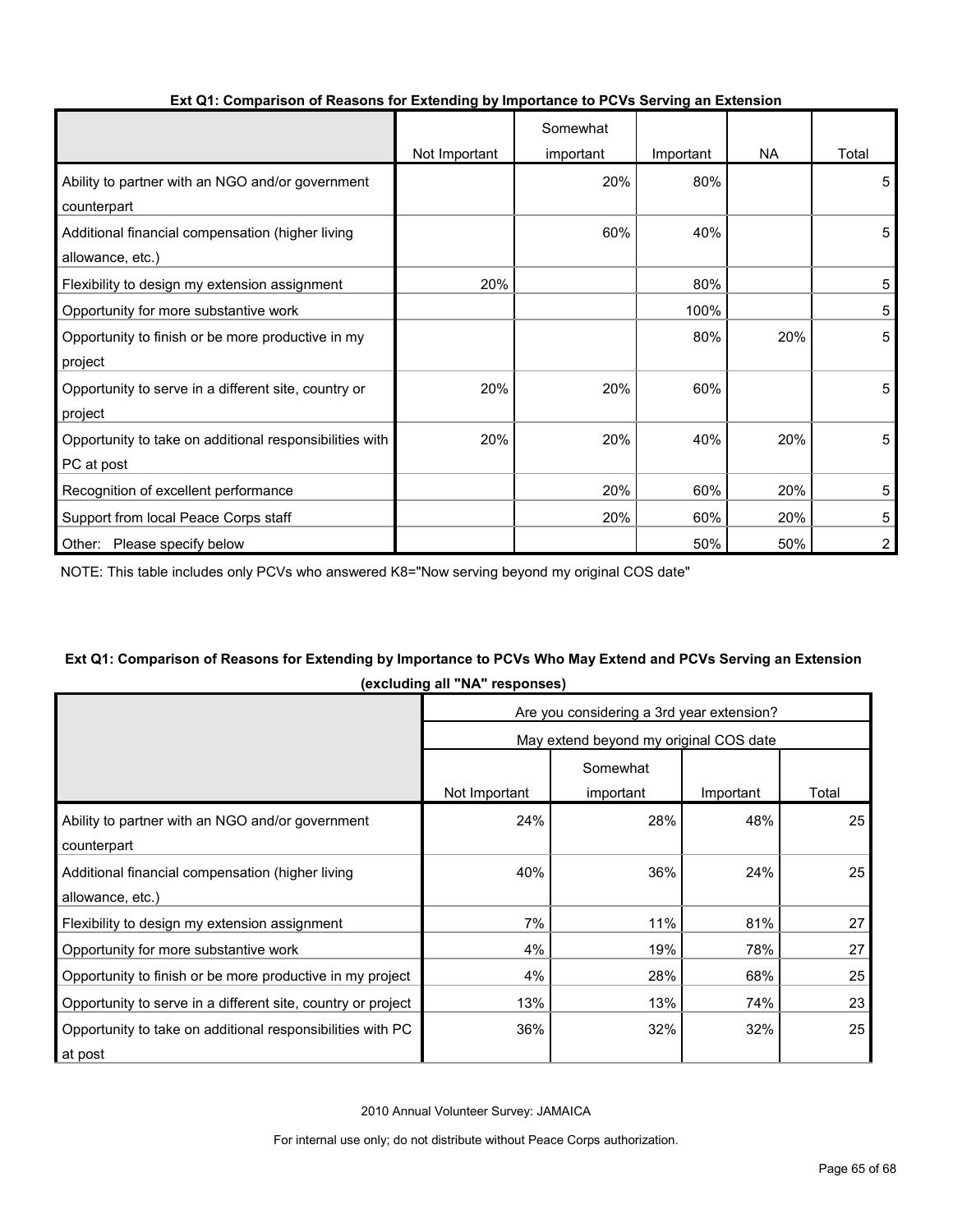|                                                         |               | Somewhat  |           |           |                |
|---------------------------------------------------------|---------------|-----------|-----------|-----------|----------------|
|                                                         | Not Important | important | Important | <b>NA</b> | Total          |
| Ability to partner with an NGO and/or government        |               | 20%       | 80%       |           | 5              |
| counterpart                                             |               |           |           |           |                |
| Additional financial compensation (higher living        |               | 60%       | 40%       |           | 5              |
| allowance, etc.)                                        |               |           |           |           |                |
| Flexibility to design my extension assignment           | 20%           |           | 80%       |           | 5              |
| Opportunity for more substantive work                   |               |           | 100%      |           | 5              |
| Opportunity to finish or be more productive in my       |               |           | 80%       | 20%       | 5              |
| project                                                 |               |           |           |           |                |
| Opportunity to serve in a different site, country or    | 20%           | 20%       | 60%       |           | 5              |
| project                                                 |               |           |           |           |                |
| Opportunity to take on additional responsibilities with | 20%           | 20%       | 40%       | 20%       | 5              |
| PC at post                                              |               |           |           |           |                |
| Recognition of excellent performance                    |               | 20%       | 60%       | 20%       | 5              |
| Support from local Peace Corps staff                    |               | 20%       | 60%       | 20%       | 5              |
| Other: Please specify below                             |               |           | 50%       | 50%       | $\overline{2}$ |

## **Ext Q1: Comparison of Reasons for Extending by Importance to PCVs Serving an Extension**

NOTE: This table includes only PCVs who answered K8="Now serving beyond my original COS date"

## **Ext Q1: Comparison of Reasons for Extending by Importance to PCVs Who May Extend and PCVs Serving an Extension (excluding all "NA" responses)**

|                                                              | Are you considering a 3rd year extension? |           |           |       |  |  |
|--------------------------------------------------------------|-------------------------------------------|-----------|-----------|-------|--|--|
|                                                              | May extend beyond my original COS date    |           |           |       |  |  |
|                                                              | Somewhat                                  |           |           |       |  |  |
|                                                              | Not Important                             | important | Important | Total |  |  |
| Ability to partner with an NGO and/or government             | 24%                                       | 28%       | 48%       | 25    |  |  |
| counterpart                                                  |                                           |           |           |       |  |  |
| Additional financial compensation (higher living             | 40%                                       | 36%       | 24%       | 25    |  |  |
| allowance, etc.)                                             |                                           |           |           |       |  |  |
| Flexibility to design my extension assignment                | 7%                                        | 11%       | 81%       | 27    |  |  |
| Opportunity for more substantive work                        | 4%                                        | 19%       | 78%       | 27    |  |  |
| Opportunity to finish or be more productive in my project    | 4%                                        | 28%       | 68%       | 25    |  |  |
| Opportunity to serve in a different site, country or project | 13%                                       | 13%       | 74%       | 23    |  |  |
| Opportunity to take on additional responsibilities with PC   | 36%                                       | 32%       | 32%       | 25    |  |  |
| at post                                                      |                                           |           |           |       |  |  |

2010 Annual Volunteer Survey: JAMAICA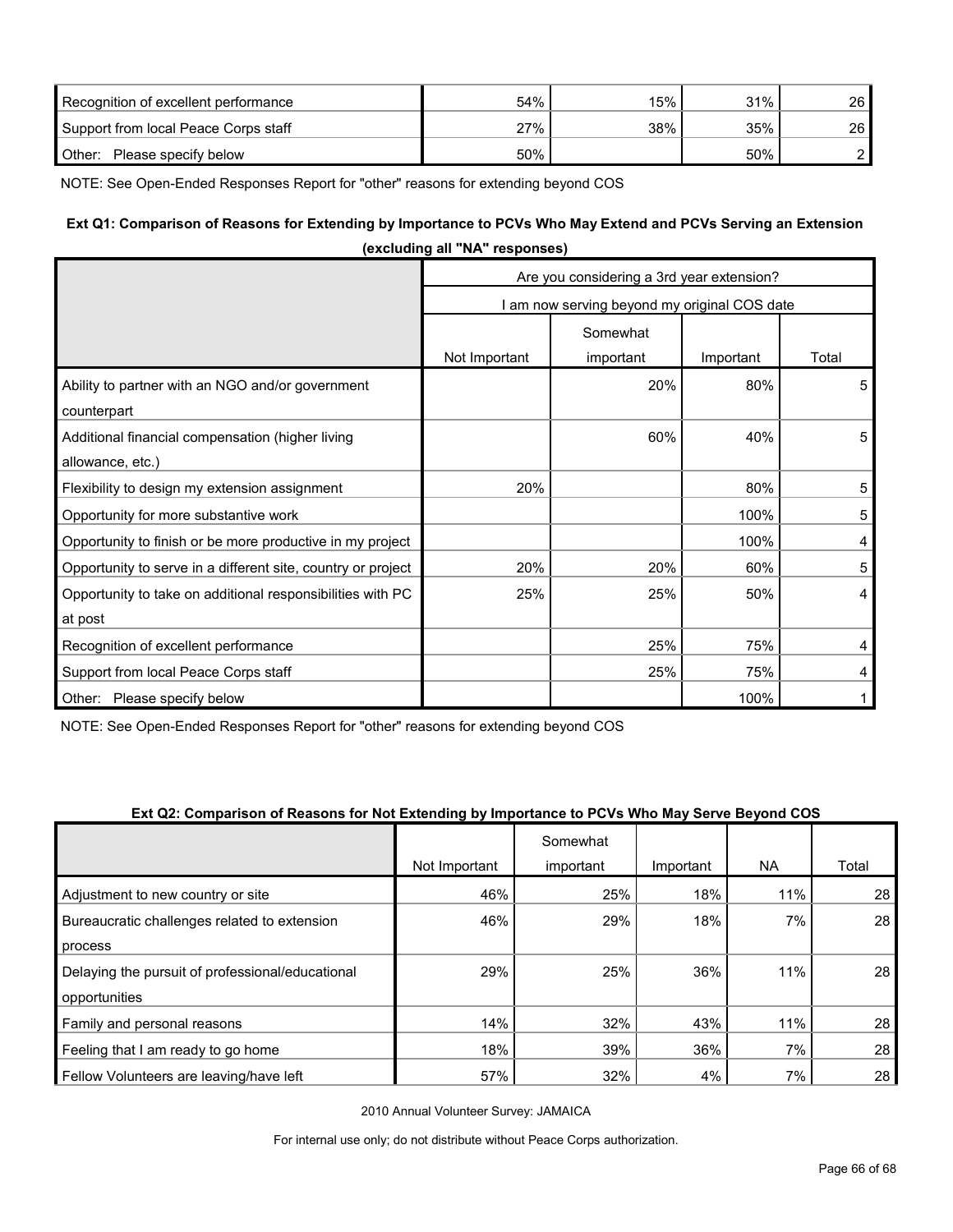| Recognition of excellent performance | 54% | 15% | 31% | 26 <sup>1</sup> |
|--------------------------------------|-----|-----|-----|-----------------|
| Support from local Peace Corps staff | 27% | 38% | 35% | 26 <sup>1</sup> |
| Other:<br>Please specify below       | 50% |     | 50% |                 |

NOTE: See Open-Ended Responses Report for "other" reasons for extending beyond COS

## **Ext Q1: Comparison of Reasons for Extending by Importance to PCVs Who May Extend and PCVs Serving an Extension**

|                                                              | (excluding all "NA" responses)            |                                              |           |                |  |  |
|--------------------------------------------------------------|-------------------------------------------|----------------------------------------------|-----------|----------------|--|--|
|                                                              | Are you considering a 3rd year extension? |                                              |           |                |  |  |
|                                                              |                                           | I am now serving beyond my original COS date |           |                |  |  |
|                                                              |                                           | Somewhat                                     |           |                |  |  |
|                                                              | Not Important                             | important                                    | Important | Total          |  |  |
| Ability to partner with an NGO and/or government             |                                           | 20%                                          | 80%       | 5              |  |  |
| counterpart                                                  |                                           |                                              |           |                |  |  |
| Additional financial compensation (higher living             |                                           | 60%                                          | 40%       | 5              |  |  |
| allowance, etc.)                                             |                                           |                                              |           |                |  |  |
| Flexibility to design my extension assignment                | 20%                                       |                                              | 80%       | 5              |  |  |
| Opportunity for more substantive work                        |                                           |                                              | 100%      | 5              |  |  |
| Opportunity to finish or be more productive in my project    |                                           |                                              | 100%      | 4              |  |  |
| Opportunity to serve in a different site, country or project | 20%                                       | 20%                                          | 60%       | 5              |  |  |
| Opportunity to take on additional responsibilities with PC   | 25%                                       | 25%                                          | 50%       | $\overline{4}$ |  |  |
| at post                                                      |                                           |                                              |           |                |  |  |
| Recognition of excellent performance                         |                                           | 25%                                          | 75%       | 4              |  |  |
| Support from local Peace Corps staff                         |                                           | 25%                                          | 75%       | 4              |  |  |
| Other: Please specify below                                  |                                           |                                              | 100%      |                |  |  |

NOTE: See Open-Ended Responses Report for "other" reasons for extending beyond COS

#### **Ext Q2: Comparison of Reasons for Not Extending by Importance to PCVs Who May Serve Beyond COS**

|                                                  |               | Somewhat  |           |           |       |
|--------------------------------------------------|---------------|-----------|-----------|-----------|-------|
|                                                  | Not Important | important | Important | <b>NA</b> | Total |
| Adjustment to new country or site                | 46%           | 25%       | 18%       | 11%       | 28    |
| Bureaucratic challenges related to extension     | 46%           | 29%       | 18%       | 7%        | 28    |
| process                                          |               |           |           |           |       |
| Delaying the pursuit of professional/educational | 29%           | 25%       | 36%       | 11%       | 28    |
| opportunities                                    |               |           |           |           |       |
| Family and personal reasons                      | 14%           | 32%       | 43%       | 11%       | 28    |
| Feeling that I am ready to go home               | 18%           | 39%       | 36%       | 7%        | 28    |
| Fellow Volunteers are leaving/have left          | 57%           | 32%       | 4%        | 7%        | 28    |

2010 Annual Volunteer Survey: JAMAICA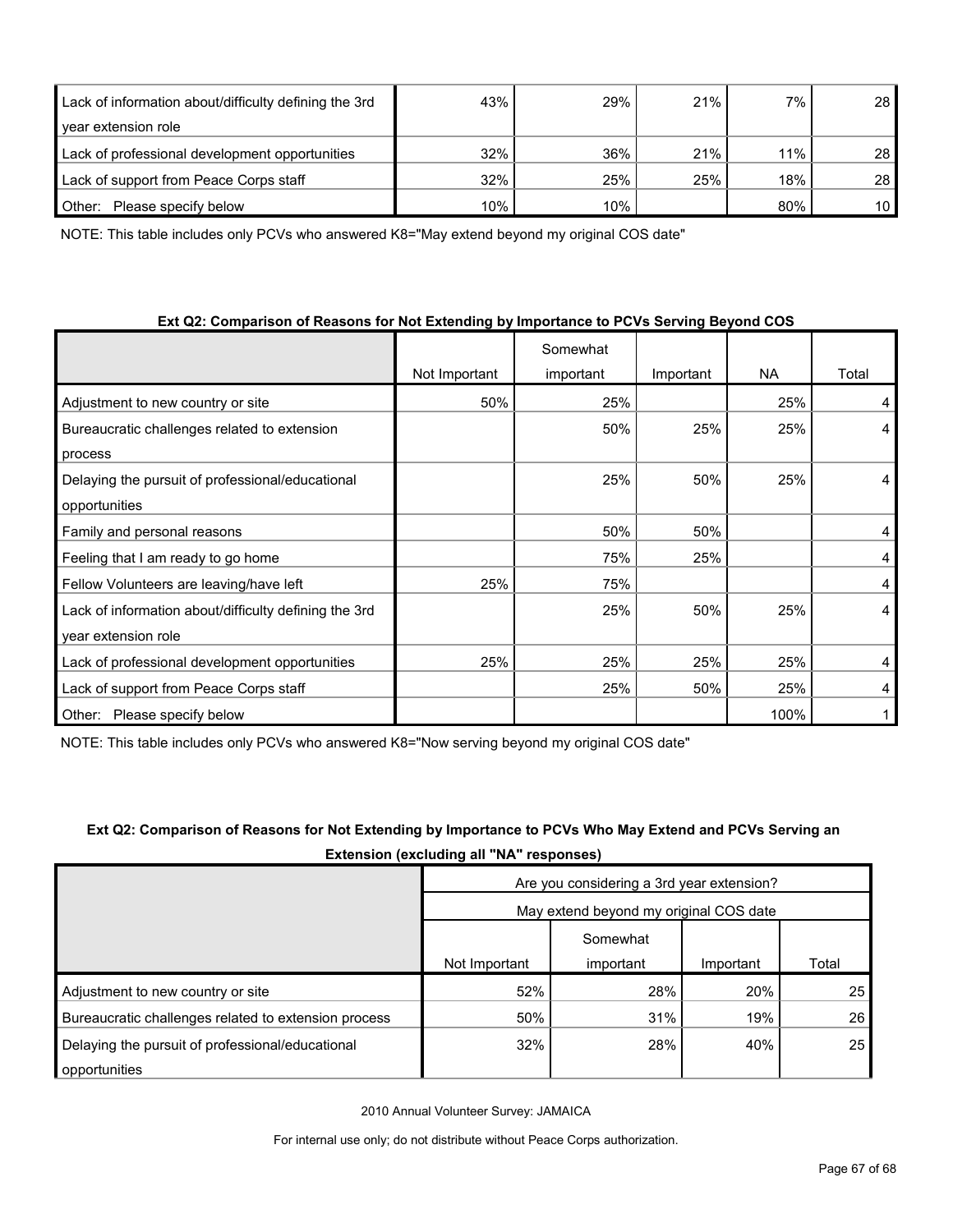| Lack of information about/difficulty defining the 3rd | 43% | 29% | 21% | 7%  | 28              |
|-------------------------------------------------------|-----|-----|-----|-----|-----------------|
| year extension role                                   |     |     |     |     |                 |
| Lack of professional development opportunities        | 32% | 36% | 21% | 11% | 28              |
| Lack of support from Peace Corps staff                | 32% | 25% | 25% | 18% | 28              |
| Other:<br>Please specify below                        | 10% | 10% |     | 80% | 10 <sup>1</sup> |

NOTE: This table includes only PCVs who answered K8="May extend beyond my original COS date"

|  | Ext Q2: Comparison of Reasons for Not Extending by Importance to PCVs Serving Beyond COS |
|--|------------------------------------------------------------------------------------------|
|--|------------------------------------------------------------------------------------------|

|                                                       |               | Somewhat  |           |           |       |
|-------------------------------------------------------|---------------|-----------|-----------|-----------|-------|
|                                                       | Not Important | important | Important | <b>NA</b> | Total |
| Adjustment to new country or site                     | 50%           | 25%       |           | 25%       | 4     |
| Bureaucratic challenges related to extension          |               | 50%       | 25%       | 25%       | 4     |
| process                                               |               |           |           |           |       |
| Delaying the pursuit of professional/educational      |               | 25%       | 50%       | 25%       | 4     |
| opportunities                                         |               |           |           |           |       |
| Family and personal reasons                           |               | 50%       | 50%       |           | 4     |
| Feeling that I am ready to go home                    |               | 75%       | 25%       |           | 4     |
| Fellow Volunteers are leaving/have left               | 25%           | 75%       |           |           | 4     |
| Lack of information about/difficulty defining the 3rd |               | 25%       | 50%       | 25%       | 4     |
| year extension role                                   |               |           |           |           |       |
| Lack of professional development opportunities        | 25%           | 25%       | 25%       | 25%       | 4     |
| Lack of support from Peace Corps staff                |               | 25%       | 50%       | 25%       | 4     |
| Please specify below<br>Other:                        |               |           |           | 100%      |       |

NOTE: This table includes only PCVs who answered K8="Now serving beyond my original COS date"

| <b>Extension (excluding all "NA" responses)</b> |
|-------------------------------------------------|
| Are you considering a 3rd year extension?       |

| Ext Q2: Comparison of Reasons for Not Extending by Importance to PCVs Who May Extend and PCVs Serving an |
|----------------------------------------------------------------------------------------------------------|
| <b>Extension (excluding all "NA" responses)</b>                                                          |

|                                                      | Are you considering a 3rd year extension? |           |           |       |  |  |
|------------------------------------------------------|-------------------------------------------|-----------|-----------|-------|--|--|
|                                                      | May extend beyond my original COS date    |           |           |       |  |  |
|                                                      | Somewhat                                  |           |           |       |  |  |
|                                                      | Not Important                             | important | Important | Total |  |  |
| Adjustment to new country or site                    | 52%                                       | 28%       | 20%       | 25    |  |  |
| Bureaucratic challenges related to extension process | 50%                                       | 31%       | 19%       | 26    |  |  |
| Delaying the pursuit of professional/educational     | 32%                                       | 28%       | 40%       | 25    |  |  |
| opportunities                                        |                                           |           |           |       |  |  |

2010 Annual Volunteer Survey: JAMAICA